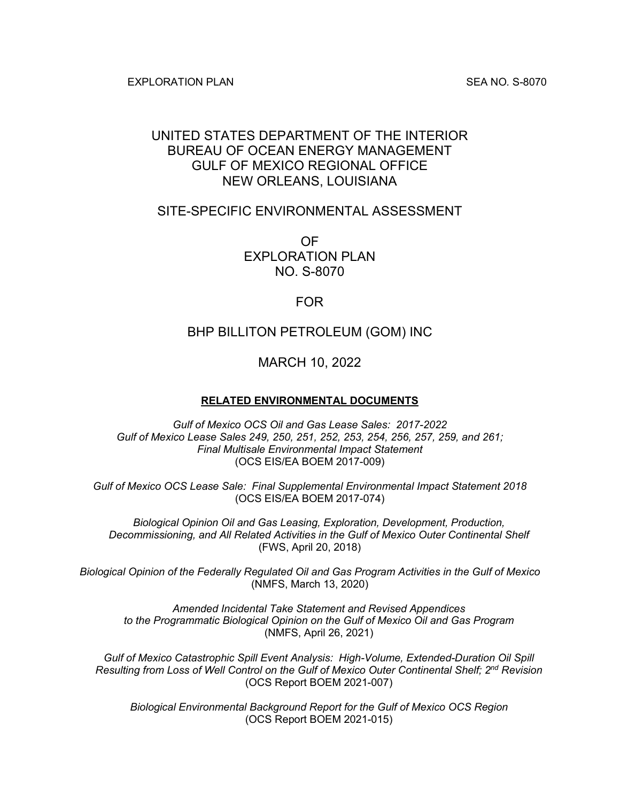# UNITED STATES DEPARTMENT OF THE INTERIOR BUREAU OF OCEAN ENERGY MANAGEMENT GULF OF MEXICO REGIONAL OFFICE NEW ORLEANS, LOUISIANA

# SITE-SPECIFIC ENVIRONMENTAL ASSESSMENT

OF EXPLORATION PLAN NO. S-8070

# FOR

# BHP BILLITON PETROLEUM (GOM) INC

# MARCH 10, 2022

### **RELATED ENVIRONMENTAL DOCUMENTS**

*Gulf of Mexico OCS Oil and Gas Lease Sales: 2017-2022 Gulf of Mexico Lease Sales 249, 250, 251, 252, 253, 254, 256, 257, 259, and 261; Final Multisale Environmental Impact Statement* (OCS EIS/EA BOEM 2017-009)

*Gulf of Mexico OCS Lease Sale: Final Supplemental Environmental Impact Statement 2018* (OCS EIS/EA BOEM 2017-074)

*Biological Opinion Oil and Gas Leasing, Exploration, Development, Production, Decommissioning, and All Related Activities in the Gulf of Mexico Outer Continental Shelf* (FWS, April 20, 2018)

*Biological Opinion of the Federally Regulated Oil and Gas Program Activities in the Gulf of Mexico* (NMFS, March 13, 2020)

*Amended Incidental Take Statement and Revised Appendices to the Programmatic Biological Opinion on the Gulf of Mexico Oil and Gas Program*  (NMFS, April 26, 2021)

*Gulf of Mexico Catastrophic Spill Event Analysis: High-Volume, Extended-Duration Oil Spill Resulting from Loss of Well Control on the Gulf of Mexico Outer Continental Shelf; 2nd Revision* (OCS Report BOEM 2021-007)

*Biological Environmental Background Report for the Gulf of Mexico OCS Region* (OCS Report BOEM 2021-015)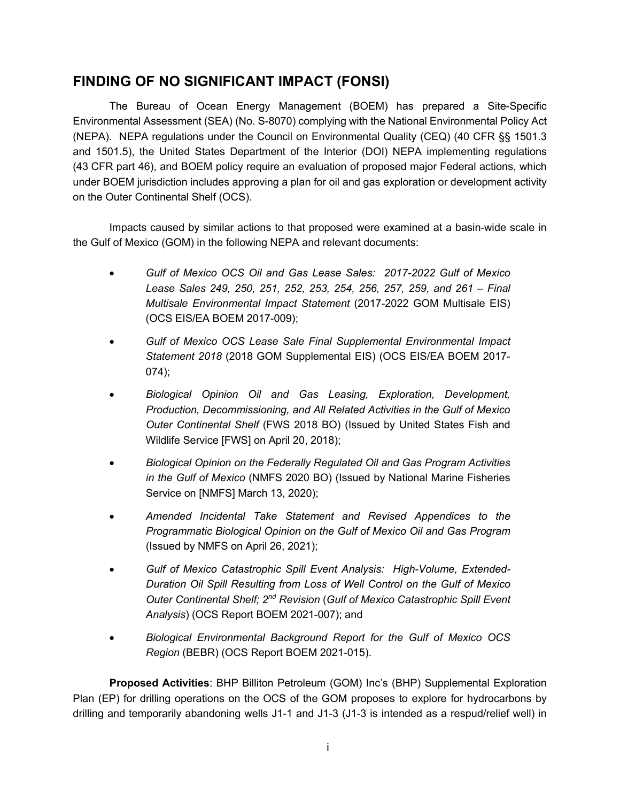# **FINDING OF NO SIGNIFICANT IMPACT (FONSI)**

The Bureau of Ocean Energy Management (BOEM) has prepared a Site-Specific Environmental Assessment (SEA) (No. S-8070) complying with the National Environmental Policy Act (NEPA). NEPA regulations under the Council on Environmental Quality (CEQ) (40 CFR §§ 1501.3 and 1501.5), the United States Department of the Interior (DOI) NEPA implementing regulations (43 CFR part 46), and BOEM policy require an evaluation of proposed major Federal actions, which under BOEM jurisdiction includes approving a plan for oil and gas exploration or development activity on the Outer Continental Shelf (OCS).

Impacts caused by similar actions to that proposed were examined at a basin-wide scale in the Gulf of Mexico (GOM) in the following NEPA and relevant documents:

- *Gulf of Mexico OCS Oil and Gas Lease Sales: 2017-2022 Gulf of Mexico Lease Sales 249, 250, 251, 252, 253, 254, 256, 257, 259, and 261 – Final Multisale Environmental Impact Statement* (2017-2022 GOM Multisale EIS) (OCS EIS/EA BOEM 2017-009);
- *Gulf of Mexico OCS Lease Sale Final Supplemental Environmental Impact Statement 2018* (2018 GOM Supplemental EIS) (OCS EIS/EA BOEM 2017- 074);
- *Biological Opinion Oil and Gas Leasing, Exploration, Development, Production, Decommissioning, and All Related Activities in the Gulf of Mexico Outer Continental Shelf* (FWS 2018 BO) (Issued by United States Fish and Wildlife Service [FWS] on April 20, 2018);
- *Biological Opinion on the Federally Regulated Oil and Gas Program Activities in the Gulf of Mexico* (NMFS 2020 BO) (Issued by National Marine Fisheries Service on [NMFS] March 13, 2020);
- *Amended Incidental Take Statement and Revised Appendices to the Programmatic Biological Opinion on the Gulf of Mexico Oil and Gas Program* (Issued by NMFS on April 26, 2021);
- *Gulf of Mexico Catastrophic Spill Event Analysis: High-Volume, Extended-Duration Oil Spill Resulting from Loss of Well Control on the Gulf of Mexico Outer Continental Shelf; 2nd Revision* (*Gulf of Mexico Catastrophic Spill Event Analysis*) (OCS Report BOEM 2021-007); and
- *Biological Environmental Background Report for the Gulf of Mexico OCS Region* (BEBR) (OCS Report BOEM 2021-015).

**Proposed Activities**: BHP Billiton Petroleum (GOM) Inc's (BHP) Supplemental Exploration Plan (EP) for drilling operations on the OCS of the GOM proposes to explore for hydrocarbons by drilling and temporarily abandoning wells J1-1 and J1-3 (J1-3 is intended as a respud/relief well) in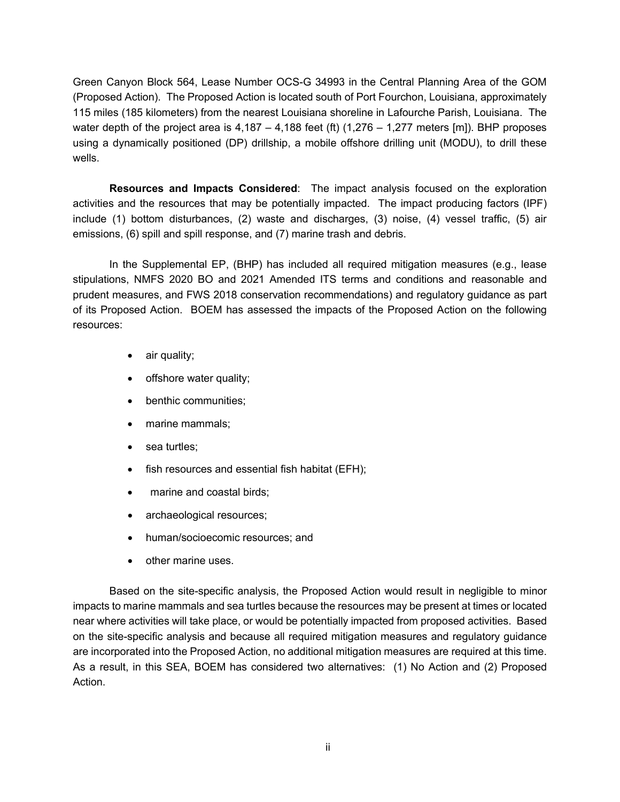Green Canyon Block 564, Lease Number OCS-G 34993 in the Central Planning Area of the GOM (Proposed Action). The Proposed Action is located south of Port Fourchon, Louisiana, approximately 115 miles (185 kilometers) from the nearest Louisiana shoreline in Lafourche Parish, Louisiana. The water depth of the project area is  $4,187 - 4,188$  feet (ft)  $(1,276 - 1,277$  meters [m]). BHP proposes using a dynamically positioned (DP) drillship, a mobile offshore drilling unit (MODU), to drill these wells.

**Resources and Impacts Considered**: The impact analysis focused on the exploration activities and the resources that may be potentially impacted. The impact producing factors (IPF) include (1) bottom disturbances, (2) waste and discharges, (3) noise, (4) vessel traffic, (5) air emissions, (6) spill and spill response, and (7) marine trash and debris.

In the Supplemental EP, (BHP) has included all required mitigation measures (e.g., lease stipulations, NMFS 2020 BO and 2021 Amended ITS terms and conditions and reasonable and prudent measures, and FWS 2018 conservation recommendations) and regulatory guidance as part of its Proposed Action. BOEM has assessed the impacts of the Proposed Action on the following resources:

- air quality;
- offshore water quality;
- benthic communities;
- marine mammals;
- sea turtles;
- fish resources and essential fish habitat (EFH);
- marine and coastal birds;
- archaeological resources;
- human/socioecomic resources; and
- other marine uses.

Based on the site-specific analysis, the Proposed Action would result in negligible to minor impacts to marine mammals and sea turtles because the resources may be present at times or located near where activities will take place, or would be potentially impacted from proposed activities. Based on the site-specific analysis and because all required mitigation measures and regulatory guidance are incorporated into the Proposed Action, no additional mitigation measures are required at this time. As a result, in this SEA, BOEM has considered two alternatives: (1) No Action and (2) Proposed Action.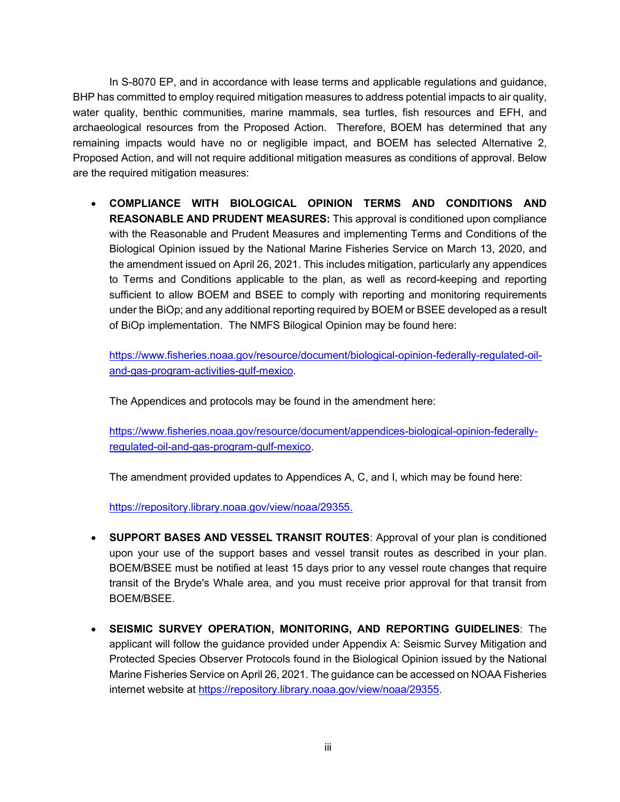In S-8070 EP, and in accordance with lease terms and applicable regulations and guidance, BHP has committed to employ required mitigation measures to address potential impacts to air quality, water quality, benthic communities, marine mammals, sea turtles, fish resources and EFH, and archaeological resources from the Proposed Action. Therefore, BOEM has determined that any remaining impacts would have no or negligible impact, and BOEM has selected Alternative 2, Proposed Action, and will not require additional mitigation measures as conditions of approval. Below are the required mitigation measures:

• **COMPLIANCE WITH BIOLOGICAL OPINION TERMS AND CONDITIONS AND REASONABLE AND PRUDENT MEASURES:** This approval is conditioned upon compliance with the Reasonable and Prudent Measures and implementing Terms and Conditions of the Biological Opinion issued by the National Marine Fisheries Service on March 13, 2020, and the amendment issued on April 26, 2021. This includes mitigation, particularly any appendices to Terms and Conditions applicable to the plan, as well as record-keeping and reporting sufficient to allow BOEM and BSEE to comply with reporting and monitoring requirements under the BiOp; and any additional reporting required by BOEM or BSEE developed as a result of BiOp implementation. The NMFS Bilogical Opinion may be found here:

[https://www.fisheries.noaa.gov/resource/document/biological-opinion-federally-regulated-oil](https://www.fisheries.noaa.gov/resource/document/biological-opinion-federally-regulated-oil-and-gas-program-activities-gulf-mexico)[and-gas-program-activities-gulf-mexico.](https://www.fisheries.noaa.gov/resource/document/biological-opinion-federally-regulated-oil-and-gas-program-activities-gulf-mexico)

The Appendices and protocols may be found in the amendment here:

[https://www.fisheries.noaa.gov/resource/document/appendices-biological-opinion-federally](https://www.fisheries.noaa.gov/resource/document/appendices-biological-opinion-federally-regulated-oil-and-gas-program-gulf-mexico)[regulated-oil-and-gas-program-gulf-mexico.](https://www.fisheries.noaa.gov/resource/document/appendices-biological-opinion-federally-regulated-oil-and-gas-program-gulf-mexico)

The amendment provided updates to Appendices A, C, and I, which may be found here:

[https://repository.library.noaa.gov/view/noaa/29355.](https://gcc02.safelinks.protection.outlook.com/?url=https%3A%2F%2Frepository.library.noaa.gov%2Fview%2Fnoaa%2F29355&data=04%7C01%7Cbeth.nord%40boem.gov%7C25100aedc2744115c11f08d90b33a699%7C0693b5ba4b184d7b9341f32f400a5494%7C0%7C0%7C637553138746196532%7CUnknown%7CTWFpbGZsb3d8eyJWIjoiMC4wLjAwMDAiLCJQIjoiV2luMzIiLCJBTiI6Ik1haWwiLCJXVCI6Mn0%3D%7C1000&sdata=M%2Feo3AkaFQ%2BjwN1c1uT72XLP1KaWT00y7pHI1Q6GiFs%3D&reserved=0)

- **SUPPORT BASES AND VESSEL TRANSIT ROUTES**: Approval of your plan is conditioned upon your use of the support bases and vessel transit routes as described in your plan. BOEM/BSEE must be notified at least 15 days prior to any vessel route changes that require transit of the Bryde's Whale area, and you must receive prior approval for that transit from BOEM/BSEE.
- **SEISMIC SURVEY OPERATION, MONITORING, AND REPORTING GUIDELINES**: The applicant will follow the guidance provided under Appendix A: Seismic Survey Mitigation and Protected Species Observer Protocols found in the Biological Opinion issued by the National Marine Fisheries Service on April 26, 2021. The guidance can be accessed on NOAA Fisheries internet website at [https://repository.library.noaa.gov/view/noaa/29355.](https://gcc02.safelinks.protection.outlook.com/?url=https%3A%2F%2Frepository.library.noaa.gov%2Fview%2Fnoaa%2F29355&data=04%7C01%7Cbeth.nord%40boem.gov%7C25100aedc2744115c11f08d90b33a699%7C0693b5ba4b184d7b9341f32f400a5494%7C0%7C0%7C637553138746196532%7CUnknown%7CTWFpbGZsb3d8eyJWIjoiMC4wLjAwMDAiLCJQIjoiV2luMzIiLCJBTiI6Ik1haWwiLCJXVCI6Mn0%3D%7C1000&sdata=M%2Feo3AkaFQ%2BjwN1c1uT72XLP1KaWT00y7pHI1Q6GiFs%3D&reserved=0)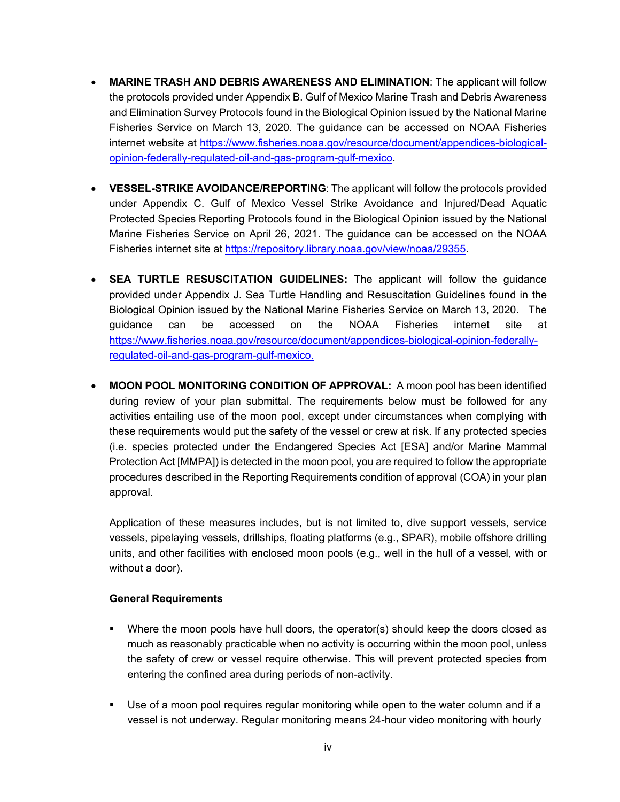- **MARINE TRASH AND DEBRIS AWARENESS AND ELIMINATION**: The applicant will follow the protocols provided under Appendix B. Gulf of Mexico Marine Trash and Debris Awareness and Elimination Survey Protocols found in the Biological Opinion issued by the National Marine Fisheries Service on March 13, 2020. The guidance can be accessed on NOAA Fisheries internet website at [https://www.fisheries.noaa.gov/resource/document/appendices-biological](https://www.fisheries.noaa.gov/resource/document/appendices-biological-opinion-federally-regulated-oil-and-gas-program-gulf-mexico)[opinion-federally-regulated-oil-and-gas-program-gulf-mexico.](https://www.fisheries.noaa.gov/resource/document/appendices-biological-opinion-federally-regulated-oil-and-gas-program-gulf-mexico)
- **VESSEL-STRIKE AVOIDANCE/REPORTING**: The applicant will follow the protocols provided under Appendix C. Gulf of Mexico Vessel Strike Avoidance and Injured/Dead Aquatic Protected Species Reporting Protocols found in the Biological Opinion issued by the National Marine Fisheries Service on April 26, 2021. The guidance can be accessed on the NOAA Fisheries internet site at [https://repository.library.noaa.gov/view/noaa/29355.](https://gcc02.safelinks.protection.outlook.com/?url=https%3A%2F%2Frepository.library.noaa.gov%2Fview%2Fnoaa%2F29355&data=04%7C01%7Cbeth.nord%40boem.gov%7C25100aedc2744115c11f08d90b33a699%7C0693b5ba4b184d7b9341f32f400a5494%7C0%7C0%7C637553138746196532%7CUnknown%7CTWFpbGZsb3d8eyJWIjoiMC4wLjAwMDAiLCJQIjoiV2luMzIiLCJBTiI6Ik1haWwiLCJXVCI6Mn0%3D%7C1000&sdata=M%2Feo3AkaFQ%2BjwN1c1uT72XLP1KaWT00y7pHI1Q6GiFs%3D&reserved=0)
- **SEA TURTLE RESUSCITATION GUIDELINES:** The applicant will follow the guidance provided under Appendix J. Sea Turtle Handling and Resuscitation Guidelines found in the Biological Opinion issued by the National Marine Fisheries Service on March 13, 2020. The guidance can be accessed on the NOAA Fisheries internet site at [https://www.fisheries.noaa.gov/resource/document/appendices-biological-opinion-federally](https://www.fisheries.noaa.gov/resource/document/appendices-biological-opinion-federally-regulated-oil-and-gas-program-gulf-mexico)[regulated-oil-and-gas-program-gulf-mexico.](https://www.fisheries.noaa.gov/resource/document/appendices-biological-opinion-federally-regulated-oil-and-gas-program-gulf-mexico)
- **MOON POOL MONITORING CONDITION OF APPROVAL:** A moon pool has been identified during review of your plan submittal. The requirements below must be followed for any activities entailing use of the moon pool, except under circumstances when complying with these requirements would put the safety of the vessel or crew at risk. If any protected species (i.e. species protected under the Endangered Species Act [ESA] and/or Marine Mammal Protection Act [MMPA]) is detected in the moon pool, you are required to follow the appropriate procedures described in the Reporting Requirements condition of approval (COA) in your plan approval.

Application of these measures includes, but is not limited to, dive support vessels, service vessels, pipelaying vessels, drillships, floating platforms (e.g., SPAR), mobile offshore drilling units, and other facilities with enclosed moon pools (e.g., well in the hull of a vessel, with or without a door).

### **General Requirements**

- Where the moon pools have hull doors, the operator(s) should keep the doors closed as much as reasonably practicable when no activity is occurring within the moon pool, unless the safety of crew or vessel require otherwise. This will prevent protected species from entering the confined area during periods of non-activity.
- Use of a moon pool requires regular monitoring while open to the water column and if a vessel is not underway. Regular monitoring means 24-hour video monitoring with hourly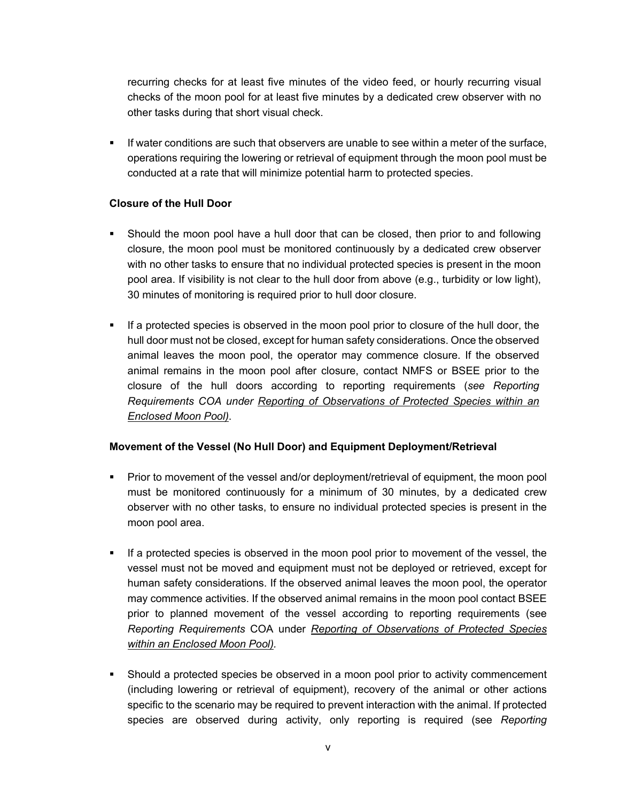recurring checks for at least five minutes of the video feed, or hourly recurring visual checks of the moon pool for at least five minutes by a dedicated crew observer with no other tasks during that short visual check.

If water conditions are such that observers are unable to see within a meter of the surface, operations requiring the lowering or retrieval of equipment through the moon pool must be conducted at a rate that will minimize potential harm to protected species.

### **Closure of the Hull Door**

- Should the moon pool have a hull door that can be closed, then prior to and following closure, the moon pool must be monitored continuously by a dedicated crew observer with no other tasks to ensure that no individual protected species is present in the moon pool area. If visibility is not clear to the hull door from above (e.g., turbidity or low light), 30 minutes of monitoring is required prior to hull door closure.
- If a protected species is observed in the moon pool prior to closure of the hull door, the hull door must not be closed, except for human safety considerations. Once the observed animal leaves the moon pool, the operator may commence closure. If the observed animal remains in the moon pool after closure, contact NMFS or BSEE prior to the closure of the hull doors according to reporting requirements (*see Reporting Requirements COA under Reporting of Observations of Protected Species within an Enclosed Moon Pool)*.

### **Movement of the Vessel (No Hull Door) and Equipment Deployment/Retrieval**

- Prior to movement of the vessel and/or deployment/retrieval of equipment, the moon pool must be monitored continuously for a minimum of 30 minutes, by a dedicated crew observer with no other tasks, to ensure no individual protected species is present in the moon pool area.
- **If a protected species is observed in the moon pool prior to movement of the vessel, the** vessel must not be moved and equipment must not be deployed or retrieved, except for human safety considerations. If the observed animal leaves the moon pool, the operator may commence activities. If the observed animal remains in the moon pool contact BSEE prior to planned movement of the vessel according to reporting requirements (see *Reporting Requirements* COA under *Reporting of Observations of Protected Species within an Enclosed Moon Pool).*
- Should a protected species be observed in a moon pool prior to activity commencement (including lowering or retrieval of equipment), recovery of the animal or other actions specific to the scenario may be required to prevent interaction with the animal. If protected species are observed during activity, only reporting is required (see *Reporting*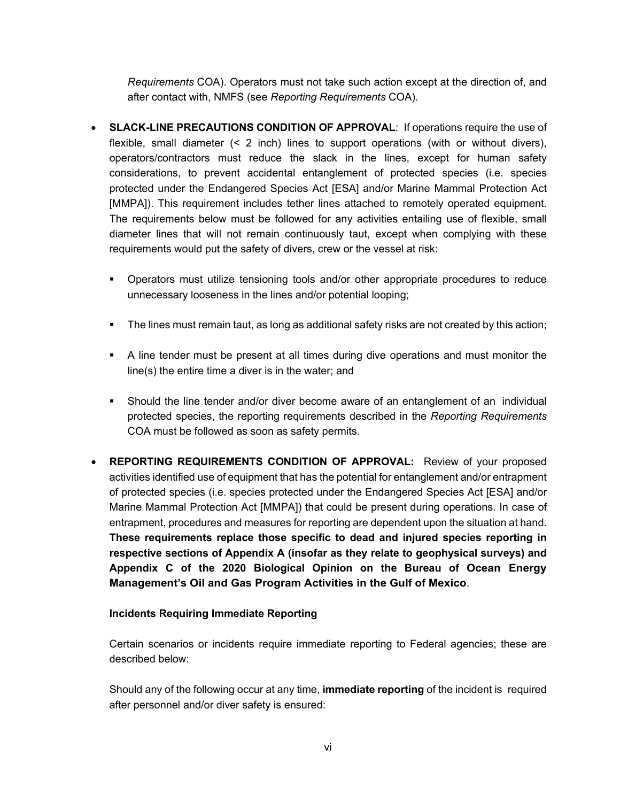*Requirements* COA). Operators must not take such action except at the direction of, and after contact with, NMFS (see *Reporting Requirements* COA).

- **SLACK-LINE PRECAUTIONS CONDITION OF APPROVAL**: If operations require the use of flexible, small diameter (< 2 inch) lines to support operations (with or without divers), operators/contractors must reduce the slack in the lines, except for human safety considerations, to prevent accidental entanglement of protected species (i.e. species protected under the Endangered Species Act [ESA] and/or Marine Mammal Protection Act [MMPA]). This requirement includes tether lines attached to remotely operated equipment. The requirements below must be followed for any activities entailing use of flexible, small diameter lines that will not remain continuously taut, except when complying with these requirements would put the safety of divers, crew or the vessel at risk:
	- Operators must utilize tensioning tools and/or other appropriate procedures to reduce unnecessary looseness in the lines and/or potential looping;
	- The lines must remain taut, as long as additional safety risks are not created by this action;
	- A line tender must be present at all times during dive operations and must monitor the line(s) the entire time a diver is in the water; and
	- Should the line tender and/or diver become aware of an entanglement of an individual protected species, the reporting requirements described in the *Reporting Requirements* COA must be followed as soon as safety permits.
- **REPORTING REQUIREMENTS CONDITION OF APPROVAL:** Review of your proposed activities identified use of equipment that has the potential for entanglement and/or entrapment of protected species (i.e. species protected under the Endangered Species Act [ESA] and/or Marine Mammal Protection Act [MMPA]) that could be present during operations. In case of entrapment, procedures and measures for reporting are dependent upon the situation at hand. **These requirements replace those specific to dead and injured species reporting in respective sections of Appendix A (insofar as they relate to geophysical surveys) and Appendix C of the 2020 Biological Opinion on the Bureau of Ocean Energy Management's Oil and Gas Program Activities in the Gulf of Mexico**.

### **Incidents Requiring Immediate Reporting**

Certain scenarios or incidents require immediate reporting to Federal agencies; these are described below:

Should any of the following occur at any time, **immediate reporting** of the incident is required after personnel and/or diver safety is ensured: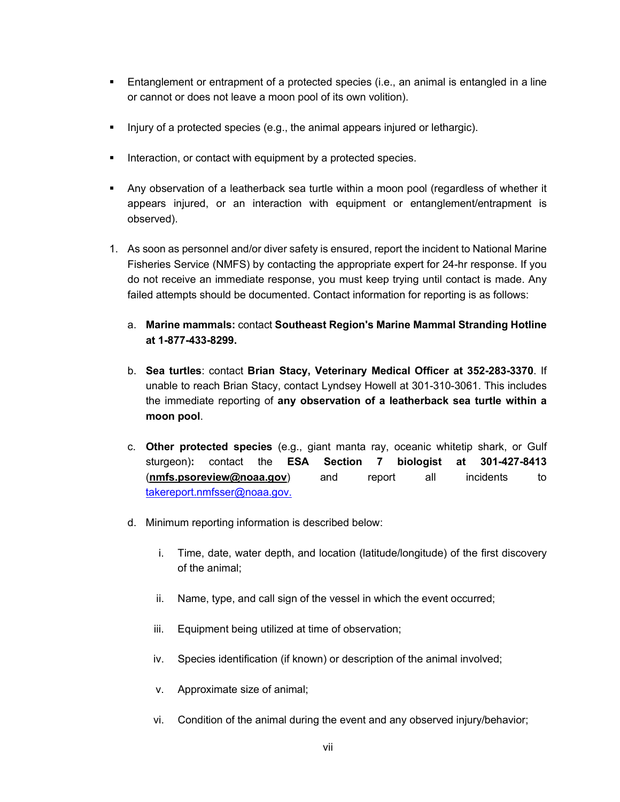- Entanglement or entrapment of a protected species (i.e., an animal is entangled in a line or cannot or does not leave a moon pool of its own volition).
- **Injury of a protected species (e.g., the animal appears injured or lethargic).**
- **Interaction, or contact with equipment by a protected species.**
- Any observation of a leatherback sea turtle within a moon pool (regardless of whether it appears injured, or an interaction with equipment or entanglement/entrapment is observed).
- 1. As soon as personnel and/or diver safety is ensured, report the incident to National Marine Fisheries Service (NMFS) by contacting the appropriate expert for 24-hr response. If you do not receive an immediate response, you must keep trying until contact is made. Any failed attempts should be documented. Contact information for reporting is as follows:
	- a. **Marine mammals:** contact **Southeast Region's Marine Mammal Stranding Hotline at 1-877-433-8299.**
	- b. **Sea turtles**: contact **Brian Stacy, Veterinary Medical Officer at 352-283-3370**. If unable to reach Brian Stacy, contact Lyndsey Howell at 301-310-3061. This includes the immediate reporting of **any observation of a leatherback sea turtle within a moon pool**.
	- c. **Other protected species** (e.g., giant manta ray, oceanic whitetip shark, or Gulf sturgeon)**:** contact the **ESA Section 7 biologist at 301-427-8413**  (**[nmfs.psoreview@noaa.gov](mailto:nmfs.psoreview@noaa.gov)**) and report all incidents to [takereport.nmfsser@noaa.gov.](mailto:takereport.nmfsser@noaa.gov.)
	- d. Minimum reporting information is described below:
		- i. Time, date, water depth, and location (latitude/longitude) of the first discovery of the animal;
		- ii. Name, type, and call sign of the vessel in which the event occurred;
		- iii. Equipment being utilized at time of observation;
		- iv. Species identification (if known) or description of the animal involved;
		- v. Approximate size of animal;
		- vi. Condition of the animal during the event and any observed injury/behavior;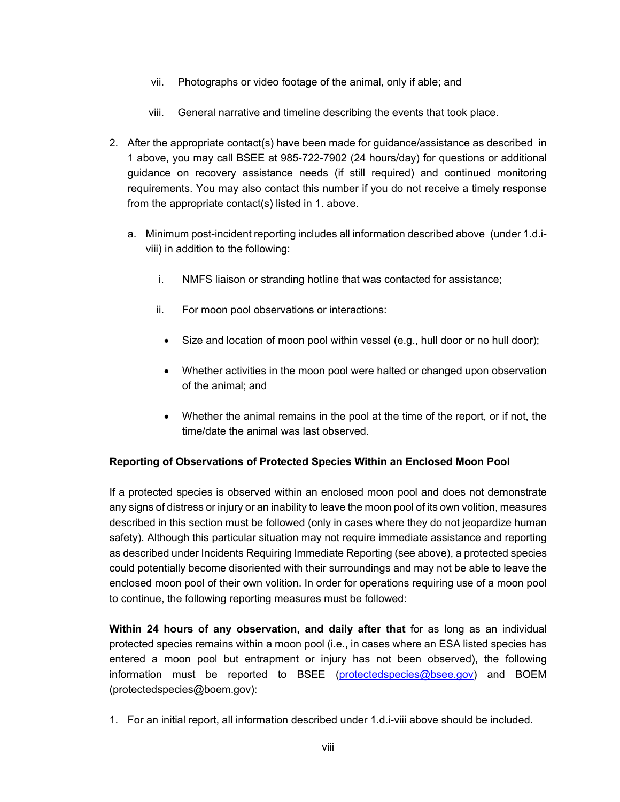- vii. Photographs or video footage of the animal, only if able; and
- viii. General narrative and timeline describing the events that took place.
- 2. After the appropriate contact(s) have been made for guidance/assistance as described in 1 above, you may call BSEE at 985-722-7902 (24 hours/day) for questions or additional guidance on recovery assistance needs (if still required) and continued monitoring requirements. You may also contact this number if you do not receive a timely response from the appropriate contact(s) listed in 1. above.
	- a. Minimum post-incident reporting includes all information described above (under 1.d.iviii) in addition to the following:
		- i. NMFS liaison or stranding hotline that was contacted for assistance;
		- ii. For moon pool observations or interactions:
			- Size and location of moon pool within vessel (e.g., hull door or no hull door);
			- Whether activities in the moon pool were halted or changed upon observation of the animal; and
			- Whether the animal remains in the pool at the time of the report, or if not, the time/date the animal was last observed.

# **Reporting of Observations of Protected Species Within an Enclosed Moon Pool**

If a protected species is observed within an enclosed moon pool and does not demonstrate any signs of distress or injury or an inability to leave the moon pool of its own volition, measures described in this section must be followed (only in cases where they do not jeopardize human safety). Although this particular situation may not require immediate assistance and reporting as described under Incidents Requiring Immediate Reporting (see above), a protected species could potentially become disoriented with their surroundings and may not be able to leave the enclosed moon pool of their own volition. In order for operations requiring use of a moon pool to continue, the following reporting measures must be followed:

**Within 24 hours of any observation, and daily after that** for as long as an individual protected species remains within a moon pool (i.e., in cases where an ESA listed species has entered a moon pool but entrapment or injury has not been observed), the following information must be reported to BSEE [\(protectedspecies@bsee.gov\)](mailto:protectedspecies@bsee.gov) and BOEM (protectedspecies@boem.gov):

1. For an initial report, all information described under 1.d.i-viii above should be included.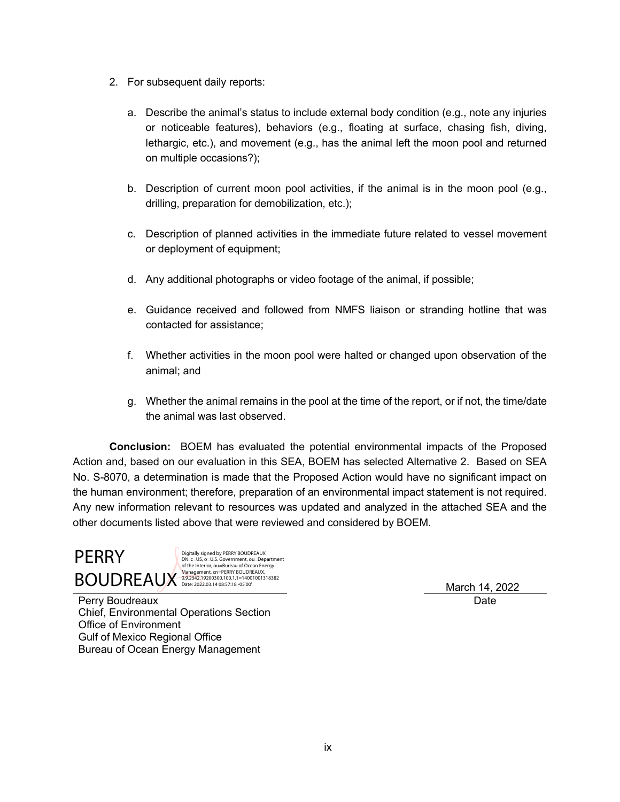- 2. For subsequent daily reports:
	- a. Describe the animal's status to include external body condition (e.g., note any injuries or noticeable features), behaviors (e.g., floating at surface, chasing fish, diving, lethargic, etc.), and movement (e.g., has the animal left the moon pool and returned on multiple occasions?);
	- b. Description of current moon pool activities, if the animal is in the moon pool (e.g., drilling, preparation for demobilization, etc.);
	- c. Description of planned activities in the immediate future related to vessel movement or deployment of equipment;
	- d. Any additional photographs or video footage of the animal, if possible;
	- e. Guidance received and followed from NMFS liaison or stranding hotline that was contacted for assistance;
	- f. Whether activities in the moon pool were halted or changed upon observation of the animal; and
	- g. Whether the animal remains in the pool at the time of the report, or if not, the time/date the animal was last observed.

**Conclusion:** BOEM has evaluated the potential environmental impacts of the Proposed Action and, based on our evaluation in this SEA, BOEM has selected Alternative 2. Based on SEA No. S-8070, a determination is made that the Proposed Action would have no significant impact on the human environment; therefore, preparation of an environmental impact statement is not required. Any new information relevant to resources was updated and analyzed in the attached SEA and the other documents listed above that were reviewed and considered by BOEM.

# PERRY BOUDREAUX Management, cn=PERRY BOUDREAUX, Date: 2022.03.14 08:57:18 -05'00'

Digitally signed by PERRY BOUDREAUX DN: c=US, o=U.S. Government, ou=Department of the Interior, ou=Bureau of Ocean Energy

Date March 14, 2022

Perry Boudreaux Chief, Environmental Operations Section Office of Environment Gulf of Mexico Regional Office Bureau of Ocean Energy Management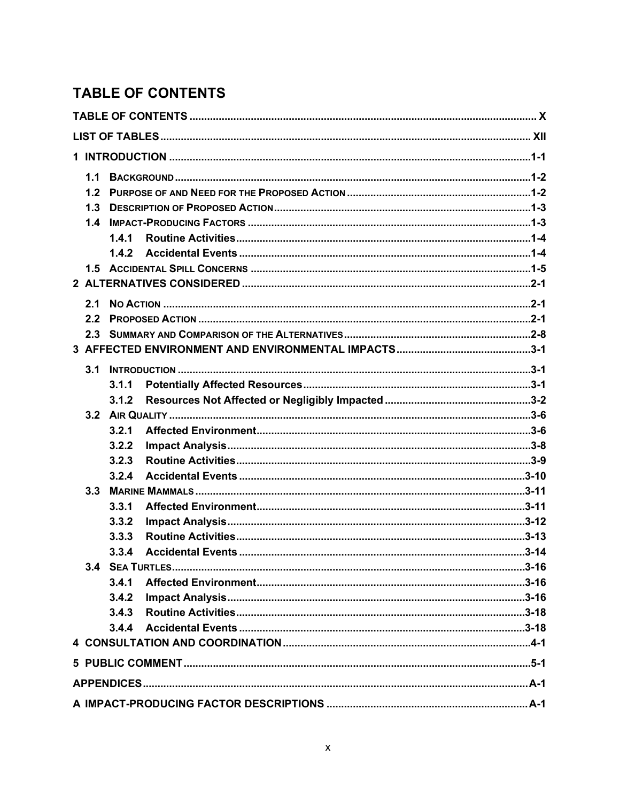# <span id="page-10-0"></span>**TABLE OF CONTENTS**

| 1.1                                                                  |       |  |  |  |
|----------------------------------------------------------------------|-------|--|--|--|
| 1.2                                                                  |       |  |  |  |
| 1.3                                                                  |       |  |  |  |
| IMPACT-PRODUCING FACTORS ………………………………………………………………………………………1-3<br>1.4 |       |  |  |  |
|                                                                      | 1.4.1 |  |  |  |
|                                                                      | 1.4.2 |  |  |  |
|                                                                      |       |  |  |  |
|                                                                      |       |  |  |  |
| 2.1                                                                  |       |  |  |  |
| 2.2                                                                  |       |  |  |  |
|                                                                      |       |  |  |  |
|                                                                      |       |  |  |  |
| 3.1                                                                  |       |  |  |  |
|                                                                      | 3.1.1 |  |  |  |
|                                                                      | 3.1.2 |  |  |  |
|                                                                      |       |  |  |  |
|                                                                      | 3.2.1 |  |  |  |
|                                                                      | 3.2.2 |  |  |  |
|                                                                      | 3.2.3 |  |  |  |
|                                                                      | 3.2.4 |  |  |  |
| 3.3                                                                  |       |  |  |  |
|                                                                      | 3.3.1 |  |  |  |
|                                                                      | 3.3.2 |  |  |  |
|                                                                      | 3.3.3 |  |  |  |
|                                                                      | 3.3.4 |  |  |  |
|                                                                      |       |  |  |  |
|                                                                      | 3.4.1 |  |  |  |
|                                                                      | 3.4.2 |  |  |  |
|                                                                      | 3.4.3 |  |  |  |
|                                                                      | 3.4.4 |  |  |  |
|                                                                      |       |  |  |  |
|                                                                      |       |  |  |  |
|                                                                      |       |  |  |  |
|                                                                      |       |  |  |  |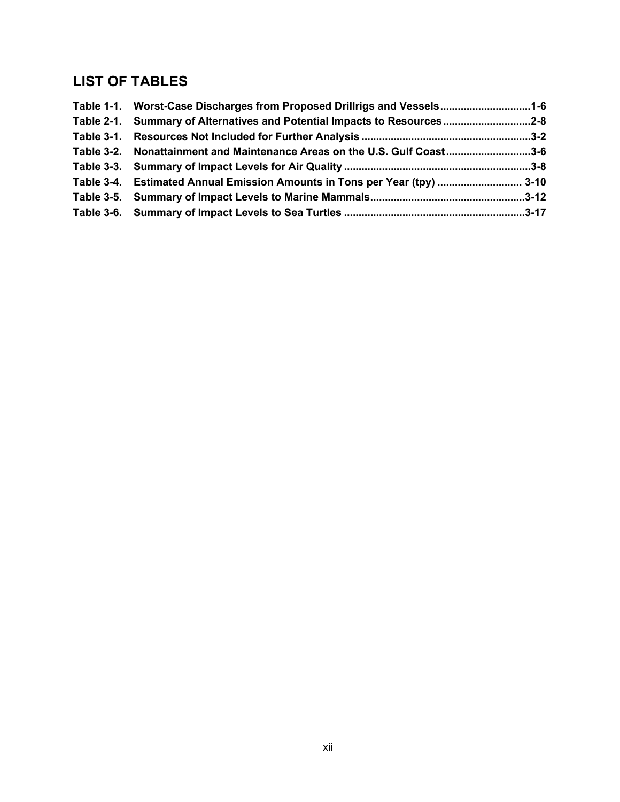# <span id="page-12-0"></span>**LIST OF TABLES**

| Table 1-1. Worst-Case Discharges from Proposed Drillrigs and Vessels1-6   |  |
|---------------------------------------------------------------------------|--|
| Table 2-1. Summary of Alternatives and Potential Impacts to Resources2-8  |  |
|                                                                           |  |
| Table 3-2. Nonattainment and Maintenance Areas on the U.S. Gulf Coast3-6  |  |
|                                                                           |  |
| Table 3-4. Estimated Annual Emission Amounts in Tons per Year (tpy)  3-10 |  |
|                                                                           |  |
|                                                                           |  |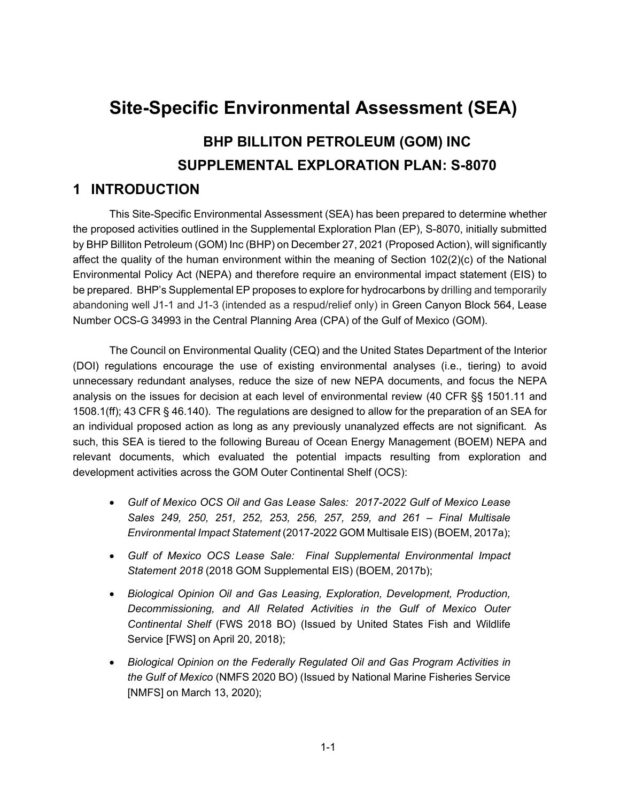# **Site-Specific Environmental Assessment (SEA) BHP BILLITON PETROLEUM (GOM) INC SUPPLEMENTAL EXPLORATION PLAN: S-8070**

# <span id="page-13-0"></span>**1 INTRODUCTION**

This Site-Specific Environmental Assessment (SEA) has been prepared to determine whether the proposed activities outlined in the Supplemental Exploration Plan (EP), S-8070, initially submitted by BHP Billiton Petroleum (GOM) Inc (BHP) on December 27, 2021 (Proposed Action), will significantly affect the quality of the human environment within the meaning of Section 102(2)(c) of the National Environmental Policy Act (NEPA) and therefore require an environmental impact statement (EIS) to be prepared. BHP's Supplemental EP proposes to explore for hydrocarbons by drilling and temporarily abandoning well J1-1 and J1-3 (intended as a respud/relief only) in Green Canyon Block 564, Lease Number OCS-G 34993 in the Central Planning Area (CPA) of the Gulf of Mexico (GOM).

The Council on Environmental Quality (CEQ) and the United States Department of the Interior (DOI) regulations encourage the use of existing environmental analyses (i.e., tiering) to avoid unnecessary redundant analyses, reduce the size of new NEPA documents, and focus the NEPA analysis on the issues for decision at each level of environmental review (40 CFR §§ 1501.11 and 1508.1(ff); 43 CFR § 46.140). The regulations are designed to allow for the preparation of an SEA for an individual proposed action as long as any previously unanalyzed effects are not significant. As such, this SEA is tiered to the following Bureau of Ocean Energy Management (BOEM) NEPA and relevant documents, which evaluated the potential impacts resulting from exploration and development activities across the GOM Outer Continental Shelf (OCS):

- *Gulf of Mexico OCS Oil and Gas Lease Sales: 2017-2022 Gulf of Mexico Lease Sales 249, 250, 251, 252, 253, 256, 257, 259, and 261 – Final Multisale Environmental Impact Statement* (2017-2022 GOM Multisale EIS) (BOEM, 2017a);
- *Gulf of Mexico OCS Lease Sale: Final Supplemental Environmental Impact Statement 2018* (2018 GOM Supplemental EIS) (BOEM, 2017b);
- *Biological Opinion Oil and Gas Leasing, Exploration, Development, Production, Decommissioning, and All Related Activities in the Gulf of Mexico Outer Continental Shelf* (FWS 2018 BO) (Issued by United States Fish and Wildlife Service [FWS] on April 20, 2018);
- *Biological Opinion on the Federally Regulated Oil and Gas Program Activities in the Gulf of Mexico* (NMFS 2020 BO) (Issued by National Marine Fisheries Service [NMFS] on March 13, 2020);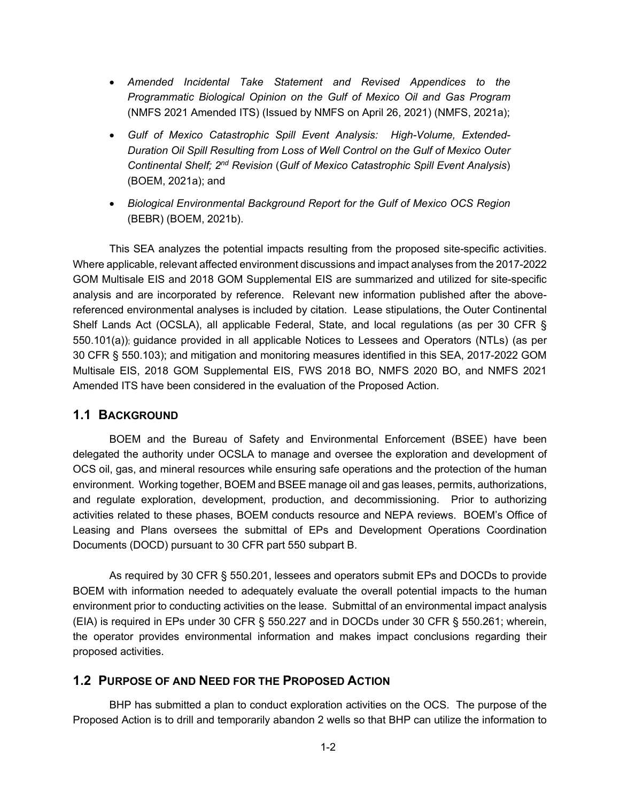- *Amended Incidental Take Statement and Revised Appendices to the Programmatic Biological Opinion on the Gulf of Mexico Oil and Gas Program* (NMFS 2021 Amended ITS) (Issued by NMFS on April 26, 2021) (NMFS, 2021a);
- *Gulf of Mexico Catastrophic Spill Event Analysis: High-Volume, Extended-Duration Oil Spill Resulting from Loss of Well Control on the Gulf of Mexico Outer Continental Shelf; 2nd Revision* (*Gulf of Mexico Catastrophic Spill Event Analysis*) (BOEM, 2021a); and
- *Biological Environmental Background Report for the Gulf of Mexico OCS Region* (BEBR) (BOEM, 2021b).

This SEA analyzes the potential impacts resulting from the proposed site-specific activities. Where applicable, relevant affected environment discussions and impact analyses from the 2017-2022 GOM Multisale EIS and 2018 GOM Supplemental EIS are summarized and utilized for site-specific analysis and are incorporated by reference. Relevant new information published after the abovereferenced environmental analyses is included by citation. Lease stipulations, the Outer Continental Shelf Lands Act (OCSLA), all applicable Federal, State, and local regulations (as per 30 CFR § 550.101(a)); guidance provided in all applicable Notices to Lessees and Operators (NTLs) (as per 30 CFR § 550.103); and mitigation and monitoring measures identified in this SEA, 2017-2022 GOM Multisale EIS, 2018 GOM Supplemental EIS, FWS 2018 BO, NMFS 2020 BO, and NMFS 2021 Amended ITS have been considered in the evaluation of the Proposed Action.

# <span id="page-14-0"></span>**1.1 BACKGROUND**

BOEM and the Bureau of Safety and Environmental Enforcement (BSEE) have been delegated the authority under OCSLA to manage and oversee the exploration and development of OCS oil, gas, and mineral resources while ensuring safe operations and the protection of the human environment. Working together, BOEM and BSEE manage oil and gas leases, permits, authorizations, and regulate exploration, development, production, and decommissioning. Prior to authorizing activities related to these phases, BOEM conducts resource and NEPA reviews. BOEM's Office of Leasing and Plans oversees the submittal of EPs and Development Operations Coordination Documents (DOCD) pursuant to 30 CFR part 550 subpart B.

As required by 30 CFR § 550.201, lessees and operators submit EPs and DOCDs to provide BOEM with information needed to adequately evaluate the overall potential impacts to the human environment prior to conducting activities on the lease. Submittal of an environmental impact analysis (EIA) is required in EPs under 30 CFR § 550.227 and in DOCDs under 30 CFR § 550.261; wherein, the operator provides environmental information and makes impact conclusions regarding their proposed activities.

# <span id="page-14-1"></span>**1.2 PURPOSE OF AND NEED FOR THE PROPOSED ACTION**

BHP has submitted a plan to conduct exploration activities on the OCS. The purpose of the Proposed Action is to drill and temporarily abandon 2 wells so that BHP can utilize the information to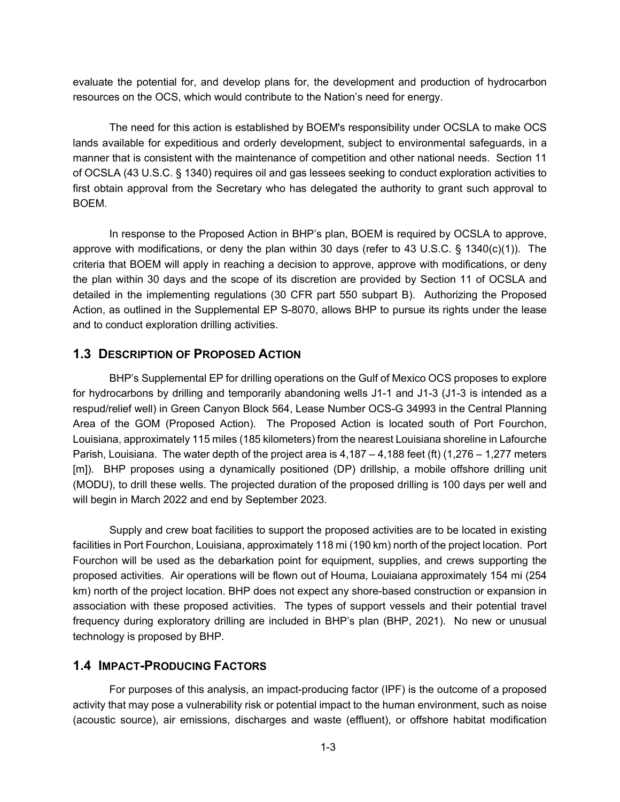evaluate the potential for, and develop plans for, the development and production of hydrocarbon resources on the OCS, which would contribute to the Nation's need for energy.

The need for this action is established by BOEM's responsibility under OCSLA to make OCS lands available for expeditious and orderly development, subject to environmental safeguards, in a manner that is consistent with the maintenance of competition and other national needs. Section 11 of OCSLA (43 U.S.C. § 1340) requires oil and gas lessees seeking to conduct exploration activities to first obtain approval from the Secretary who has delegated the authority to grant such approval to BOEM.

In response to the Proposed Action in BHP's plan, BOEM is required by OCSLA to approve, approve with modifications, or deny the plan within 30 days (refer to 43 U.S.C. § 1340(c)(1)). The criteria that BOEM will apply in reaching a decision to approve, approve with modifications, or deny the plan within 30 days and the scope of its discretion are provided by Section 11 of OCSLA and detailed in the implementing regulations (30 CFR part 550 subpart B). Authorizing the Proposed Action, as outlined in the Supplemental EP S-8070, allows BHP to pursue its rights under the lease and to conduct exploration drilling activities.

### <span id="page-15-0"></span>**1.3 DESCRIPTION OF PROPOSED ACTION**

BHP's Supplemental EP for drilling operations on the Gulf of Mexico OCS proposes to explore for hydrocarbons by drilling and temporarily abandoning wells J1-1 and J1-3 (J1-3 is intended as a respud/relief well) in Green Canyon Block 564, Lease Number OCS-G 34993 in the Central Planning Area of the GOM (Proposed Action). The Proposed Action is located south of Port Fourchon, Louisiana, approximately 115 miles (185 kilometers) from the nearest Louisiana shoreline in Lafourche Parish, Louisiana. The water depth of the project area is  $4,187 - 4,188$  feet (ft) (1,276 – 1,277 meters [m]). BHP proposes using a dynamically positioned (DP) drillship, a mobile offshore drilling unit (MODU), to drill these wells. The projected duration of the proposed drilling is 100 days per well and will begin in March 2022 and end by September 2023.

Supply and crew boat facilities to support the proposed activities are to be located in existing facilities in Port Fourchon, Louisiana, approximately 118 mi (190 km) north of the project location. Port Fourchon will be used as the debarkation point for equipment, supplies, and crews supporting the proposed activities. Air operations will be flown out of Houma, Louiaiana approximately 154 mi (254 km) north of the project location. BHP does not expect any shore-based construction or expansion in association with these proposed activities. The types of support vessels and their potential travel frequency during exploratory drilling are included in BHP's plan (BHP, 2021). No new or unusual technology is proposed by BHP.

# <span id="page-15-1"></span>**1.4 IMPACT-PRODUCING FACTORS**

For purposes of this analysis, an impact-producing factor (IPF) is the outcome of a proposed activity that may pose a vulnerability risk or potential impact to the human environment, such as noise (acoustic source), air emissions, discharges and waste (effluent), or offshore habitat modification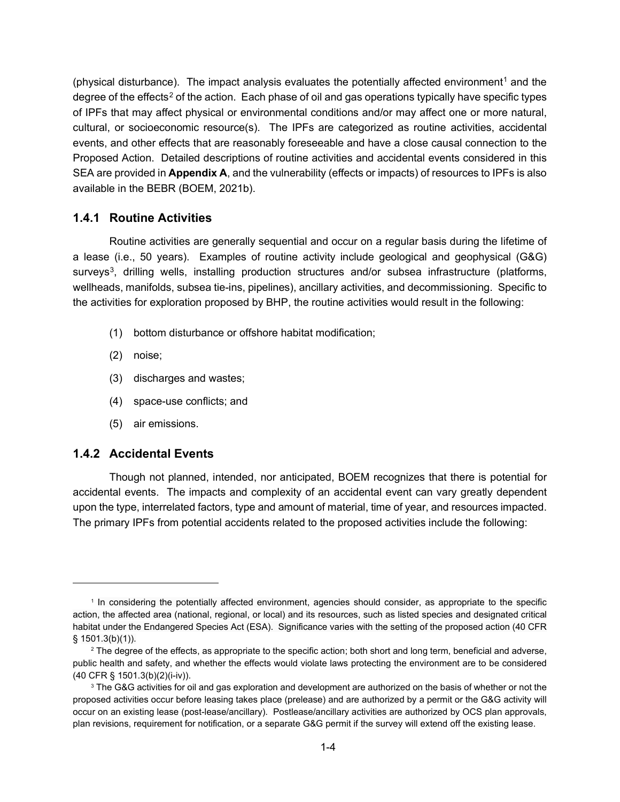(physical disturbance). The impact analysis evaluates the potentially affected environment<sup>[1](#page-16-2)</sup> and the degree of the effects<sup>[2](#page-16-3)</sup> of the action. Each phase of oil and gas operations typically have specific types of IPFs that may affect physical or environmental conditions and/or may affect one or more natural, cultural, or socioeconomic resource(s). The IPFs are categorized as routine activities, accidental events, and other effects that are reasonably foreseeable and have a close causal connection to the Proposed Action. Detailed descriptions of routine activities and accidental events considered in this SEA are provided in **Appendix A**, and the vulnerability (effects or impacts) of resources to IPFs is also available in the BEBR (BOEM, 2021b).

### <span id="page-16-0"></span>**1.4.1 Routine Activities**

Routine activities are generally sequential and occur on a regular basis during the lifetime of a lease (i.e., 50 years). Examples of routine activity include geological and geophysical (G&G) surveys<sup>3</sup>, drilling wells, installing production structures and/or subsea infrastructure (platforms, wellheads, manifolds, subsea tie-ins, pipelines), ancillary activities, and decommissioning. Specific to the activities for exploration proposed by BHP, the routine activities would result in the following:

- (1) bottom disturbance or offshore habitat modification;
- (2) noise;
- (3) discharges and wastes;
- (4) space-use conflicts; and
- (5) air emissions.

# <span id="page-16-1"></span>**1.4.2 Accidental Events**

Though not planned, intended, nor anticipated, BOEM recognizes that there is potential for accidental events. The impacts and complexity of an accidental event can vary greatly dependent upon the type, interrelated factors, type and amount of material, time of year, and resources impacted. The primary IPFs from potential accidents related to the proposed activities include the following:

<span id="page-16-2"></span><sup>1</sup> In considering the potentially affected environment, agencies should consider, as appropriate to the specific action, the affected area (national, regional, or local) and its resources, such as listed species and designated critical habitat under the Endangered Species Act (ESA). Significance varies with the setting of the proposed action (40 CFR § 1501.3(b)(1)).

<span id="page-16-3"></span> $2$  The degree of the effects, as appropriate to the specific action; both short and long term, beneficial and adverse, public health and safety, and whether the effects would violate laws protecting the environment are to be considered (40 CFR § 1501.3(b)(2)(i-iv)).

<span id="page-16-4"></span><sup>&</sup>lt;sup>3</sup> The G&G activities for oil and gas exploration and development are authorized on the basis of whether or not the proposed activities occur before leasing takes place (prelease) and are authorized by a permit or the G&G activity will occur on an existing lease (post-lease/ancillary). Postlease/ancillary activities are authorized by OCS plan approvals, plan revisions, requirement for notification, or a separate G&G permit if the survey will extend off the existing lease.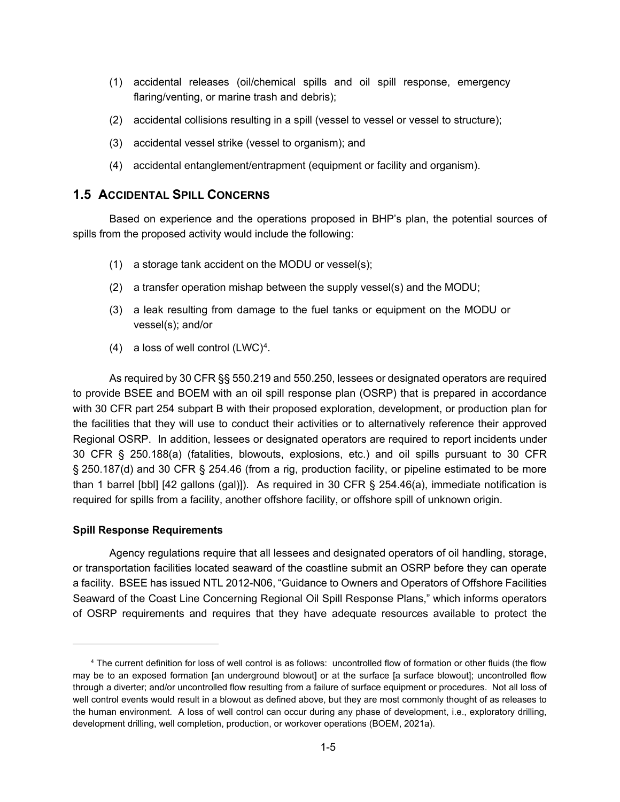- (1) accidental releases (oil/chemical spills and oil spill response, emergency flaring/venting, or marine trash and debris);
- (2) accidental collisions resulting in a spill (vessel to vessel or vessel to structure);
- (3) accidental vessel strike (vessel to organism); and
- (4) accidental entanglement/entrapment (equipment or facility and organism).

## <span id="page-17-0"></span>**1.5 ACCIDENTAL SPILL CONCERNS**

Based on experience and the operations proposed in BHP's plan, the potential sources of spills from the proposed activity would include the following:

- (1) a storage tank accident on the MODU or vessel(s);
- (2) a transfer operation mishap between the supply vessel(s) and the MODU;
- (3) a leak resulting from damage to the fuel tanks or equipment on the MODU or vessel(s); and/or
- (4) a loss of well control  $(LWC)^4$ .

As required by 30 CFR §§ 550.219 and 550.250, lessees or designated operators are required to provide BSEE and BOEM with an oil spill response plan (OSRP) that is prepared in accordance with 30 CFR part 254 subpart B with their proposed exploration, development, or production plan for the facilities that they will use to conduct their activities or to alternatively reference their approved Regional OSRP. In addition, lessees or designated operators are required to report incidents under 30 CFR § 250.188(a) (fatalities, blowouts, explosions, etc.) and oil spills pursuant to 30 CFR § 250.187(d) and 30 CFR § 254.46 (from a rig, production facility, or pipeline estimated to be more than 1 barrel [bbl] [42 gallons (gal)]). As required in 30 CFR § 254.46(a), immediate notification is required for spills from a facility, another offshore facility, or offshore spill of unknown origin.

#### **Spill Response Requirements**

Agency regulations require that all lessees and designated operators of oil handling, storage, or transportation facilities located seaward of the coastline submit an OSRP before they can operate a facility. BSEE has issued NTL 2012-N06, "Guidance to Owners and Operators of Offshore Facilities Seaward of the Coast Line Concerning Regional Oil Spill Response Plans," which informs operators of OSRP requirements and requires that they have adequate resources available to protect the

<span id="page-17-1"></span><sup>4</sup> The current definition for loss of well control is as follows: uncontrolled flow of formation or other fluids (the flow may be to an exposed formation [an underground blowout] or at the surface [a surface blowout]; uncontrolled flow through a diverter; and/or uncontrolled flow resulting from a failure of surface equipment or procedures. Not all loss of well control events would result in a blowout as defined above, but they are most commonly thought of as releases to the human environment. A loss of well control can occur during any phase of development, i.e., exploratory drilling, development drilling, well completion, production, or workover operations (BOEM, 2021a).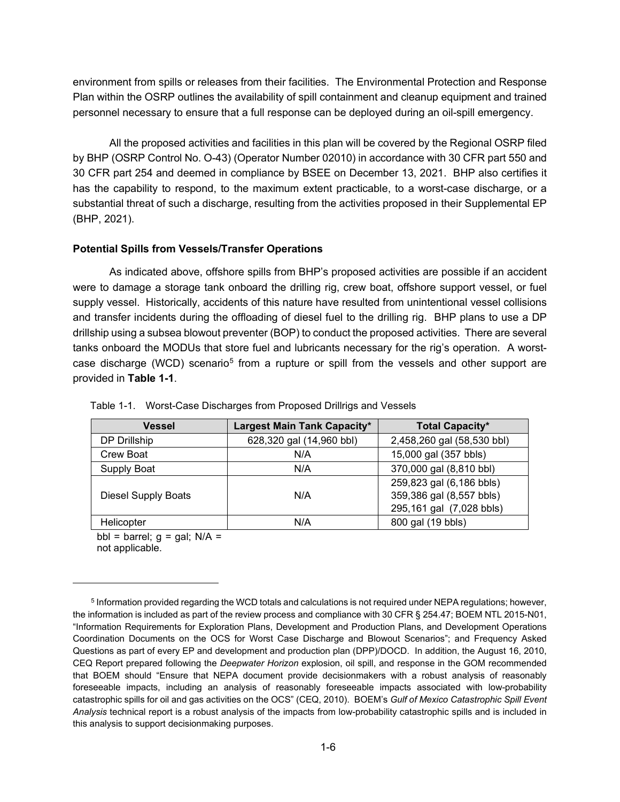environment from spills or releases from their facilities. The Environmental Protection and Response Plan within the OSRP outlines the availability of spill containment and cleanup equipment and trained personnel necessary to ensure that a full response can be deployed during an oil-spill emergency.

All the proposed activities and facilities in this plan will be covered by the Regional OSRP filed by BHP (OSRP Control No. O-43) (Operator Number 02010) in accordance with 30 CFR part 550 and 30 CFR part 254 and deemed in compliance by BSEE on December 13, 2021. BHP also certifies it has the capability to respond, to the maximum extent practicable, to a worst-case discharge, or a substantial threat of such a discharge, resulting from the activities proposed in their Supplemental EP (BHP, 2021).

#### **Potential Spills from Vessels/Transfer Operations**

As indicated above, offshore spills from BHP's proposed activities are possible if an accident were to damage a storage tank onboard the drilling rig, crew boat, offshore support vessel, or fuel supply vessel. Historically, accidents of this nature have resulted from unintentional vessel collisions and transfer incidents during the offloading of diesel fuel to the drilling rig. BHP plans to use a DP drillship using a subsea blowout preventer (BOP) to conduct the proposed activities. There are several tanks onboard the MODUs that store fuel and lubricants necessary for the rig's operation. A worst-case discharge (WCD) scenario<sup>[5](#page-18-1)</sup> from a rupture or spill from the vessels and other support are provided in **Table 1-1**.

| <b>Vessel</b>              | Largest Main Tank Capacity* | <b>Total Capacity*</b>                                                           |
|----------------------------|-----------------------------|----------------------------------------------------------------------------------|
| DP Drillship               | 628,320 gal (14,960 bbl)    | 2,458,260 gal (58,530 bbl)                                                       |
| Crew Boat                  | N/A                         | 15,000 gal (357 bbls)                                                            |
| Supply Boat                | N/A                         | 370,000 gal (8,810 bbl)                                                          |
| <b>Diesel Supply Boats</b> | N/A                         | 259,823 gal (6,186 bbls)<br>359,386 gal (8,557 bbls)<br>295,161 gal (7,028 bbls) |
| Helicopter                 | N/A                         | 800 gal (19 bbls)                                                                |

<span id="page-18-0"></span>Table 1-1. Worst-Case Discharges from Proposed Drillrigs and Vessels

bbl = barrel;  $q = gal$ ;  $N/A =$ not applicable.

<span id="page-18-1"></span><sup>&</sup>lt;sup>5</sup> Information provided regarding the WCD totals and calculations is not required under NEPA regulations; however, the information is included as part of the review process and compliance with 30 CFR § 254.47; BOEM NTL 2015-N01, "Information Requirements for Exploration Plans, Development and Production Plans, and Development Operations Coordination Documents on the OCS for Worst Case Discharge and Blowout Scenarios"; and Frequency Asked Questions as part of every EP and development and production plan (DPP)/DOCD. In addition, the August 16, 2010, CEQ Report prepared following the *Deepwater Horizon* explosion, oil spill, and response in the GOM recommended that BOEM should "Ensure that NEPA document provide decisionmakers with a robust analysis of reasonably foreseeable impacts, including an analysis of reasonably foreseeable impacts associated with low-probability catastrophic spills for oil and gas activities on the OCS" (CEQ, 2010). BOEM's *Gulf of Mexico Catastrophic Spill Event Analysis* technical report is a robust analysis of the impacts from low-probability catastrophic spills and is included in this analysis to support decisionmaking purposes.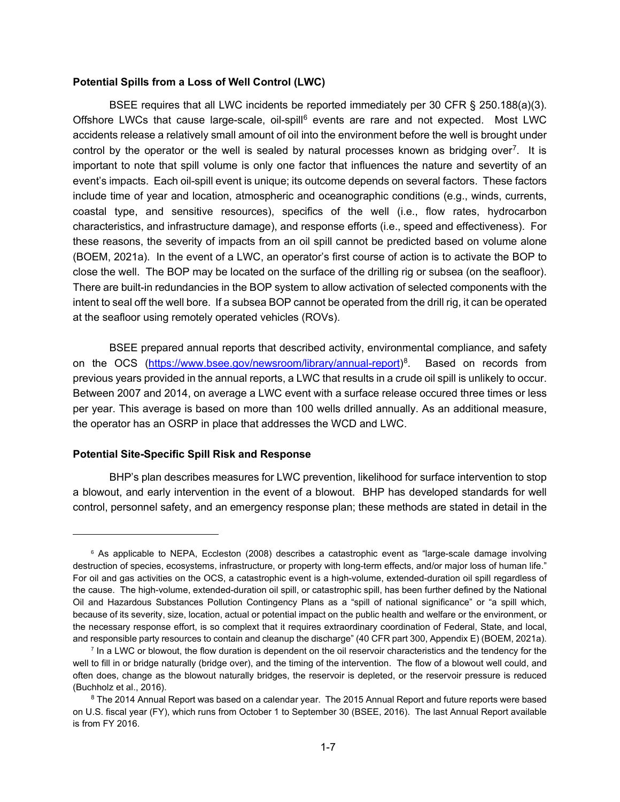#### **Potential Spills from a Loss of Well Control (LWC)**

BSEE requires that all LWC incidents be reported immediately per 30 CFR § 250.188(a)(3). Offshore LWCs that cause large-scale, oil-spill $6$  events are rare and not expected. Most LWC accidents release a relatively small amount of oil into the environment before the well is brought under control by the operator or the well is sealed by natural processes known as bridging over<sup>7</sup>. It is important to note that spill volume is only one factor that influences the nature and severtity of an event's impacts. Each oil-spill event is unique; its outcome depends on several factors. These factors include time of year and location, atmospheric and oceanographic conditions (e.g., winds, currents, coastal type, and sensitive resources), specifics of the well (i.e., flow rates, hydrocarbon characteristics, and infrastructure damage), and response efforts (i.e., speed and effectiveness). For these reasons, the severity of impacts from an oil spill cannot be predicted based on volume alone (BOEM, 2021a). In the event of a LWC, an operator's first course of action is to activate the BOP to close the well. The BOP may be located on the surface of the drilling rig or subsea (on the seafloor). There are built-in redundancies in the BOP system to allow activation of selected components with the intent to seal off the well bore. If a subsea BOP cannot be operated from the drill rig, it can be operated at the seafloor using remotely operated vehicles (ROVs).

BSEE prepared annual reports that described activity, environmental compliance, and safety on the OCS [\(https://www.bsee.gov/newsroom/library/annual-report\)](https://www.bsee.gov/newsroom/library/annual-report)[8.](#page-19-2) Based on records from previous years provided in the annual reports, a LWC that results in a crude oil spill is unlikely to occur. Between 2007 and 2014, on average a LWC event with a surface release occured three times or less per year. This average is based on more than 100 wells drilled annually. As an additional measure, the operator has an OSRP in place that addresses the WCD and LWC.

#### **Potential Site-Specific Spill Risk and Response**

BHP's plan describes measures for LWC prevention, likelihood for surface intervention to stop a blowout, and early intervention in the event of a blowout. BHP has developed standards for well control, personnel safety, and an emergency response plan; these methods are stated in detail in the

<span id="page-19-0"></span><sup>&</sup>lt;sup>6</sup> As applicable to NEPA, Eccleston (2008) describes a catastrophic event as "large-scale damage involving destruction of species, ecosystems, infrastructure, or property with long-term effects, and/or major loss of human life." For oil and gas activities on the OCS, a catastrophic event is a high-volume, extended-duration oil spill regardless of the cause. The high-volume, extended-duration oil spill, or catastrophic spill, has been further defined by the National Oil and Hazardous Substances Pollution Contingency Plans as a "spill of national significance" or "a spill which, because of its severity, size, location, actual or potential impact on the public health and welfare or the environment, or the necessary response effort, is so complext that it requires extraordinary coordination of Federal, State, and local, and responsible party resources to contain and cleanup the discharge" (40 CFR part 300, Appendix E) (BOEM, 2021a).

<span id="page-19-1"></span> $<sup>7</sup>$  In a LWC or blowout, the flow duration is dependent on the oil reservoir characteristics and the tendency for the</sup> well to fill in or bridge naturally (bridge over), and the timing of the intervention. The flow of a blowout well could, and often does, change as the blowout naturally bridges, the reservoir is depleted, or the reservoir pressure is reduced (Buchholz et al., 2016).

<span id="page-19-2"></span><sup>&</sup>lt;sup>8</sup> The 2014 Annual Report was based on a calendar year. The 2015 Annual Report and future reports were based on U.S. fiscal year (FY), which runs from October 1 to September 30 (BSEE, 2016). The last Annual Report available is from FY 2016.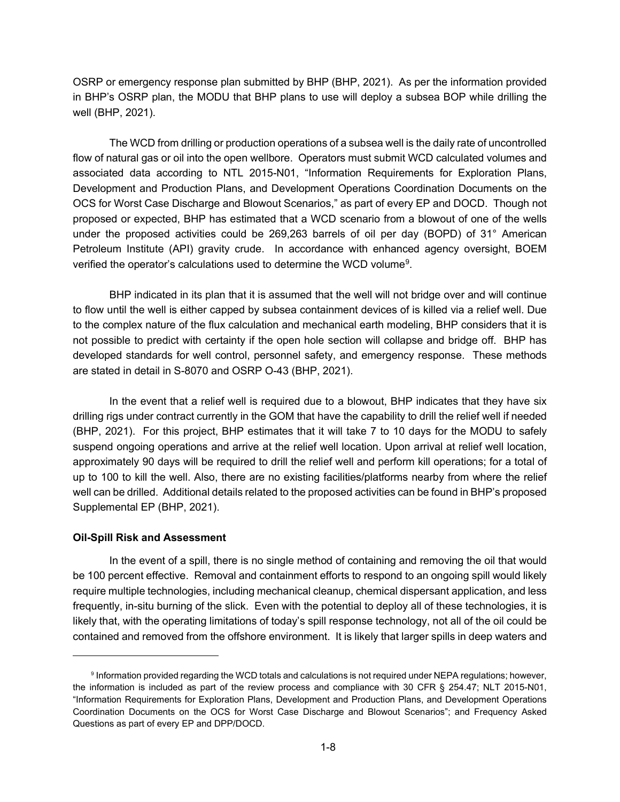OSRP or emergency response plan submitted by BHP (BHP, 2021). As per the information provided in BHP's OSRP plan, the MODU that BHP plans to use will deploy a subsea BOP while drilling the well (BHP, 2021).

The WCD from drilling or production operations of a subsea well is the daily rate of uncontrolled flow of natural gas or oil into the open wellbore. Operators must submit WCD calculated volumes and associated data according to NTL 2015-N01, "Information Requirements for Exploration Plans, Development and Production Plans, and Development Operations Coordination Documents on the OCS for Worst Case Discharge and Blowout Scenarios," as part of every EP and DOCD. Though not proposed or expected, BHP has estimated that a WCD scenario from a blowout of one of the wells under the proposed activities could be 269,263 barrels of oil per day (BOPD) of 31° American Petroleum Institute (API) gravity crude. In accordance with enhanced agency oversight, BOEM verified the operator's calculations used to determine the WCD volume[9](#page-20-0).

BHP indicated in its plan that it is assumed that the well will not bridge over and will continue to flow until the well is either capped by subsea containment devices of is killed via a relief well. Due to the complex nature of the flux calculation and mechanical earth modeling, BHP considers that it is not possible to predict with certainty if the open hole section will collapse and bridge off. BHP has developed standards for well control, personnel safety, and emergency response. These methods are stated in detail in S-8070 and OSRP O-43 (BHP, 2021).

In the event that a relief well is required due to a blowout, BHP indicates that they have six drilling rigs under contract currently in the GOM that have the capability to drill the relief well if needed (BHP, 2021). For this project, BHP estimates that it will take 7 to 10 days for the MODU to safely suspend ongoing operations and arrive at the relief well location. Upon arrival at relief well location, approximately 90 days will be required to drill the relief well and perform kill operations; for a total of up to 100 to kill the well. Also, there are no existing facilities/platforms nearby from where the relief well can be drilled. Additional details related to the proposed activities can be found in BHP's proposed Supplemental EP (BHP, 2021).

#### **Oil-Spill Risk and Assessment**

In the event of a spill, there is no single method of containing and removing the oil that would be 100 percent effective. Removal and containment efforts to respond to an ongoing spill would likely require multiple technologies, including mechanical cleanup, chemical dispersant application, and less frequently, in-situ burning of the slick. Even with the potential to deploy all of these technologies, it is likely that, with the operating limitations of today's spill response technology, not all of the oil could be contained and removed from the offshore environment. It is likely that larger spills in deep waters and

<span id="page-20-0"></span><sup>9</sup> Information provided regarding the WCD totals and calculations is not required under NEPA regulations; however, the information is included as part of the review process and compliance with 30 CFR § 254.47; NLT 2015-N01, "Information Requirements for Exploration Plans, Development and Production Plans, and Development Operations Coordination Documents on the OCS for Worst Case Discharge and Blowout Scenarios"; and Frequency Asked Questions as part of every EP and DPP/DOCD.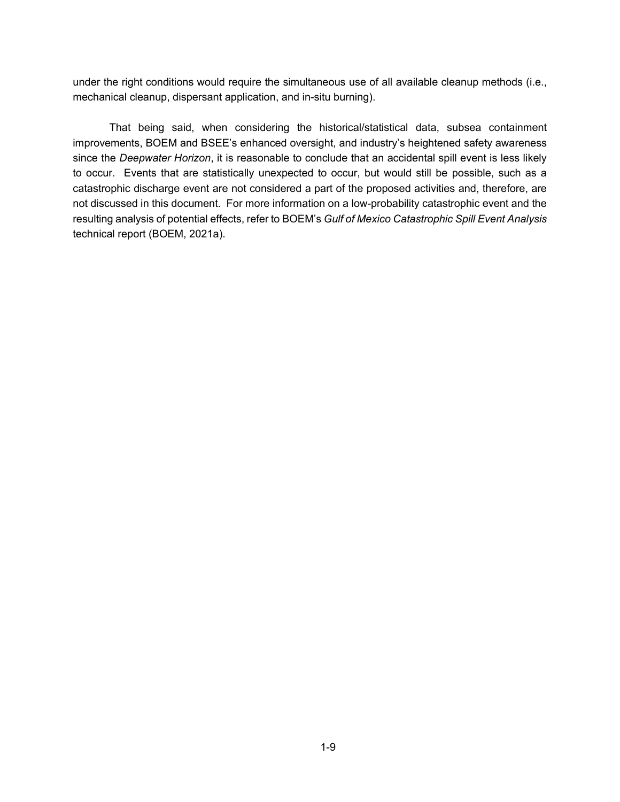under the right conditions would require the simultaneous use of all available cleanup methods (i.e., mechanical cleanup, dispersant application, and in-situ burning).

That being said, when considering the historical/statistical data, subsea containment improvements, BOEM and BSEE's enhanced oversight, and industry's heightened safety awareness since the *Deepwater Horizon*, it is reasonable to conclude that an accidental spill event is less likely to occur. Events that are statistically unexpected to occur, but would still be possible, such as a catastrophic discharge event are not considered a part of the proposed activities and, therefore, are not discussed in this document. For more information on a low-probability catastrophic event and the resulting analysis of potential effects, refer to BOEM's *Gulf of Mexico [Catastrophic Spill Event Analysis](https://www.boem.gov/sites/default/files/documents/environment/GOM%20Catastrophic%20Spill%20Event%20Analysis%202021.pdf)* technical report (BOEM, 2021a).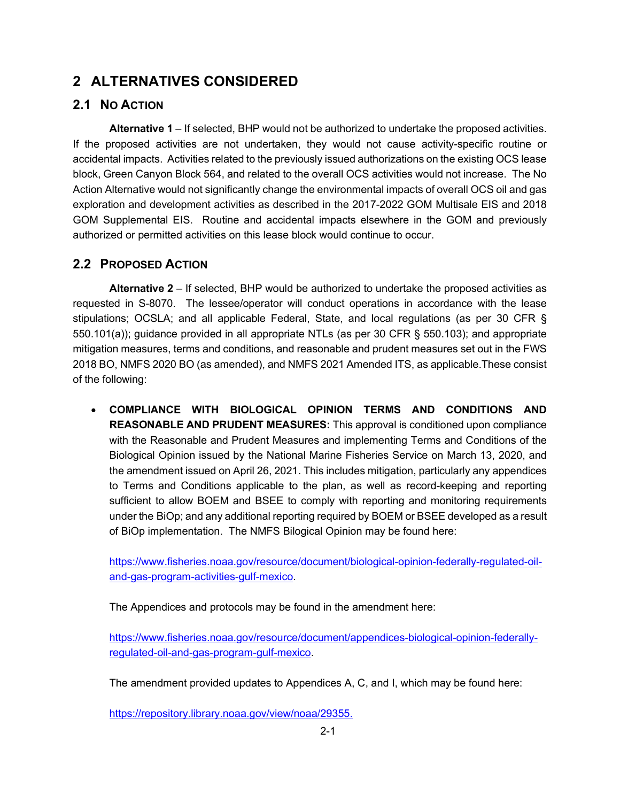# <span id="page-22-0"></span>**2 ALTERNATIVES CONSIDERED**

# <span id="page-22-1"></span>**2.1 NO ACTION**

**Alternative 1** – If selected, BHP would not be authorized to undertake the proposed activities. If the proposed activities are not undertaken, they would not cause activity-specific routine or accidental impacts. Activities related to the previously issued authorizations on the existing OCS lease block, Green Canyon Block 564, and related to the overall OCS activities would not increase. The No Action Alternative would not significantly change the environmental impacts of overall OCS oil and gas exploration and development activities as described in the 2017-2022 GOM Multisale EIS and 2018 GOM Supplemental EIS. Routine and accidental impacts elsewhere in the GOM and previously authorized or permitted activities on this lease block would continue to occur.

# <span id="page-22-2"></span>**2.2 PROPOSED ACTION**

**Alternative 2** – If selected, BHP would be authorized to undertake the proposed activities as requested in S-8070. The lessee/operator will conduct operations in accordance with the lease stipulations; OCSLA; and all applicable Federal, State, and local regulations (as per 30 CFR § 550.101(a)); guidance provided in all appropriate NTLs (as per 30 CFR § 550.103); and appropriate mitigation measures, terms and conditions, and reasonable and prudent measures set out in the FWS 2018 BO, NMFS 2020 BO (as amended), and NMFS 2021 Amended ITS, as applicable.These consist of the following:

• **COMPLIANCE WITH BIOLOGICAL OPINION TERMS AND CONDITIONS AND REASONABLE AND PRUDENT MEASURES:** This approval is conditioned upon compliance with the Reasonable and Prudent Measures and implementing Terms and Conditions of the Biological Opinion issued by the National Marine Fisheries Service on March 13, 2020, and the amendment issued on April 26, 2021. This includes mitigation, particularly any appendices to Terms and Conditions applicable to the plan, as well as record-keeping and reporting sufficient to allow BOEM and BSEE to comply with reporting and monitoring requirements under the BiOp; and any additional reporting required by BOEM or BSEE developed as a result of BiOp implementation. The NMFS Bilogical Opinion may be found here:

[https://www.fisheries.noaa.gov/resource/document/biological-opinion-federally-regulated-oil](https://www.fisheries.noaa.gov/resource/document/biological-opinion-federally-regulated-oil-and-gas-program-activities-gulf-mexico)[and-gas-program-activities-gulf-mexico.](https://www.fisheries.noaa.gov/resource/document/biological-opinion-federally-regulated-oil-and-gas-program-activities-gulf-mexico)

The Appendices and protocols may be found in the amendment here:

[https://www.fisheries.noaa.gov/resource/document/appendices-biological-opinion-federally](https://www.fisheries.noaa.gov/resource/document/appendices-biological-opinion-federally-regulated-oil-and-gas-program-gulf-mexico)[regulated-oil-and-gas-program-gulf-mexico.](https://www.fisheries.noaa.gov/resource/document/appendices-biological-opinion-federally-regulated-oil-and-gas-program-gulf-mexico)

The amendment provided updates to Appendices A, C, and I, which may be found here:

[https://repository.library.noaa.gov/view/noaa/29355.](https://gcc02.safelinks.protection.outlook.com/?url=https%3A%2F%2Frepository.library.noaa.gov%2Fview%2Fnoaa%2F29355&data=04%7C01%7Cbeth.nord%40boem.gov%7C25100aedc2744115c11f08d90b33a699%7C0693b5ba4b184d7b9341f32f400a5494%7C0%7C0%7C637553138746196532%7CUnknown%7CTWFpbGZsb3d8eyJWIjoiMC4wLjAwMDAiLCJQIjoiV2luMzIiLCJBTiI6Ik1haWwiLCJXVCI6Mn0%3D%7C1000&sdata=M%2Feo3AkaFQ%2BjwN1c1uT72XLP1KaWT00y7pHI1Q6GiFs%3D&reserved=0)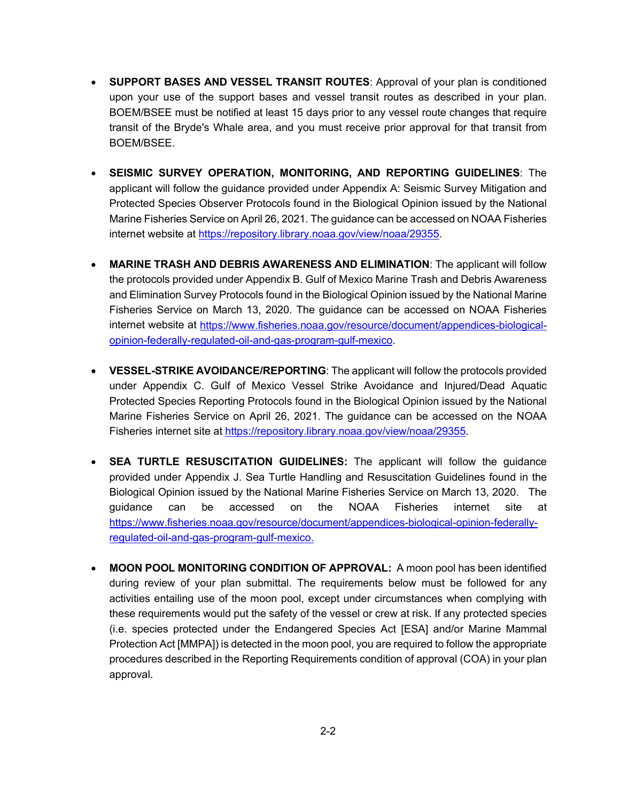- **SUPPORT BASES AND VESSEL TRANSIT ROUTES**: Approval of your plan is conditioned upon your use of the support bases and vessel transit routes as described in your plan. BOEM/BSEE must be notified at least 15 days prior to any vessel route changes that require transit of the Bryde's Whale area, and you must receive prior approval for that transit from BOEM/BSEE.
- **SEISMIC SURVEY OPERATION, MONITORING, AND REPORTING GUIDELINES**: The applicant will follow the guidance provided under Appendix A: Seismic Survey Mitigation and Protected Species Observer Protocols found in the Biological Opinion issued by the National Marine Fisheries Service on April 26, 2021. The guidance can be accessed on NOAA Fisheries internet website at [https://repository.library.noaa.gov/view/noaa/29355.](https://gcc02.safelinks.protection.outlook.com/?url=https%3A%2F%2Frepository.library.noaa.gov%2Fview%2Fnoaa%2F29355&data=04%7C01%7Cbeth.nord%40boem.gov%7C25100aedc2744115c11f08d90b33a699%7C0693b5ba4b184d7b9341f32f400a5494%7C0%7C0%7C637553138746196532%7CUnknown%7CTWFpbGZsb3d8eyJWIjoiMC4wLjAwMDAiLCJQIjoiV2luMzIiLCJBTiI6Ik1haWwiLCJXVCI6Mn0%3D%7C1000&sdata=M%2Feo3AkaFQ%2BjwN1c1uT72XLP1KaWT00y7pHI1Q6GiFs%3D&reserved=0)
- **MARINE TRASH AND DEBRIS AWARENESS AND ELIMINATION**: The applicant will follow the protocols provided under Appendix B. Gulf of Mexico Marine Trash and Debris Awareness and Elimination Survey Protocols found in the Biological Opinion issued by the National Marine Fisheries Service on March 13, 2020. The guidance can be accessed on NOAA Fisheries internet website at [https://www.fisheries.noaa.gov/resource/document/appendices-biological](https://www.fisheries.noaa.gov/resource/document/appendices-biological-opinion-federally-regulated-oil-and-gas-program-gulf-mexico)[opinion-federally-regulated-oil-and-gas-program-gulf-mexico.](https://www.fisheries.noaa.gov/resource/document/appendices-biological-opinion-federally-regulated-oil-and-gas-program-gulf-mexico)
- **VESSEL-STRIKE AVOIDANCE/REPORTING**: The applicant will follow the protocols provided under Appendix C. Gulf of Mexico Vessel Strike Avoidance and Injured/Dead Aquatic Protected Species Reporting Protocols found in the Biological Opinion issued by the National Marine Fisheries Service on April 26, 2021. The guidance can be accessed on the NOAA Fisheries internet site at [https://repository.library.noaa.gov/view/noaa/29355.](https://gcc02.safelinks.protection.outlook.com/?url=https%3A%2F%2Frepository.library.noaa.gov%2Fview%2Fnoaa%2F29355&data=04%7C01%7Cbeth.nord%40boem.gov%7C25100aedc2744115c11f08d90b33a699%7C0693b5ba4b184d7b9341f32f400a5494%7C0%7C0%7C637553138746196532%7CUnknown%7CTWFpbGZsb3d8eyJWIjoiMC4wLjAwMDAiLCJQIjoiV2luMzIiLCJBTiI6Ik1haWwiLCJXVCI6Mn0%3D%7C1000&sdata=M%2Feo3AkaFQ%2BjwN1c1uT72XLP1KaWT00y7pHI1Q6GiFs%3D&reserved=0)
- **SEA TURTLE RESUSCITATION GUIDELINES:** The applicant will follow the guidance provided under Appendix J. Sea Turtle Handling and Resuscitation Guidelines found in the Biological Opinion issued by the National Marine Fisheries Service on March 13, 2020. The guidance can be accessed on the NOAA Fisheries internet site at [https://www.fisheries.noaa.gov/resource/document/appendices-biological-opinion-federally](https://www.fisheries.noaa.gov/resource/document/appendices-biological-opinion-federally-regulated-oil-and-gas-program-gulf-mexico)[regulated-oil-and-gas-program-gulf-mexico.](https://www.fisheries.noaa.gov/resource/document/appendices-biological-opinion-federally-regulated-oil-and-gas-program-gulf-mexico)
- **MOON POOL MONITORING CONDITION OF APPROVAL:** A moon pool has been identified during review of your plan submittal. The requirements below must be followed for any activities entailing use of the moon pool, except under circumstances when complying with these requirements would put the safety of the vessel or crew at risk. If any protected species (i.e. species protected under the Endangered Species Act [ESA] and/or Marine Mammal Protection Act [MMPA]) is detected in the moon pool, you are required to follow the appropriate procedures described in the Reporting Requirements condition of approval (COA) in your plan approval.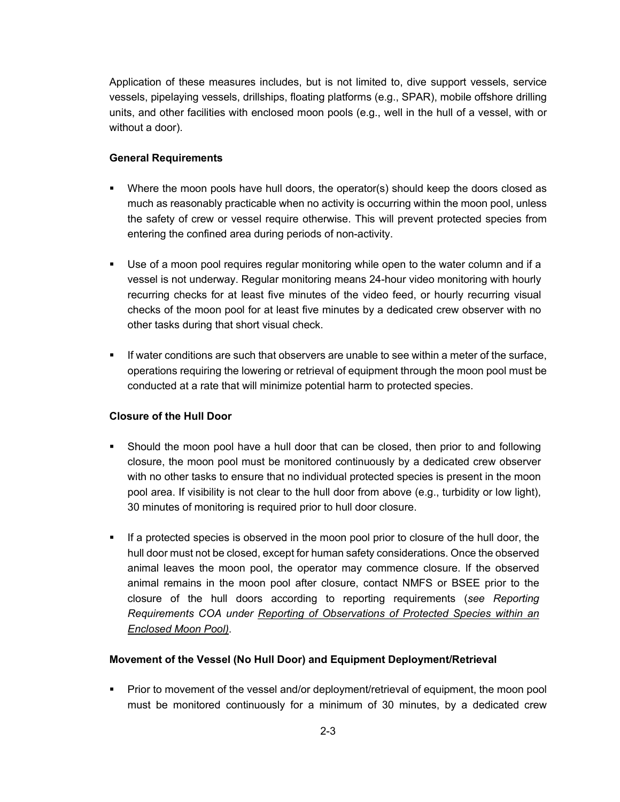Application of these measures includes, but is not limited to, dive support vessels, service vessels, pipelaying vessels, drillships, floating platforms (e.g., SPAR), mobile offshore drilling units, and other facilities with enclosed moon pools (e.g., well in the hull of a vessel, with or without a door).

### **General Requirements**

- Where the moon pools have hull doors, the operator(s) should keep the doors closed as much as reasonably practicable when no activity is occurring within the moon pool, unless the safety of crew or vessel require otherwise. This will prevent protected species from entering the confined area during periods of non-activity.
- Use of a moon pool requires regular monitoring while open to the water column and if a vessel is not underway. Regular monitoring means 24-hour video monitoring with hourly recurring checks for at least five minutes of the video feed, or hourly recurring visual checks of the moon pool for at least five minutes by a dedicated crew observer with no other tasks during that short visual check.
- $\blacksquare$  If water conditions are such that observers are unable to see within a meter of the surface, operations requiring the lowering or retrieval of equipment through the moon pool must be conducted at a rate that will minimize potential harm to protected species.

#### **Closure of the Hull Door**

- Should the moon pool have a hull door that can be closed, then prior to and following closure, the moon pool must be monitored continuously by a dedicated crew observer with no other tasks to ensure that no individual protected species is present in the moon pool area. If visibility is not clear to the hull door from above (e.g., turbidity or low light), 30 minutes of monitoring is required prior to hull door closure.
- If a protected species is observed in the moon pool prior to closure of the hull door, the hull door must not be closed, except for human safety considerations. Once the observed animal leaves the moon pool, the operator may commence closure. If the observed animal remains in the moon pool after closure, contact NMFS or BSEE prior to the closure of the hull doors according to reporting requirements (*see Reporting Requirements COA under Reporting of Observations of Protected Species within an Enclosed Moon Pool)*.

#### **Movement of the Vessel (No Hull Door) and Equipment Deployment/Retrieval**

**Prior to movement of the vessel and/or deployment/retrieval of equipment, the moon pool** must be monitored continuously for a minimum of 30 minutes, by a dedicated crew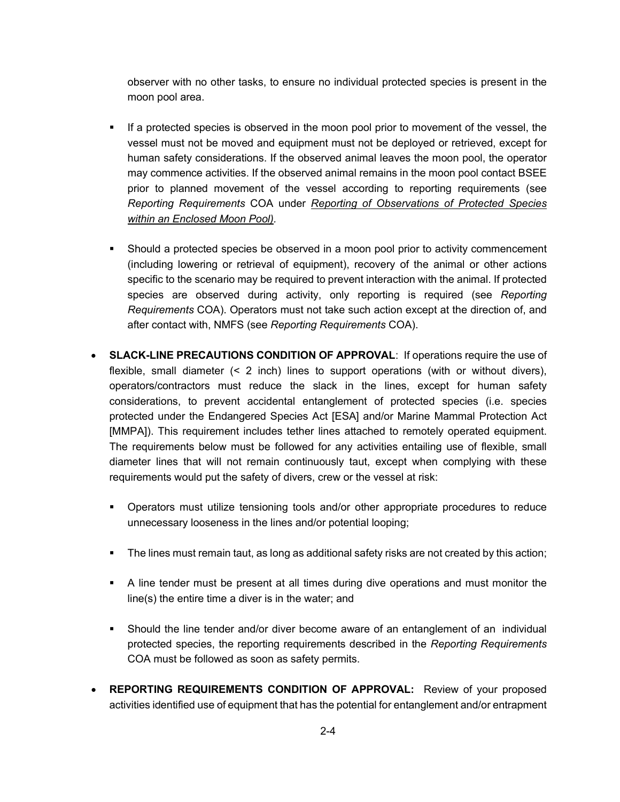observer with no other tasks, to ensure no individual protected species is present in the moon pool area.

- If a protected species is observed in the moon pool prior to movement of the vessel, the vessel must not be moved and equipment must not be deployed or retrieved, except for human safety considerations. If the observed animal leaves the moon pool, the operator may commence activities. If the observed animal remains in the moon pool contact BSEE prior to planned movement of the vessel according to reporting requirements (see *Reporting Requirements* COA under *Reporting of Observations of Protected Species within an Enclosed Moon Pool).*
- Should a protected species be observed in a moon pool prior to activity commencement (including lowering or retrieval of equipment), recovery of the animal or other actions specific to the scenario may be required to prevent interaction with the animal. If protected species are observed during activity, only reporting is required (see *Reporting Requirements* COA). Operators must not take such action except at the direction of, and after contact with, NMFS (see *Reporting Requirements* COA).
- **SLACK-LINE PRECAUTIONS CONDITION OF APPROVAL**: If operations require the use of flexible, small diameter (< 2 inch) lines to support operations (with or without divers), operators/contractors must reduce the slack in the lines, except for human safety considerations, to prevent accidental entanglement of protected species (i.e. species protected under the Endangered Species Act [ESA] and/or Marine Mammal Protection Act [MMPA]). This requirement includes tether lines attached to remotely operated equipment. The requirements below must be followed for any activities entailing use of flexible, small diameter lines that will not remain continuously taut, except when complying with these requirements would put the safety of divers, crew or the vessel at risk:
	- Operators must utilize tensioning tools and/or other appropriate procedures to reduce unnecessary looseness in the lines and/or potential looping;
	- The lines must remain taut, as long as additional safety risks are not created by this action;
	- A line tender must be present at all times during dive operations and must monitor the line(s) the entire time a diver is in the water; and
	- Should the line tender and/or diver become aware of an entanglement of an individual protected species, the reporting requirements described in the *Reporting Requirements* COA must be followed as soon as safety permits.
- **REPORTING REQUIREMENTS CONDITION OF APPROVAL:** Review of your proposed activities identified use of equipment that has the potential for entanglement and/or entrapment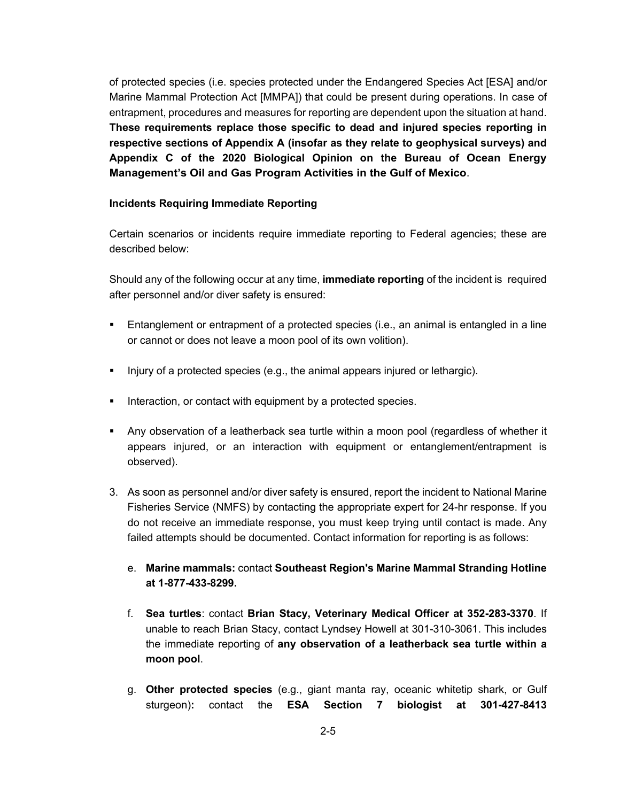of protected species (i.e. species protected under the Endangered Species Act [ESA] and/or Marine Mammal Protection Act [MMPA]) that could be present during operations. In case of entrapment, procedures and measures for reporting are dependent upon the situation at hand. **These requirements replace those specific to dead and injured species reporting in respective sections of Appendix A (insofar as they relate to geophysical surveys) and Appendix C of the 2020 Biological Opinion on the Bureau of Ocean Energy Management's Oil and Gas Program Activities in the Gulf of Mexico**.

#### **Incidents Requiring Immediate Reporting**

Certain scenarios or incidents require immediate reporting to Federal agencies; these are described below:

Should any of the following occur at any time, **immediate reporting** of the incident is required after personnel and/or diver safety is ensured:

- Entanglement or entrapment of a protected species (i.e., an animal is entangled in a line or cannot or does not leave a moon pool of its own volition).
- Injury of a protected species (e.g., the animal appears injured or lethargic).
- **Interaction, or contact with equipment by a protected species.**
- Any observation of a leatherback sea turtle within a moon pool (regardless of whether it appears injured, or an interaction with equipment or entanglement/entrapment is observed).
- 3. As soon as personnel and/or diver safety is ensured, report the incident to National Marine Fisheries Service (NMFS) by contacting the appropriate expert for 24-hr response. If you do not receive an immediate response, you must keep trying until contact is made. Any failed attempts should be documented. Contact information for reporting is as follows:
	- e. **Marine mammals:** contact **Southeast Region's Marine Mammal Stranding Hotline at 1-877-433-8299.**
	- f. **Sea turtles**: contact **Brian Stacy, Veterinary Medical Officer at 352-283-3370**. If unable to reach Brian Stacy, contact Lyndsey Howell at 301-310-3061. This includes the immediate reporting of **any observation of a leatherback sea turtle within a moon pool**.
	- g. **Other protected species** (e.g., giant manta ray, oceanic whitetip shark, or Gulf sturgeon)**:** contact the **ESA Section 7 biologist at 301-427-8413**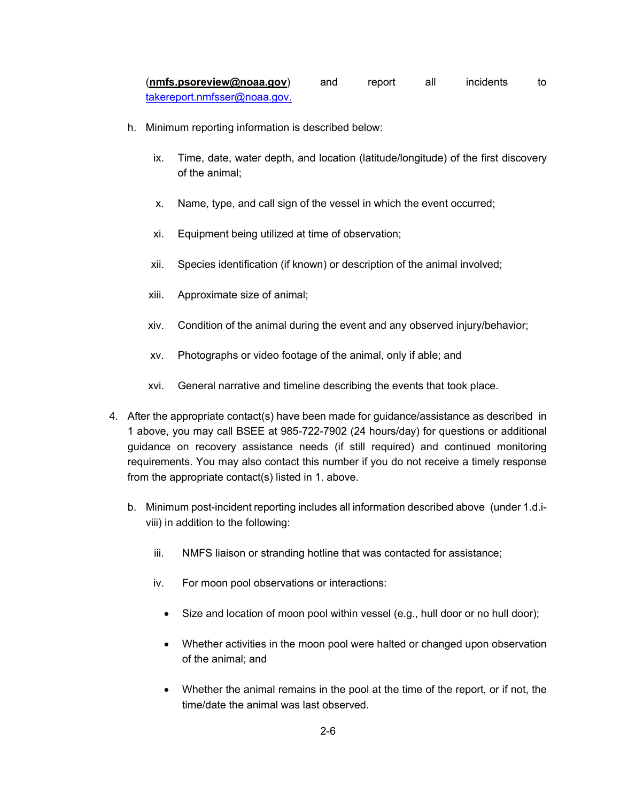(**[nmfs.psoreview@noaa.gov](mailto:nmfs.psoreview@noaa.gov)**) and report all incidents to [takereport.nmfsser@noaa.gov.](mailto:takereport.nmfsser@noaa.gov.)

- h. Minimum reporting information is described below:
	- ix. Time, date, water depth, and location (latitude/longitude) of the first discovery of the animal;
	- x. Name, type, and call sign of the vessel in which the event occurred;
	- xi. Equipment being utilized at time of observation;
	- xii. Species identification (if known) or description of the animal involved;
	- xiii. Approximate size of animal;
	- xiv. Condition of the animal during the event and any observed injury/behavior;
	- xv. Photographs or video footage of the animal, only if able; and
	- xvi. General narrative and timeline describing the events that took place.
- 4. After the appropriate contact(s) have been made for guidance/assistance as described in 1 above, you may call BSEE at 985-722-7902 (24 hours/day) for questions or additional guidance on recovery assistance needs (if still required) and continued monitoring requirements. You may also contact this number if you do not receive a timely response from the appropriate contact(s) listed in 1. above.
	- b. Minimum post-incident reporting includes all information described above (under 1.d.iviii) in addition to the following:
		- iii. NMFS liaison or stranding hotline that was contacted for assistance;
		- iv. For moon pool observations or interactions:
			- Size and location of moon pool within vessel (e.g., hull door or no hull door);
			- Whether activities in the moon pool were halted or changed upon observation of the animal; and
			- Whether the animal remains in the pool at the time of the report, or if not, the time/date the animal was last observed.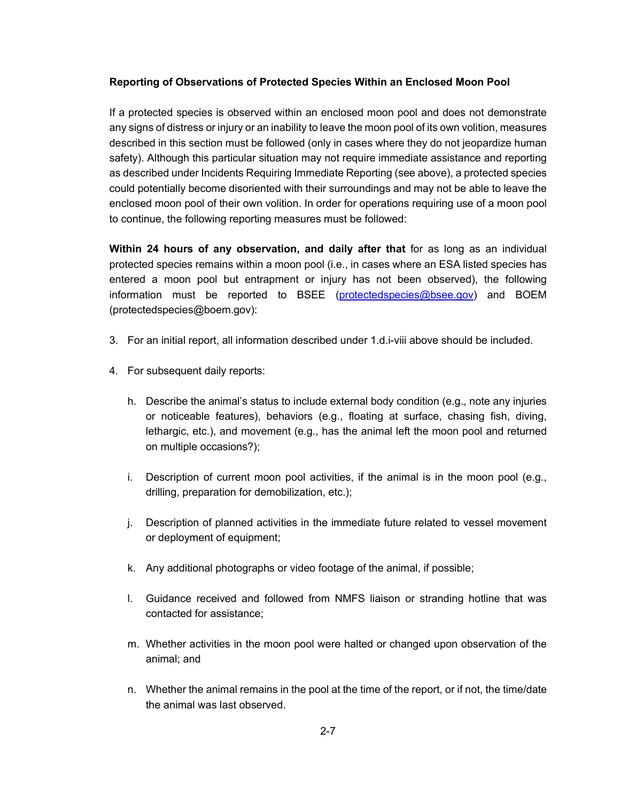### **Reporting of Observations of Protected Species Within an Enclosed Moon Pool**

If a protected species is observed within an enclosed moon pool and does not demonstrate any signs of distress or injury or an inability to leave the moon pool of its own volition, measures described in this section must be followed (only in cases where they do not jeopardize human safety). Although this particular situation may not require immediate assistance and reporting as described under Incidents Requiring Immediate Reporting (see above), a protected species could potentially become disoriented with their surroundings and may not be able to leave the enclosed moon pool of their own volition. In order for operations requiring use of a moon pool to continue, the following reporting measures must be followed:

**Within 24 hours of any observation, and daily after that** for as long as an individual protected species remains within a moon pool (i.e., in cases where an ESA listed species has entered a moon pool but entrapment or injury has not been observed), the following information must be reported to BSEE [\(protectedspecies@bsee.gov\)](mailto:protectedspecies@bsee.gov) and BOEM (protectedspecies@boem.gov):

- 3. For an initial report, all information described under 1.d.i-viii above should be included.
- 4. For subsequent daily reports:
	- h. Describe the animal's status to include external body condition (e.g., note any injuries or noticeable features), behaviors (e.g., floating at surface, chasing fish, diving, lethargic, etc.), and movement (e.g., has the animal left the moon pool and returned on multiple occasions?);
	- i. Description of current moon pool activities, if the animal is in the moon pool (e.g., drilling, preparation for demobilization, etc.);
	- j. Description of planned activities in the immediate future related to vessel movement or deployment of equipment;
	- k. Any additional photographs or video footage of the animal, if possible;
	- l. Guidance received and followed from NMFS liaison or stranding hotline that was contacted for assistance;
	- m. Whether activities in the moon pool were halted or changed upon observation of the animal; and
	- n. Whether the animal remains in the pool at the time of the report, or if not, the time/date the animal was last observed.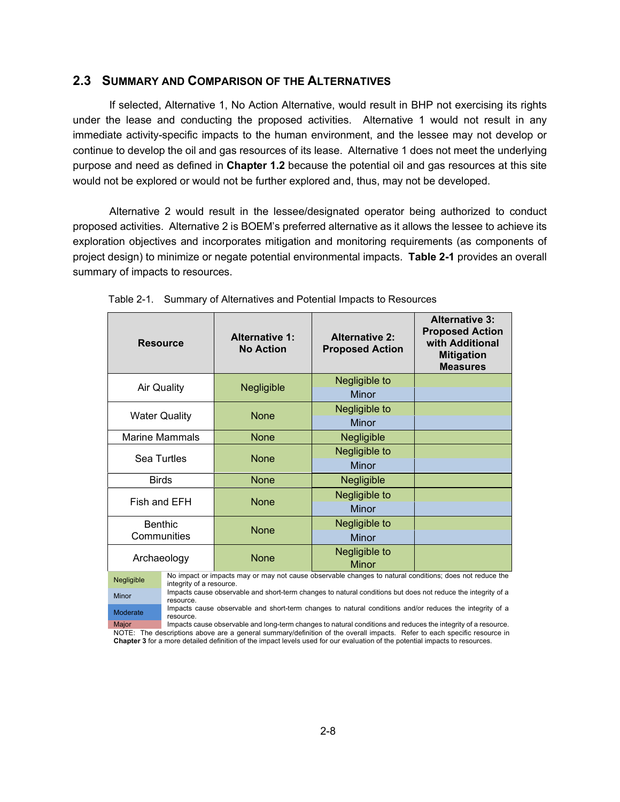### <span id="page-29-0"></span>**2.3 SUMMARY AND COMPARISON OF THE ALTERNATIVES**

If selected, Alternative 1, No Action Alternative, would result in BHP not exercising its rights under the lease and conducting the proposed activities. Alternative 1 would not result in any immediate activity-specific impacts to the human environment, and the lessee may not develop or continue to develop the oil and gas resources of its lease. Alternative 1 does not meet the underlying purpose and need as defined in **Chapter 1.2** because the potential oil and gas resources at this site would not be explored or would not be further explored and, thus, may not be developed.

Alternative 2 would result in the lessee/designated operator being authorized to conduct proposed activities. Alternative 2 is BOEM's preferred alternative as it allows the lessee to achieve its exploration objectives and incorporates mitigation and monitoring requirements (as components of project design) to minimize or negate potential environmental impacts. **Table 2-1** provides an overall summary of impacts to resources.

| <b>Resource</b>                                                                                                              |                          | <b>Alternative 1:</b><br><b>No Action</b> | <b>Alternative 2:</b><br><b>Proposed Action</b>                                                         | <b>Alternative 3:</b><br><b>Proposed Action</b><br>with Additional<br><b>Mitigation</b><br><b>Measures</b> |
|------------------------------------------------------------------------------------------------------------------------------|--------------------------|-------------------------------------------|---------------------------------------------------------------------------------------------------------|------------------------------------------------------------------------------------------------------------|
| Air Quality                                                                                                                  |                          | <b>Negligible</b>                         | Negligible to<br>Minor                                                                                  |                                                                                                            |
|                                                                                                                              |                          |                                           |                                                                                                         |                                                                                                            |
| <b>Water Quality</b>                                                                                                         |                          | <b>None</b>                               | Negligible to                                                                                           |                                                                                                            |
|                                                                                                                              |                          |                                           | Minor                                                                                                   |                                                                                                            |
| <b>Marine Mammals</b>                                                                                                        |                          | <b>None</b>                               | Negligible                                                                                              |                                                                                                            |
|                                                                                                                              |                          |                                           | Negligible to                                                                                           |                                                                                                            |
| Sea Turtles                                                                                                                  |                          | <b>None</b>                               | <b>Minor</b>                                                                                            |                                                                                                            |
| <b>Birds</b>                                                                                                                 |                          | <b>None</b>                               | <b>Negligible</b>                                                                                       |                                                                                                            |
|                                                                                                                              |                          |                                           | Negligible to                                                                                           |                                                                                                            |
| Fish and EFH                                                                                                                 |                          | <b>None</b>                               | <b>Minor</b>                                                                                            |                                                                                                            |
| <b>Benthic</b><br>Communities                                                                                                |                          |                                           | Negligible to                                                                                           |                                                                                                            |
|                                                                                                                              |                          | <b>None</b>                               | Minor                                                                                                   |                                                                                                            |
| Archaeology                                                                                                                  |                          |                                           | Negligible to                                                                                           |                                                                                                            |
|                                                                                                                              |                          | <b>None</b>                               | <b>Minor</b>                                                                                            |                                                                                                            |
| Negligible                                                                                                                   | integrity of a resource. |                                           | No impact or impacts may or may not cause observable changes to natural conditions; does not reduce the |                                                                                                            |
| Impacts cause observable and short-term changes to natural conditions but does not reduce the integrity of a<br><b>Minor</b> |                          |                                           |                                                                                                         |                                                                                                            |

<span id="page-29-1"></span>Table 2-1. Summary of Alternatives and Potential Impacts to Resources

resource.

Moderate Impacts cause observable and short-term changes to natural conditions and/or reduces the integrity of a resource.

Major Impacts cause observable and long-term changes to natural conditions and reduces the integrity of a resource. NOTE: The descriptions above are a general summary/definition of the overall impacts. Refer to each specific resource in **Chapter 3** for a more detailed definition of the impact levels used for our evaluation of the potential impacts to resources.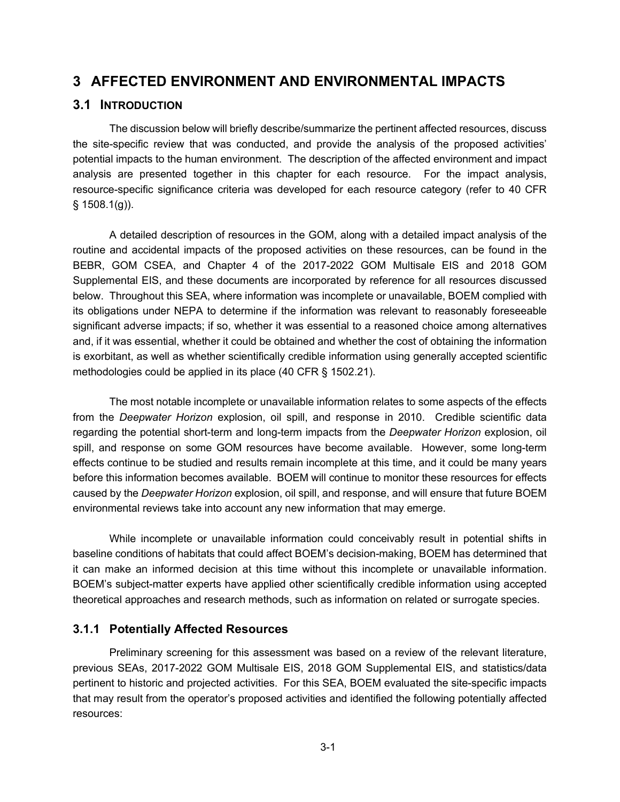# <span id="page-30-0"></span>**3 AFFECTED ENVIRONMENT AND ENVIRONMENTAL IMPACTS**

# <span id="page-30-1"></span>**3.1 INTRODUCTION**

The discussion below will briefly describe/summarize the pertinent affected resources, discuss the site-specific review that was conducted, and provide the analysis of the proposed activities' potential impacts to the human environment. The description of the affected environment and impact analysis are presented together in this chapter for each resource. For the impact analysis, resource-specific significance criteria was developed for each resource category (refer to 40 CFR § 1508.1(g)).

A detailed description of resources in the GOM, along with a detailed impact analysis of the routine and accidental impacts of the proposed activities on these resources, can be found in the [BEBR,](https://www.boem.gov/sites/default/files/documents/environment/Biological%20Environmental%20Background%20Report%20for%20the%20GOM.pdf) GOM CSEA, and Chapter 4 of the 2017-2022 GOM Multisale EIS and 2018 GOM Supplemental EIS, and these documents are incorporated by reference for all resources discussed below. Throughout this SEA, where information was incomplete or unavailable, BOEM complied with its obligations under NEPA to determine if the information was relevant to reasonably foreseeable significant adverse impacts; if so, whether it was essential to a reasoned choice among alternatives and, if it was essential, whether it could be obtained and whether the cost of obtaining the information is exorbitant, as well as whether scientifically credible information using generally accepted scientific methodologies could be applied in its place (40 CFR § 1502.21).

The most notable incomplete or unavailable information relates to some aspects of the effects from the *Deepwater Horizon* explosion, oil spill, and response in 2010. Credible scientific data regarding the potential short-term and long-term impacts from the *Deepwater Horizon* explosion, oil spill, and response on some GOM resources have become available. However, some long-term effects continue to be studied and results remain incomplete at this time, and it could be many years before this information becomes available. BOEM will continue to monitor these resources for effects caused by the *Deepwater Horizon* explosion, oil spill, and response, and will ensure that future BOEM environmental reviews take into account any new information that may emerge.

While incomplete or unavailable information could conceivably result in potential shifts in baseline conditions of habitats that could affect BOEM's decision-making, BOEM has determined that it can make an informed decision at this time without this incomplete or unavailable information. BOEM's subject-matter experts have applied other scientifically credible information using accepted theoretical approaches and research methods, such as information on related or surrogate species.

# <span id="page-30-2"></span>**3.1.1 Potentially Affected Resources**

Preliminary screening for this assessment was based on a review of the relevant literature, previous SEAs, 2017-2022 GOM Multisale EIS, 2018 GOM Supplemental EIS, and statistics/data pertinent to historic and projected activities. For this SEA, BOEM evaluated the site-specific impacts that may result from the operator's proposed activities and identified the following potentially affected resources: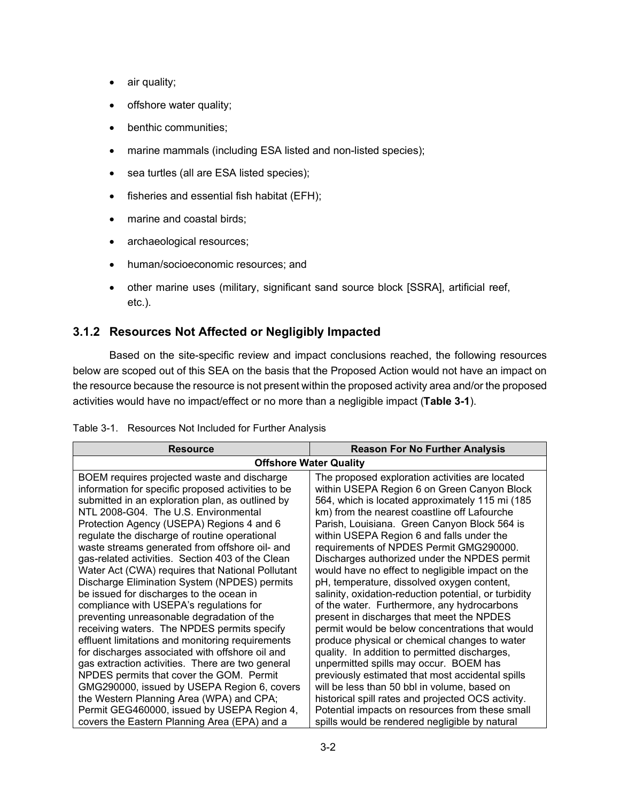- air quality;
- offshore water quality;
- benthic communities;
- marine mammals (including ESA listed and non-listed species);
- sea turtles (all are ESA listed species);
- fisheries and essential fish habitat (EFH);
- marine and coastal birds;
- archaeological resources;
- human/socioeconomic resources; and
- other marine uses (military, significant sand source block [SSRA], artificial reef, etc.).

# <span id="page-31-0"></span>**3.1.2 Resources Not Affected or Negligibly Impacted**

Based on the site-specific review and impact conclusions reached, the following resources below are scoped out of this SEA on the basis that the Proposed Action would not have an impact on the resource because the resource is not present within the proposed activity area and/or the proposed activities would have no impact/effect or no more than a negligible impact (**Table 3-1**).

| <b>Resource</b>                                                                                                                                                                                                                                                                                                                                                                                                                                                                                                                                                                                                                                                                                                                                                                                                                                                                                  | <b>Reason For No Further Analysis</b>                                                                                                                                                                                                                                                                                                                                                                                                                                                                                                                                                                                                                                                                                                                                                                                                                                                               |  |  |  |
|--------------------------------------------------------------------------------------------------------------------------------------------------------------------------------------------------------------------------------------------------------------------------------------------------------------------------------------------------------------------------------------------------------------------------------------------------------------------------------------------------------------------------------------------------------------------------------------------------------------------------------------------------------------------------------------------------------------------------------------------------------------------------------------------------------------------------------------------------------------------------------------------------|-----------------------------------------------------------------------------------------------------------------------------------------------------------------------------------------------------------------------------------------------------------------------------------------------------------------------------------------------------------------------------------------------------------------------------------------------------------------------------------------------------------------------------------------------------------------------------------------------------------------------------------------------------------------------------------------------------------------------------------------------------------------------------------------------------------------------------------------------------------------------------------------------------|--|--|--|
| <b>Offshore Water Quality</b>                                                                                                                                                                                                                                                                                                                                                                                                                                                                                                                                                                                                                                                                                                                                                                                                                                                                    |                                                                                                                                                                                                                                                                                                                                                                                                                                                                                                                                                                                                                                                                                                                                                                                                                                                                                                     |  |  |  |
| BOEM requires projected waste and discharge<br>information for specific proposed activities to be<br>submitted in an exploration plan, as outlined by<br>NTL 2008-G04. The U.S. Environmental<br>Protection Agency (USEPA) Regions 4 and 6<br>regulate the discharge of routine operational<br>waste streams generated from offshore oil- and<br>gas-related activities. Section 403 of the Clean<br>Water Act (CWA) requires that National Pollutant<br>Discharge Elimination System (NPDES) permits<br>be issued for discharges to the ocean in<br>compliance with USEPA's regulations for<br>preventing unreasonable degradation of the<br>receiving waters. The NPDES permits specify<br>effluent limitations and monitoring requirements<br>for discharges associated with offshore oil and<br>gas extraction activities. There are two general<br>NPDES permits that cover the GOM. Permit | The proposed exploration activities are located<br>within USEPA Region 6 on Green Canyon Block<br>564, which is located approximately 115 mi (185<br>km) from the nearest coastline off Lafourche<br>Parish, Louisiana. Green Canyon Block 564 is<br>within USEPA Region 6 and falls under the<br>requirements of NPDES Permit GMG290000.<br>Discharges authorized under the NPDES permit<br>would have no effect to negligible impact on the<br>pH, temperature, dissolved oxygen content,<br>salinity, oxidation-reduction potential, or turbidity<br>of the water. Furthermore, any hydrocarbons<br>present in discharges that meet the NPDES<br>permit would be below concentrations that would<br>produce physical or chemical changes to water<br>quality. In addition to permitted discharges,<br>unpermitted spills may occur. BOEM has<br>previously estimated that most accidental spills |  |  |  |
| GMG290000, issued by USEPA Region 6, covers<br>the Western Planning Area (WPA) and CPA;                                                                                                                                                                                                                                                                                                                                                                                                                                                                                                                                                                                                                                                                                                                                                                                                          | will be less than 50 bbl in volume, based on<br>historical spill rates and projected OCS activity.                                                                                                                                                                                                                                                                                                                                                                                                                                                                                                                                                                                                                                                                                                                                                                                                  |  |  |  |
| Permit GEG460000, issued by USEPA Region 4,                                                                                                                                                                                                                                                                                                                                                                                                                                                                                                                                                                                                                                                                                                                                                                                                                                                      | Potential impacts on resources from these small                                                                                                                                                                                                                                                                                                                                                                                                                                                                                                                                                                                                                                                                                                                                                                                                                                                     |  |  |  |
| covers the Eastern Planning Area (EPA) and a                                                                                                                                                                                                                                                                                                                                                                                                                                                                                                                                                                                                                                                                                                                                                                                                                                                     | spills would be rendered negligible by natural                                                                                                                                                                                                                                                                                                                                                                                                                                                                                                                                                                                                                                                                                                                                                                                                                                                      |  |  |  |

<span id="page-31-1"></span>Table 3-1. Resources Not Included for Further Analysis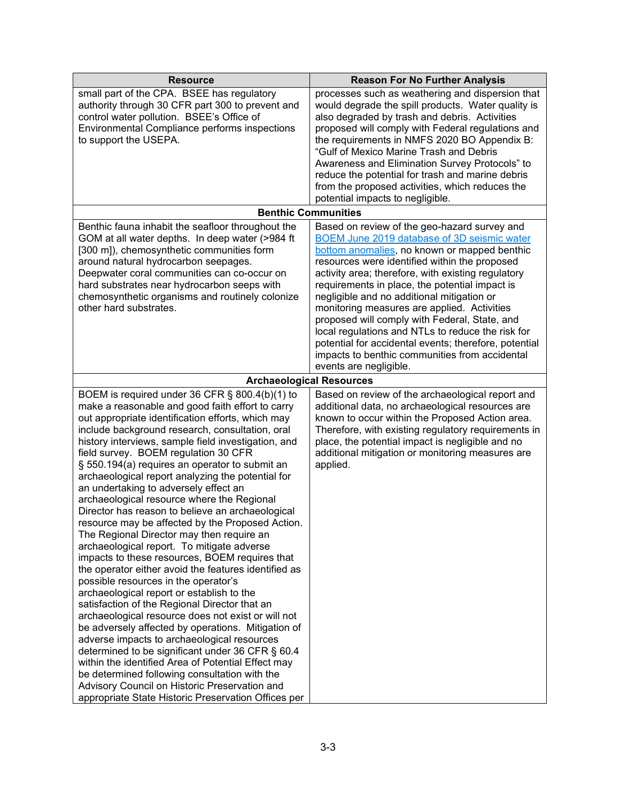| <b>Resource</b>                                                                                                                                                                                                                                                                                                                                                                                                                                                                                                                                                                                                                                                                                                                                                                                                                                                                                                                                                                                                                                                                                                                                                                                                                                                                                                                                                                             | <b>Reason For No Further Analysis</b>                                                                                                                                                                                                                                                                                                                                                                                                                                                                                                                                                                              |
|---------------------------------------------------------------------------------------------------------------------------------------------------------------------------------------------------------------------------------------------------------------------------------------------------------------------------------------------------------------------------------------------------------------------------------------------------------------------------------------------------------------------------------------------------------------------------------------------------------------------------------------------------------------------------------------------------------------------------------------------------------------------------------------------------------------------------------------------------------------------------------------------------------------------------------------------------------------------------------------------------------------------------------------------------------------------------------------------------------------------------------------------------------------------------------------------------------------------------------------------------------------------------------------------------------------------------------------------------------------------------------------------|--------------------------------------------------------------------------------------------------------------------------------------------------------------------------------------------------------------------------------------------------------------------------------------------------------------------------------------------------------------------------------------------------------------------------------------------------------------------------------------------------------------------------------------------------------------------------------------------------------------------|
| small part of the CPA. BSEE has regulatory<br>authority through 30 CFR part 300 to prevent and<br>control water pollution. BSEE's Office of<br>Environmental Compliance performs inspections<br>to support the USEPA.                                                                                                                                                                                                                                                                                                                                                                                                                                                                                                                                                                                                                                                                                                                                                                                                                                                                                                                                                                                                                                                                                                                                                                       | processes such as weathering and dispersion that<br>would degrade the spill products. Water quality is<br>also degraded by trash and debris. Activities<br>proposed will comply with Federal regulations and<br>the requirements in NMFS 2020 BO Appendix B:<br>"Gulf of Mexico Marine Trash and Debris<br>Awareness and Elimination Survey Protocols" to<br>reduce the potential for trash and marine debris<br>from the proposed activities, which reduces the<br>potential impacts to negligible.                                                                                                               |
| <b>Benthic Communities</b>                                                                                                                                                                                                                                                                                                                                                                                                                                                                                                                                                                                                                                                                                                                                                                                                                                                                                                                                                                                                                                                                                                                                                                                                                                                                                                                                                                  |                                                                                                                                                                                                                                                                                                                                                                                                                                                                                                                                                                                                                    |
| Benthic fauna inhabit the seafloor throughout the<br>GOM at all water depths. In deep water (>984 ft<br>[300 m]), chemosynthetic communities form<br>around natural hydrocarbon seepages.<br>Deepwater coral communities can co-occur on<br>hard substrates near hydrocarbon seeps with<br>chemosynthetic organisms and routinely colonize<br>other hard substrates.                                                                                                                                                                                                                                                                                                                                                                                                                                                                                                                                                                                                                                                                                                                                                                                                                                                                                                                                                                                                                        | Based on review of the geo-hazard survey and<br>BOEM June 2019 database of 3D seismic water<br>bottom anomalies, no known or mapped benthic<br>resources were identified within the proposed<br>activity area; therefore, with existing regulatory<br>requirements in place, the potential impact is<br>negligible and no additional mitigation or<br>monitoring measures are applied. Activities<br>proposed will comply with Federal, State, and<br>local regulations and NTLs to reduce the risk for<br>potential for accidental events; therefore, potential<br>impacts to benthic communities from accidental |
|                                                                                                                                                                                                                                                                                                                                                                                                                                                                                                                                                                                                                                                                                                                                                                                                                                                                                                                                                                                                                                                                                                                                                                                                                                                                                                                                                                                             | events are negligible.                                                                                                                                                                                                                                                                                                                                                                                                                                                                                                                                                                                             |
| <b>Archaeological Resources</b>                                                                                                                                                                                                                                                                                                                                                                                                                                                                                                                                                                                                                                                                                                                                                                                                                                                                                                                                                                                                                                                                                                                                                                                                                                                                                                                                                             |                                                                                                                                                                                                                                                                                                                                                                                                                                                                                                                                                                                                                    |
| BOEM is required under 36 CFR $\S$ 800.4(b)(1) to<br>make a reasonable and good faith effort to carry<br>out appropriate identification efforts, which may<br>include background research, consultation, oral<br>history interviews, sample field investigation, and<br>field survey. BOEM regulation 30 CFR<br>§ 550.194(a) requires an operator to submit an<br>archaeological report analyzing the potential for<br>an undertaking to adversely effect an<br>archaeological resource where the Regional<br>Director has reason to believe an archaeological<br>resource may be affected by the Proposed Action.<br>The Regional Director may then require an<br>archaeological report. To mitigate adverse<br>impacts to these resources, BOEM requires that<br>the operator either avoid the features identified as<br>possible resources in the operator's<br>archaeological report or establish to the<br>satisfaction of the Regional Director that an<br>archaeological resource does not exist or will not<br>be adversely affected by operations. Mitigation of<br>adverse impacts to archaeological resources<br>determined to be significant under 36 CFR § 60.4<br>within the identified Area of Potential Effect may<br>be determined following consultation with the<br>Advisory Council on Historic Preservation and<br>appropriate State Historic Preservation Offices per | Based on review of the archaeological report and<br>additional data, no archaeological resources are<br>known to occur within the Proposed Action area.<br>Therefore, with existing regulatory requirements in<br>place, the potential impact is negligible and no<br>additional mitigation or monitoring measures are<br>applied.                                                                                                                                                                                                                                                                                 |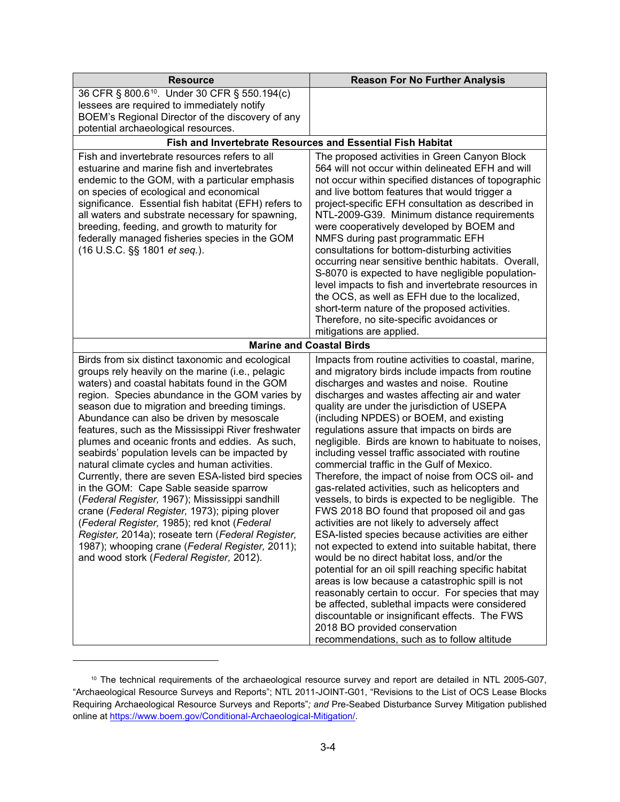| <b>Resource</b>                                                                                                                                                                                                                                                                                                                                                                                                                                                                                                                                                                                                                                                                                                                                                                                                                                                                                                       | <b>Reason For No Further Analysis</b>                                                                                                                                                                                                                                                                                                                                                                                                                                                                                                                                                                                                                                                                                                                                                                                                                                                                                                                                                                                                                                                                                                                                                                                                |
|-----------------------------------------------------------------------------------------------------------------------------------------------------------------------------------------------------------------------------------------------------------------------------------------------------------------------------------------------------------------------------------------------------------------------------------------------------------------------------------------------------------------------------------------------------------------------------------------------------------------------------------------------------------------------------------------------------------------------------------------------------------------------------------------------------------------------------------------------------------------------------------------------------------------------|--------------------------------------------------------------------------------------------------------------------------------------------------------------------------------------------------------------------------------------------------------------------------------------------------------------------------------------------------------------------------------------------------------------------------------------------------------------------------------------------------------------------------------------------------------------------------------------------------------------------------------------------------------------------------------------------------------------------------------------------------------------------------------------------------------------------------------------------------------------------------------------------------------------------------------------------------------------------------------------------------------------------------------------------------------------------------------------------------------------------------------------------------------------------------------------------------------------------------------------|
| 36 CFR § 800.6 <sup>10</sup> . Under 30 CFR § 550.194(c)                                                                                                                                                                                                                                                                                                                                                                                                                                                                                                                                                                                                                                                                                                                                                                                                                                                              |                                                                                                                                                                                                                                                                                                                                                                                                                                                                                                                                                                                                                                                                                                                                                                                                                                                                                                                                                                                                                                                                                                                                                                                                                                      |
| lessees are required to immediately notify                                                                                                                                                                                                                                                                                                                                                                                                                                                                                                                                                                                                                                                                                                                                                                                                                                                                            |                                                                                                                                                                                                                                                                                                                                                                                                                                                                                                                                                                                                                                                                                                                                                                                                                                                                                                                                                                                                                                                                                                                                                                                                                                      |
| BOEM's Regional Director of the discovery of any<br>potential archaeological resources.                                                                                                                                                                                                                                                                                                                                                                                                                                                                                                                                                                                                                                                                                                                                                                                                                               |                                                                                                                                                                                                                                                                                                                                                                                                                                                                                                                                                                                                                                                                                                                                                                                                                                                                                                                                                                                                                                                                                                                                                                                                                                      |
| Fish and Invertebrate Resources and Essential Fish Habitat                                                                                                                                                                                                                                                                                                                                                                                                                                                                                                                                                                                                                                                                                                                                                                                                                                                            |                                                                                                                                                                                                                                                                                                                                                                                                                                                                                                                                                                                                                                                                                                                                                                                                                                                                                                                                                                                                                                                                                                                                                                                                                                      |
| Fish and invertebrate resources refers to all                                                                                                                                                                                                                                                                                                                                                                                                                                                                                                                                                                                                                                                                                                                                                                                                                                                                         |                                                                                                                                                                                                                                                                                                                                                                                                                                                                                                                                                                                                                                                                                                                                                                                                                                                                                                                                                                                                                                                                                                                                                                                                                                      |
| estuarine and marine fish and invertebrates<br>endemic to the GOM, with a particular emphasis<br>on species of ecological and economical<br>significance. Essential fish habitat (EFH) refers to<br>all waters and substrate necessary for spawning,<br>breeding, feeding, and growth to maturity for<br>federally managed fisheries species in the GOM<br>(16 U.S.C. §§ 1801 <i>et seq.</i> ).                                                                                                                                                                                                                                                                                                                                                                                                                                                                                                                       | The proposed activities in Green Canyon Block<br>564 will not occur within delineated EFH and will<br>not occur within specified distances of topographic<br>and live bottom features that would trigger a<br>project-specific EFH consultation as described in<br>NTL-2009-G39. Minimum distance requirements<br>were cooperatively developed by BOEM and<br>NMFS during past programmatic EFH<br>consultations for bottom-disturbing activities<br>occurring near sensitive benthic habitats. Overall,<br>S-8070 is expected to have negligible population-<br>level impacts to fish and invertebrate resources in<br>the OCS, as well as EFH due to the localized,<br>short-term nature of the proposed activities.<br>Therefore, no site-specific avoidances or<br>mitigations are applied.                                                                                                                                                                                                                                                                                                                                                                                                                                      |
| <b>Marine and Coastal Birds</b>                                                                                                                                                                                                                                                                                                                                                                                                                                                                                                                                                                                                                                                                                                                                                                                                                                                                                       |                                                                                                                                                                                                                                                                                                                                                                                                                                                                                                                                                                                                                                                                                                                                                                                                                                                                                                                                                                                                                                                                                                                                                                                                                                      |
| Birds from six distinct taxonomic and ecological<br>groups rely heavily on the marine (i.e., pelagic<br>waters) and coastal habitats found in the GOM<br>region. Species abundance in the GOM varies by<br>season due to migration and breeding timings.<br>Abundance can also be driven by mesoscale<br>features, such as the Mississippi River freshwater<br>plumes and oceanic fronts and eddies. As such,<br>seabirds' population levels can be impacted by<br>natural climate cycles and human activities.<br>Currently, there are seven ESA-listed bird species<br>in the GOM: Cape Sable seaside sparrow<br>(Federal Register, 1967); Mississippi sandhill<br>crane (Federal Register, 1973); piping plover<br>(Federal Register, 1985); red knot (Federal<br>Register, 2014a); roseate tern (Federal Register,<br>1987); whooping crane (Federal Register, 2011);<br>and wood stork (Federal Register, 2012). | Impacts from routine activities to coastal, marine,<br>and migratory birds include impacts from routine<br>discharges and wastes and noise. Routine<br>discharges and wastes affecting air and water<br>quality are under the jurisdiction of USEPA<br>(including NPDES) or BOEM, and existing<br>regulations assure that impacts on birds are<br>negligible. Birds are known to habituate to noises,<br>including vessel traffic associated with routine<br>commercial traffic in the Gulf of Mexico.<br>Therefore, the impact of noise from OCS oil- and<br>gas-related activities, such as helicopters and<br>vessels, to birds is expected to be negligible. The<br>FWS 2018 BO found that proposed oil and gas<br>activities are not likely to adversely affect<br>ESA-listed species because activities are either<br>not expected to extend into suitable habitat, there<br>would be no direct habitat loss, and/or the<br>potential for an oil spill reaching specific habitat<br>areas is low because a catastrophic spill is not<br>reasonably certain to occur. For species that may<br>be affected, sublethal impacts were considered<br>discountable or insignificant effects. The FWS<br>2018 BO provided conservation |

<span id="page-33-0"></span><sup>10</sup> The technical requirements of the archaeological resource survey and report are detailed in NTL 2005-G07, "Archaeological Resource Surveys and Reports"; NTL 2011-JOINT-G01, "Revisions to the List of OCS Lease Blocks Requiring Archaeological Resource Surveys and Reports"*; and* Pre-Seabed Disturbance Survey Mitigation published online a[t https://www.boem.gov/Conditional-Archaeological-Mitigation/.](https://www.boem.gov/Conditional-Archaeological-Mitigation/)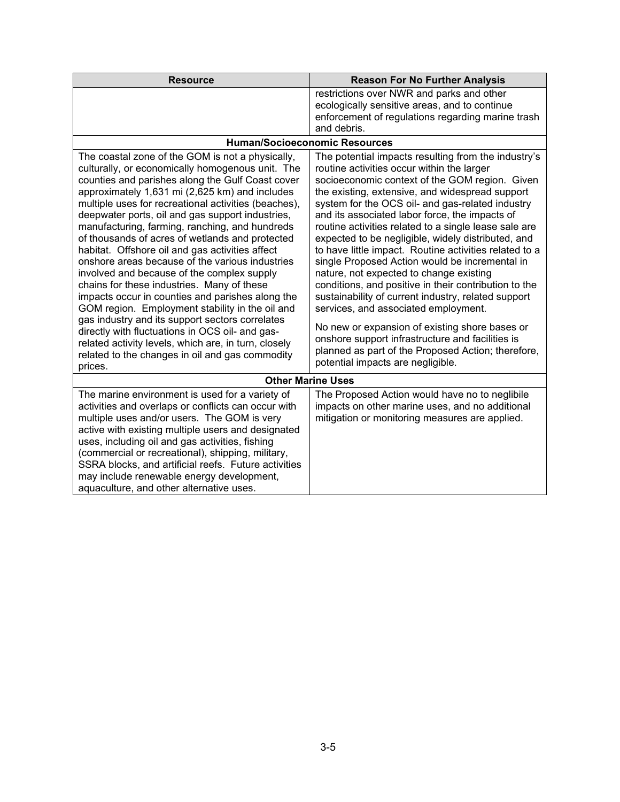| <b>Resource</b>                                                                                                                                                                                                                                                                                                                                                                                                                                                                                                                                                                                                                                                                                                                                                                                                                                                                                                                                                  | <b>Reason For No Further Analysis</b>                                                                                                                                                                                                                                                                                                                                                                                                                                                                                                                                                                                                                                                                                                                                                                                                                                                                                                       |  |  |  |
|------------------------------------------------------------------------------------------------------------------------------------------------------------------------------------------------------------------------------------------------------------------------------------------------------------------------------------------------------------------------------------------------------------------------------------------------------------------------------------------------------------------------------------------------------------------------------------------------------------------------------------------------------------------------------------------------------------------------------------------------------------------------------------------------------------------------------------------------------------------------------------------------------------------------------------------------------------------|---------------------------------------------------------------------------------------------------------------------------------------------------------------------------------------------------------------------------------------------------------------------------------------------------------------------------------------------------------------------------------------------------------------------------------------------------------------------------------------------------------------------------------------------------------------------------------------------------------------------------------------------------------------------------------------------------------------------------------------------------------------------------------------------------------------------------------------------------------------------------------------------------------------------------------------------|--|--|--|
|                                                                                                                                                                                                                                                                                                                                                                                                                                                                                                                                                                                                                                                                                                                                                                                                                                                                                                                                                                  | restrictions over NWR and parks and other<br>ecologically sensitive areas, and to continue<br>enforcement of regulations regarding marine trash<br>and debris.                                                                                                                                                                                                                                                                                                                                                                                                                                                                                                                                                                                                                                                                                                                                                                              |  |  |  |
|                                                                                                                                                                                                                                                                                                                                                                                                                                                                                                                                                                                                                                                                                                                                                                                                                                                                                                                                                                  | <b>Human/Socioeconomic Resources</b>                                                                                                                                                                                                                                                                                                                                                                                                                                                                                                                                                                                                                                                                                                                                                                                                                                                                                                        |  |  |  |
| The coastal zone of the GOM is not a physically,<br>culturally, or economically homogenous unit. The<br>counties and parishes along the Gulf Coast cover<br>approximately 1,631 mi (2,625 km) and includes<br>multiple uses for recreational activities (beaches),<br>deepwater ports, oil and gas support industries,<br>manufacturing, farming, ranching, and hundreds<br>of thousands of acres of wetlands and protected<br>habitat. Offshore oil and gas activities affect<br>onshore areas because of the various industries<br>involved and because of the complex supply<br>chains for these industries. Many of these<br>impacts occur in counties and parishes along the<br>GOM region. Employment stability in the oil and<br>gas industry and its support sectors correlates<br>directly with fluctuations in OCS oil- and gas-<br>related activity levels, which are, in turn, closely<br>related to the changes in oil and gas commodity<br>prices. | The potential impacts resulting from the industry's<br>routine activities occur within the larger<br>socioeconomic context of the GOM region. Given<br>the existing, extensive, and widespread support<br>system for the OCS oil- and gas-related industry<br>and its associated labor force, the impacts of<br>routine activities related to a single lease sale are<br>expected to be negligible, widely distributed, and<br>to have little impact. Routine activities related to a<br>single Proposed Action would be incremental in<br>nature, not expected to change existing<br>conditions, and positive in their contribution to the<br>sustainability of current industry, related support<br>services, and associated employment.<br>No new or expansion of existing shore bases or<br>onshore support infrastructure and facilities is<br>planned as part of the Proposed Action; therefore,<br>potential impacts are negligible. |  |  |  |
| <b>Other Marine Uses</b>                                                                                                                                                                                                                                                                                                                                                                                                                                                                                                                                                                                                                                                                                                                                                                                                                                                                                                                                         |                                                                                                                                                                                                                                                                                                                                                                                                                                                                                                                                                                                                                                                                                                                                                                                                                                                                                                                                             |  |  |  |
| The marine environment is used for a variety of<br>activities and overlaps or conflicts can occur with<br>multiple uses and/or users. The GOM is very<br>active with existing multiple users and designated<br>uses, including oil and gas activities, fishing<br>(commercial or recreational), shipping, military,<br>SSRA blocks, and artificial reefs. Future activities<br>may include renewable energy development,<br>aquaculture, and other alternative uses.                                                                                                                                                                                                                                                                                                                                                                                                                                                                                             | The Proposed Action would have no to neglibile<br>impacts on other marine uses, and no additional<br>mitigation or monitoring measures are applied.                                                                                                                                                                                                                                                                                                                                                                                                                                                                                                                                                                                                                                                                                                                                                                                         |  |  |  |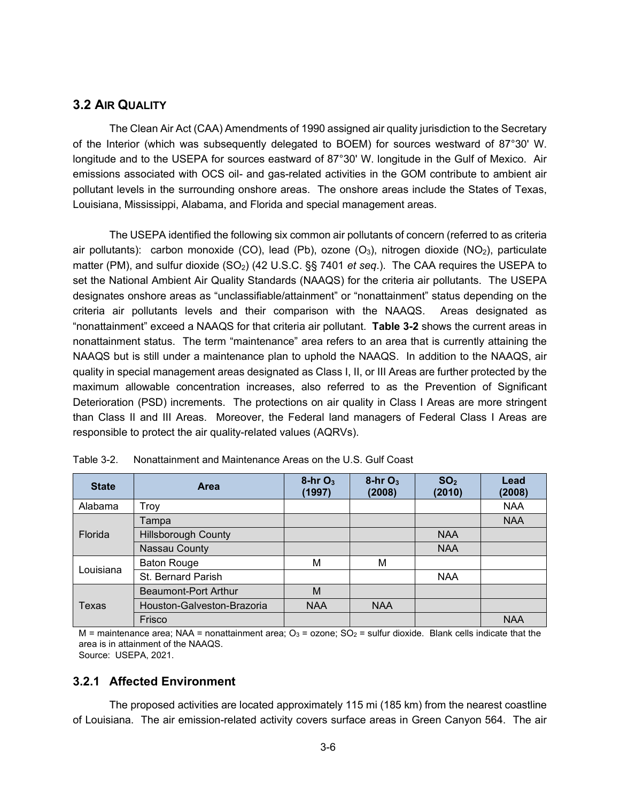# <span id="page-35-0"></span>**3.2 AIR QUALITY**

The Clean Air Act (CAA) Amendments of 1990 assigned air quality jurisdiction to the Secretary of the Interior (which was subsequently delegated to BOEM) for sources westward of 87°30' W. longitude and to the USEPA for sources eastward of 87°30' W. longitude in the Gulf of Mexico. Air emissions associated with OCS oil- and gas-related activities in the GOM contribute to ambient air pollutant levels in the surrounding onshore areas. The onshore areas include the States of Texas, Louisiana, Mississippi, Alabama, and Florida and special management areas.

The USEPA identified the following six common air pollutants of concern (referred to as criteria air pollutants): carbon monoxide (CO), lead (Pb), ozone (O<sub>3</sub>), nitrogen dioxide (NO<sub>2</sub>), particulate matter (PM), and sulfur dioxide (SO<sub>2</sub>) (42 U.S.C. §§ 7401 *et seq.*). The CAA requires the USEPA to set the National Ambient Air Quality Standards (NAAQS) for the criteria air pollutants. The USEPA designates onshore areas as "unclassifiable/attainment" or "nonattainment" status depending on the criteria air pollutants levels and their comparison with the NAAQS. Areas designated as "nonattainment" exceed a NAAQS for that criteria air pollutant. **Table 3-2** shows the current areas in nonattainment status. The term "maintenance" area refers to an area that is currently attaining the NAAQS but is still under a maintenance plan to uphold the NAAQS. In addition to the NAAQS, air quality in special management areas designated as Class I, II, or III Areas are further protected by the maximum allowable concentration increases, also referred to as the Prevention of Significant Deterioration (PSD) increments. The protections on air quality in Class I Areas are more stringent than Class II and III Areas. Moreover, the Federal land managers of Federal Class I Areas are responsible to protect the air quality-related values (AQRVs).

| <b>State</b> | Area                       | $8-hrO3$<br>(1997) | $8-hrO3$<br>(2008) | SO <sub>2</sub><br>(2010) | Lead<br>(2008) |
|--------------|----------------------------|--------------------|--------------------|---------------------------|----------------|
| Alabama      | Troy                       |                    |                    |                           | <b>NAA</b>     |
|              | Tampa                      |                    |                    |                           | <b>NAA</b>     |
| Florida      | <b>Hillsborough County</b> |                    |                    | <b>NAA</b>                |                |
|              | Nassau County              |                    |                    | <b>NAA</b>                |                |
| Louisiana    | <b>Baton Rouge</b>         | М                  | М                  |                           |                |
|              | St. Bernard Parish         |                    |                    | <b>NAA</b>                |                |
|              | Beaumont-Port Arthur       | M                  |                    |                           |                |
| Texas        | Houston-Galveston-Brazoria | <b>NAA</b>         | <b>NAA</b>         |                           |                |
|              | Frisco                     |                    |                    |                           | <b>NAA</b>     |

<span id="page-35-2"></span>Table 3-2. Nonattainment and Maintenance Areas on the U.S. Gulf Coast

M = maintenance area; NAA = nonattainment area;  $O_3$  = ozone;  $SO_2$  = sulfur dioxide. Blank cells indicate that the area is in attainment of the NAAQS. Source: USEPA, 2021.

# <span id="page-35-1"></span>**3.2.1 Affected Environment**

The proposed activities are located approximately 115 mi (185 km) from the nearest coastline of Louisiana. The air emission-related activity covers surface areas in Green Canyon 564. The air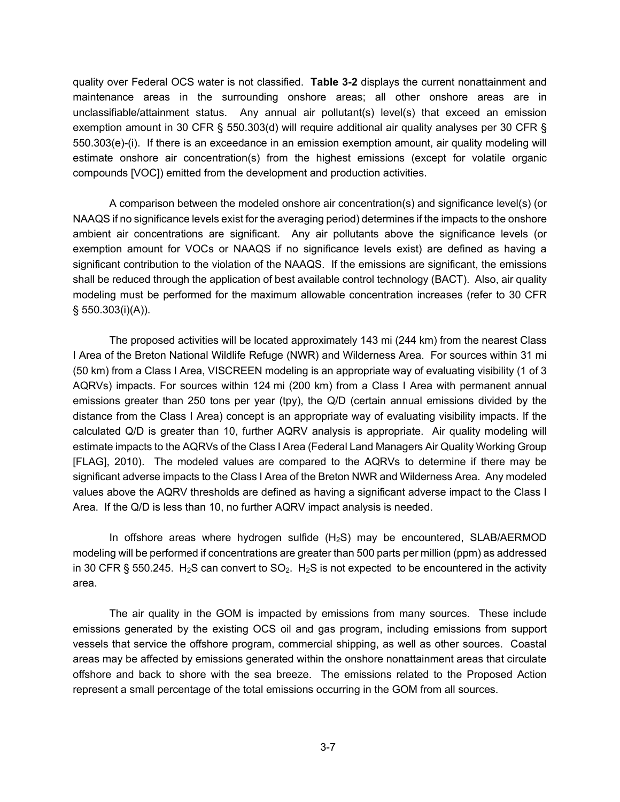quality over Federal OCS water is not classified. **Table 3-2** displays the current nonattainment and maintenance areas in the surrounding onshore areas; all other onshore areas are in unclassifiable/attainment status. Any annual air pollutant(s) level(s) that exceed an emission exemption amount in 30 CFR § 550.303(d) will require additional air quality analyses per 30 CFR § 550.303(e)-(i). If there is an exceedance in an emission exemption amount, air quality modeling will estimate onshore air concentration(s) from the highest emissions (except for volatile organic compounds [VOC]) emitted from the development and production activities.

A comparison between the modeled onshore air concentration(s) and significance level(s) (or NAAQS if no significance levels exist for the averaging period) determines if the impacts to the onshore ambient air concentrations are significant. Any air pollutants above the significance levels (or exemption amount for VOCs or NAAQS if no significance levels exist) are defined as having a significant contribution to the violation of the NAAQS. If the emissions are significant, the emissions shall be reduced through the application of best available control technology (BACT). Also, air quality modeling must be performed for the maximum allowable concentration increases (refer to 30 CFR § 550.303(i)(A)).

The proposed activities will be located approximately 143 mi (244 km) from the nearest Class I Area of the Breton National Wildlife Refuge (NWR) and Wilderness Area. For sources within 31 mi (50 km) from a Class I Area, VISCREEN modeling is an appropriate way of evaluating visibility (1 of 3 AQRVs) impacts. For sources within 124 mi (200 km) from a Class I Area with permanent annual emissions greater than 250 tons per year (tpy), the Q/D (certain annual emissions divided by the distance from the Class I Area) concept is an appropriate way of evaluating visibility impacts. If the calculated Q/D is greater than 10, further AQRV analysis is appropriate. Air quality modeling will estimate impacts to the AQRVs of the Class I Area (Federal Land Managers Air Quality Working Group [FLAG], 2010). The modeled values are compared to the AQRVs to determine if there may be significant adverse impacts to the Class I Area of the Breton NWR and Wilderness Area. Any modeled values above the AQRV thresholds are defined as having a significant adverse impact to the Class I Area. If the Q/D is less than 10, no further AQRV impact analysis is needed.

In offshore areas where hydrogen sulfide  $(H<sub>2</sub>S)$  may be encountered, SLAB/AERMOD modeling will be performed if concentrations are greater than 500 parts per million (ppm) as addressed in 30 CFR § 550.245. H<sub>2</sub>S can convert to  $SO_2$ . H<sub>2</sub>S is not expected to be encountered in the activity area.

The air quality in the GOM is impacted by emissions from many sources. These include emissions generated by the existing OCS oil and gas program, including emissions from support vessels that service the offshore program, commercial shipping, as well as other sources. Coastal areas may be affected by emissions generated within the onshore nonattainment areas that circulate offshore and back to shore with the sea breeze. The emissions related to the Proposed Action represent a small percentage of the total emissions occurring in the GOM from all sources.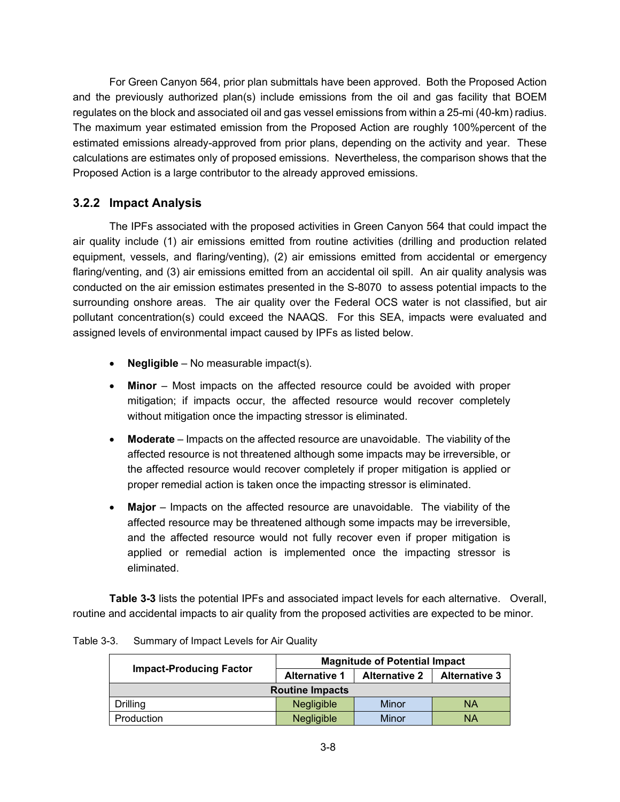For Green Canyon 564, prior plan submittals have been approved. Both the Proposed Action and the previously authorized plan(s) include emissions from the oil and gas facility that BOEM regulates on the block and associated oil and gas vessel emissions from within a 25-mi (40-km) radius. The maximum year estimated emission from the Proposed Action are roughly 100%percent of the estimated emissions already-approved from prior plans, depending on the activity and year. These calculations are estimates only of proposed emissions. Nevertheless, the comparison shows that the Proposed Action is a large contributor to the already approved emissions.

# <span id="page-37-0"></span>**3.2.2 Impact Analysis**

The IPFs associated with the proposed activities in Green Canyon 564 that could impact the air quality include (1) air emissions emitted from routine activities (drilling and production related equipment, vessels, and flaring/venting), (2) air emissions emitted from accidental or emergency flaring/venting, and (3) air emissions emitted from an accidental oil spill. An air quality analysis was conducted on the air emission estimates presented in the S-8070 to assess potential impacts to the surrounding onshore areas. The air quality over the Federal OCS water is not classified, but air pollutant concentration(s) could exceed the NAAQS. For this SEA, impacts were evaluated and assigned levels of environmental impact caused by IPFs as listed below.

- **Negligible** No measurable impact(s).
- **Minor** Most impacts on the affected resource could be avoided with proper mitigation; if impacts occur, the affected resource would recover completely without mitigation once the impacting stressor is eliminated.
- **Moderate** Impacts on the affected resource are unavoidable. The viability of the affected resource is not threatened although some impacts may be irreversible, or the affected resource would recover completely if proper mitigation is applied or proper remedial action is taken once the impacting stressor is eliminated.
- **Major** Impacts on the affected resource are unavoidable. The viability of the affected resource may be threatened although some impacts may be irreversible, and the affected resource would not fully recover even if proper mitigation is applied or remedial action is implemented once the impacting stressor is eliminated.

**Table 3-3** lists the potential IPFs and associated impact levels for each alternative. Overall, routine and accidental impacts to air quality from the proposed activities are expected to be minor.

|                                                            | <b>Magnitude of Potential Impact</b> |                      |                      |  |
|------------------------------------------------------------|--------------------------------------|----------------------|----------------------|--|
| <b>Impact-Producing Factor</b>                             | <b>Alternative 1</b>                 | <b>Alternative 2</b> | <b>Alternative 3</b> |  |
| <b>Routine Impacts</b>                                     |                                      |                      |                      |  |
| <b>NA</b><br>Minor<br><b>Negligible</b><br><b>Drilling</b> |                                      |                      |                      |  |
| Production                                                 | <b>Negligible</b>                    | Minor                | <b>NA</b>            |  |

<span id="page-37-1"></span>

| Table 3-3. | Summary of Impact Levels for Air Quality |
|------------|------------------------------------------|
|            |                                          |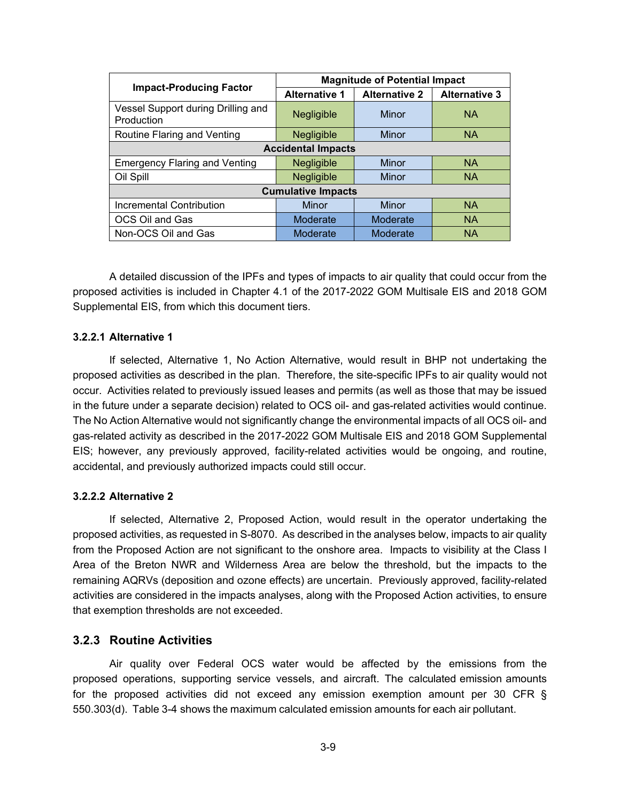| <b>Impact-Producing Factor</b>                   | <b>Magnitude of Potential Impact</b> |                      |                      |  |
|--------------------------------------------------|--------------------------------------|----------------------|----------------------|--|
|                                                  | <b>Alternative 1</b>                 | <b>Alternative 2</b> | <b>Alternative 3</b> |  |
| Vessel Support during Drilling and<br>Production | Negligible                           | Minor                | <b>NA</b>            |  |
| Routine Flaring and Venting                      | Negligible                           | <b>Minor</b>         | <b>NA</b>            |  |
| <b>Accidental Impacts</b>                        |                                      |                      |                      |  |
| <b>Emergency Flaring and Venting</b>             | Negligible                           | <b>Minor</b>         | <b>NA</b>            |  |
| Oil Spill                                        | <b>Negligible</b>                    | Minor                | <b>NA</b>            |  |
| <b>Cumulative Impacts</b>                        |                                      |                      |                      |  |
| Incremental Contribution                         | Minor                                | <b>Minor</b>         | <b>NA</b>            |  |
| OCS Oil and Gas                                  | Moderate                             | Moderate             | <b>NA</b>            |  |
| Non-OCS Oil and Gas                              | Moderate                             | Moderate             | <b>NA</b>            |  |

A detailed discussion of the IPFs and types of impacts to air quality that could occur from the proposed activities is included in Chapter 4.1 of the 2017-2022 GOM Multisale EIS and 2018 GOM Supplemental EIS, from which this document tiers.

### **3.2.2.1 Alternative 1**

If selected, Alternative 1, No Action Alternative, would result in BHP not undertaking the proposed activities as described in the plan. Therefore, the site-specific IPFs to air quality would not occur. Activities related to previously issued leases and permits (as well as those that may be issued in the future under a separate decision) related to OCS oil- and gas-related activities would continue. The No Action Alternative would not significantly change the environmental impacts of all OCS oil- and gas-related activity as described in the 2017-2022 GOM Multisale EIS and 2018 GOM Supplemental EIS; however, any previously approved, facility-related activities would be ongoing, and routine, accidental, and previously authorized impacts could still occur.

### **3.2.2.2 Alternative 2**

If selected, Alternative 2, Proposed Action, would result in the operator undertaking the proposed activities, as requested in S-8070. As described in the analyses below, impacts to air quality from the Proposed Action are not significant to the onshore area. Impacts to visibility at the Class I Area of the Breton NWR and Wilderness Area are below the threshold, but the impacts to the remaining AQRVs (deposition and ozone effects) are uncertain. Previously approved, facility-related activities are considered in the impacts analyses, along with the Proposed Action activities, to ensure that exemption thresholds are not exceeded.

# <span id="page-38-0"></span>**3.2.3 Routine Activities**

Air quality over Federal OCS water would be affected by the emissions from the proposed operations, supporting service vessels, and aircraft. The calculated emission amounts for the proposed activities did not exceed any emission exemption amount per 30 CFR § 550.303(d). Table 3-4 shows the maximum calculated emission amounts for each air pollutant.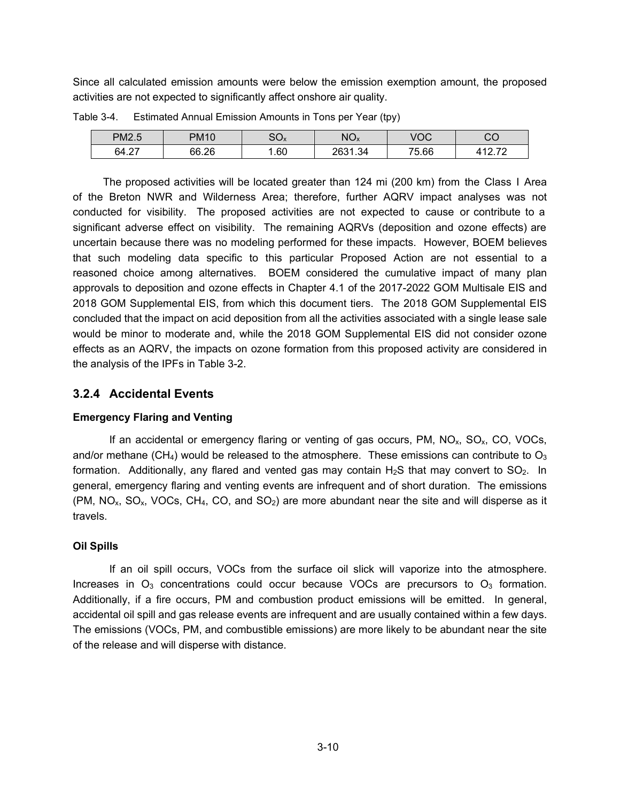Since all calculated emission amounts were below the emission exemption amount, the proposed activities are not expected to significantly affect onshore air quality.

| PM2.5 | <b>PM10</b> | r o<br>ovx | NO <sub>x</sub> | voc   | <b>^^</b><br>UU                                |
|-------|-------------|------------|-----------------|-------|------------------------------------------------|
| 64.27 | 66.26       | .60        | 2631.34<br>∠∪ບ  | 75.66 | 11 O '<br>$\overline{\phantom{a}}$<br><u>.</u> |

<span id="page-39-1"></span>Table 3-4. Estimated Annual Emission Amounts in Tons per Year (tpy)

The proposed activities will be located greater than 124 mi (200 km) from the Class I Area of the Breton NWR and Wilderness Area; therefore, further AQRV impact analyses was not conducted for visibility. The proposed activities are not expected to cause or contribute to a significant adverse effect on visibility. The remaining AQRVs (deposition and ozone effects) are uncertain because there was no modeling performed for these impacts. However, BOEM believes that such modeling data specific to this particular Proposed Action are not essential to a reasoned choice among alternatives. BOEM considered the cumulative impact of many plan approvals to deposition and ozone effects in Chapter 4.1 of the 2017-2022 GOM Multisale EIS and 2018 GOM Supplemental EIS, from which this document tiers. The 2018 GOM Supplemental EIS concluded that the impact on acid deposition from all the activities associated with a single lease sale would be minor to moderate and, while the 2018 GOM Supplemental EIS did not consider ozone effects as an AQRV, the impacts on ozone formation from this proposed activity are considered in the analysis of the IPFs in Table 3-2.

# <span id="page-39-0"></span>**3.2.4 Accidental Events**

### **Emergency Flaring and Venting**

If an accidental or emergency flaring or venting of gas occurs, PM,  $NO<sub>x</sub>$ , SO<sub>x</sub>, CO, VOCs, and/or methane (CH<sub>4</sub>) would be released to the atmosphere. These emissions can contribute to  $O_3$ formation. Additionally, any flared and vented gas may contain  $H_2S$  that may convert to  $SO_2$ . In general, emergency flaring and venting events are infrequent and of short duration. The emissions (PM,  $NO_x$ ,  $SO_x$ ,  $VOCs$ ,  $CH_4$ ,  $CO$ , and  $SO_2$ ) are more abundant near the site and will disperse as it travels.

### **Oil Spills**

If an oil spill occurs, VOCs from the surface oil slick will vaporize into the atmosphere. Increases in  $O_3$  concentrations could occur because VOCs are precursors to  $O_3$  formation. Additionally, if a fire occurs, PM and combustion product emissions will be emitted. In general, accidental oil spill and gas release events are infrequent and are usually contained within a few days. The emissions (VOCs, PM, and combustible emissions) are more likely to be abundant near the site of the release and will disperse with distance.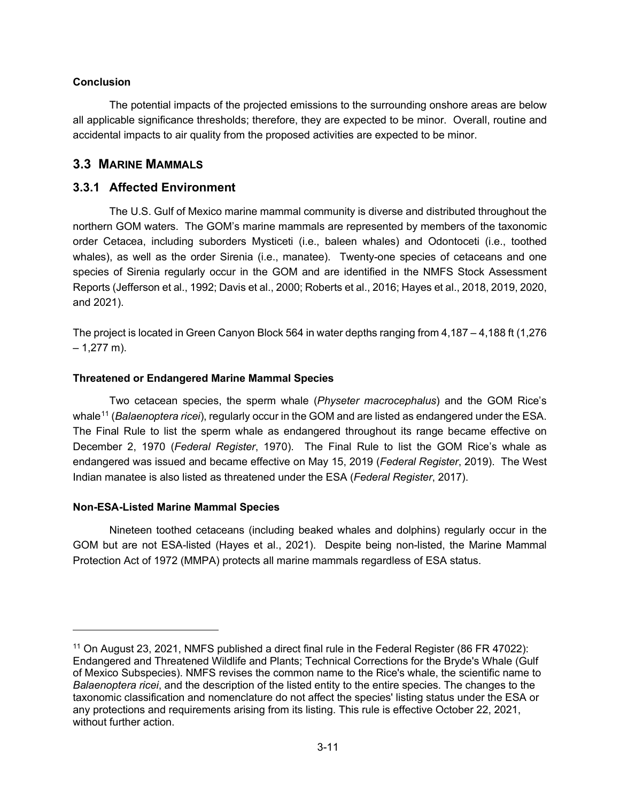# **Conclusion**

The potential impacts of the projected emissions to the surrounding onshore areas are below all applicable significance thresholds; therefore, they are expected to be minor. Overall, routine and accidental impacts to air quality from the proposed activities are expected to be minor.

# <span id="page-40-0"></span>**3.3 MARINE MAMMALS**

# <span id="page-40-1"></span>**3.3.1 Affected Environment**

The U.S. Gulf of Mexico marine mammal community is diverse and distributed throughout the northern GOM waters. The GOM's marine mammals are represented by members of the taxonomic order Cetacea, including suborders Mysticeti (i.e., baleen whales) and Odontoceti (i.e., toothed whales), as well as the order Sirenia (i.e., manatee). Twenty-one species of cetaceans and one species of Sirenia regularly occur in the GOM and are identified in the NMFS Stock Assessment Reports (Jefferson et al., 1992; Davis et al., 2000; Roberts et al., 2016; Hayes et al., 2018, 2019, 2020, and 2021).

The project is located in Green Canyon Block 564 in water depths ranging from 4,187 – 4,188 ft (1,276  $-1,277$  m).

# **Threatened or Endangered Marine Mammal Species**

Two cetacean species, the sperm whale (*Physeter macrocephalus*) and the GOM Rice's whale[11](#page-40-2) (*Balaenoptera ricei*), regularly occur in the GOM and are listed as endangered under the ESA. The Final Rule to list the sperm whale as endangered throughout its range became effective on December 2, 1970 (*Federal Register*, 1970). The Final Rule to list the GOM Rice's whale as endangered was issued and became effective on May 15, 2019 (*Federal Register*, 2019). The West Indian manatee is also listed as threatened under the ESA (*Federal Register*, 2017).

# **Non-ESA-Listed Marine Mammal Species**

Nineteen toothed cetaceans (including beaked whales and dolphins) regularly occur in the GOM but are not ESA-listed (Hayes et al., 2021). Despite being non-listed, the Marine Mammal Protection Act of 1972 (MMPA) protects all marine mammals regardless of ESA status.

<span id="page-40-2"></span><sup>11</sup> On August 23, 2021, NMFS published a direct final rule in the Federal Register (86 FR 47022): Endangered and Threatened Wildlife and Plants; Technical Corrections for the Bryde's Whale (Gulf of Mexico Subspecies). NMFS revises the common name to the Rice's whale, the scientific name to *Balaenoptera ricei*, and the description of the listed entity to the entire species. The changes to the taxonomic classification and nomenclature do not affect the species' listing status under the ESA or any protections and requirements arising from its listing. This rule is effective October 22, 2021, without further action.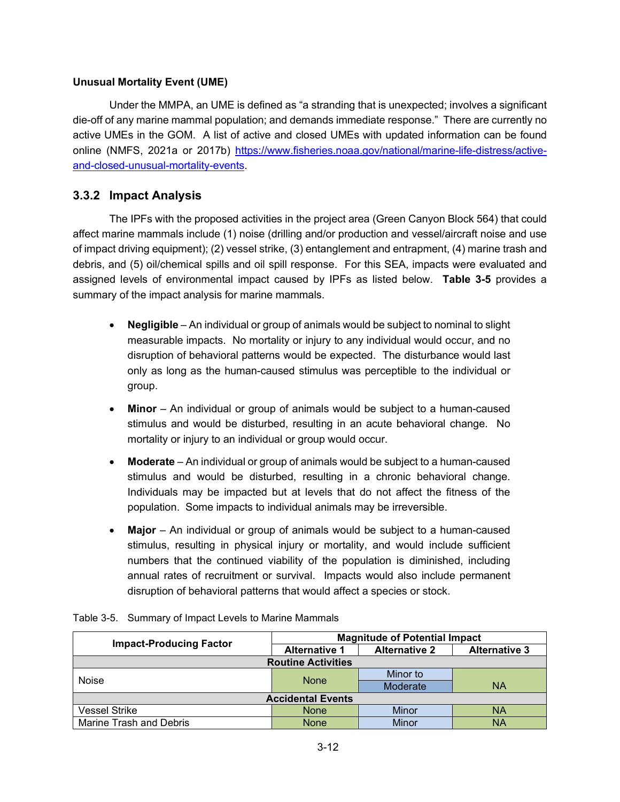## **Unusual Mortality Event (UME)**

Under the MMPA, an UME is defined as "a stranding that is unexpected; involves a significant die-off of any marine mammal population; and demands immediate response." There are currently no active UMEs in the GOM. A list of active and closed UMEs with updated information can be found online (NMFS, 2021a or 2017b) [https://www.fisheries.noaa.gov/national/marine-life-distress/active](https://www.fisheries.noaa.gov/national/marine-life-distress/active-and-closed-unusual-mortality-events)[and-closed-unusual-mortality-events.](https://www.fisheries.noaa.gov/national/marine-life-distress/active-and-closed-unusual-mortality-events)

# <span id="page-41-0"></span>**3.3.2 Impact Analysis**

The IPFs with the proposed activities in the project area (Green Canyon Block 564) that could affect marine mammals include (1) noise (drilling and/or production and vessel/aircraft noise and use of impact driving equipment); (2) vessel strike, (3) entanglement and entrapment, (4) marine trash and debris, and (5) oil/chemical spills and oil spill response. For this SEA, impacts were evaluated and assigned levels of environmental impact caused by IPFs as listed below. **Table 3-5** provides a summary of the impact analysis for marine mammals.

- **Negligible** An individual or group of animals would be subject to nominal to slight measurable impacts. No mortality or injury to any individual would occur, and no disruption of behavioral patterns would be expected. The disturbance would last only as long as the human-caused stimulus was perceptible to the individual or group.
- **Minor** An individual or group of animals would be subject to a human-caused stimulus and would be disturbed, resulting in an acute behavioral change. No mortality or injury to an individual or group would occur.
- **Moderate** An individual or group of animals would be subject to a human-caused stimulus and would be disturbed, resulting in a chronic behavioral change. Individuals may be impacted but at levels that do not affect the fitness of the population. Some impacts to individual animals may be irreversible.
- **Major** An individual or group of animals would be subject to a human-caused stimulus, resulting in physical injury or mortality, and would include sufficient numbers that the continued viability of the population is diminished, including annual rates of recruitment or survival. Impacts would also include permanent disruption of behavioral patterns that would affect a species or stock.

|                                | <b>Magnitude of Potential Impact</b> |                      |                      |  |
|--------------------------------|--------------------------------------|----------------------|----------------------|--|
| <b>Impact-Producing Factor</b> | <b>Alternative 1</b>                 | <b>Alternative 2</b> | <b>Alternative 3</b> |  |
| <b>Routine Activities</b>      |                                      |                      |                      |  |
| <b>Noise</b>                   | <b>None</b>                          | Minor to             |                      |  |
|                                |                                      | Moderate             | <b>NA</b>            |  |
| <b>Accidental Events</b>       |                                      |                      |                      |  |
| <b>Vessel Strike</b>           | <b>None</b>                          | Minor                | <b>NA</b>            |  |
| Marine Trash and Debris        | None                                 | Minor                | <b>NA</b>            |  |

<span id="page-41-1"></span>

| Table 3-5. Summary of Impact Levels to Marine Mammals |  |  |  |  |  |  |
|-------------------------------------------------------|--|--|--|--|--|--|
|-------------------------------------------------------|--|--|--|--|--|--|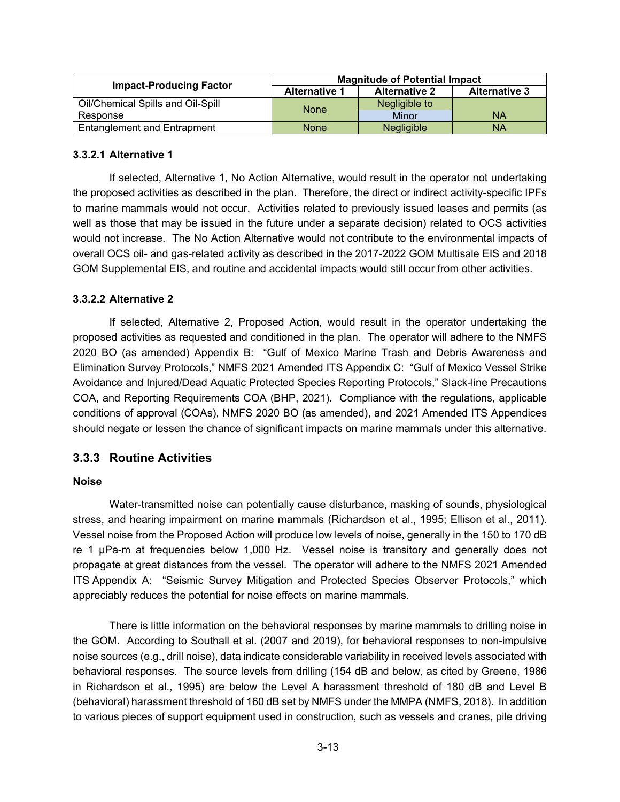| <b>Impact-Producing Factor</b>     | <b>Magnitude of Potential Impact</b> |                      |                      |  |
|------------------------------------|--------------------------------------|----------------------|----------------------|--|
|                                    | <b>Alternative 1</b>                 | <b>Alternative 2</b> | <b>Alternative 3</b> |  |
| Oil/Chemical Spills and Oil-Spill  | None                                 | Negligible to        |                      |  |
| Response                           |                                      | Minor                | <b>NA</b>            |  |
| <b>Entanglement and Entrapment</b> | None                                 | Negligible           | ΝA                   |  |

### **3.3.2.1 Alternative 1**

If selected, Alternative 1, No Action Alternative, would result in the operator not undertaking the proposed activities as described in the plan. Therefore, the direct or indirect activity-specific IPFs to marine mammals would not occur. Activities related to previously issued leases and permits (as well as those that may be issued in the future under a separate decision) related to OCS activities would not increase. The No Action Alternative would not contribute to the environmental impacts of overall OCS oil- and gas-related activity as described in the 2017-2022 GOM Multisale EIS and 2018 GOM Supplemental EIS, and routine and accidental impacts would still occur from other activities.

### **3.3.2.2 Alternative 2**

If selected, Alternative 2, Proposed Action, would result in the operator undertaking the proposed activities as requested and conditioned in the plan. The operator will adhere to the NMFS 2020 BO (as amended) Appendix B: "Gulf of Mexico Marine Trash and Debris Awareness and Elimination Survey Protocols," NMFS 2021 Amended ITS Appendix C: "Gulf of Mexico Vessel Strike Avoidance and Injured/Dead Aquatic Protected Species Reporting Protocols," Slack-line Precautions COA, and Reporting Requirements COA (BHP, 2021). Compliance with the regulations, applicable conditions of approval (COAs), NMFS 2020 BO (as amended), and 2021 Amended ITS Appendices should negate or lessen the chance of significant impacts on marine mammals under this alternative.

# <span id="page-42-0"></span>**3.3.3 Routine Activities**

### **Noise**

Water-transmitted noise can potentially cause disturbance, masking of sounds, physiological stress, and hearing impairment on marine mammals (Richardson et al., 1995; Ellison et al., 2011). Vessel noise from the Proposed Action will produce low levels of noise, generally in the 150 to 170 dB re 1 µPa-m at frequencies below 1,000 Hz. Vessel noise is transitory and generally does not propagate at great distances from the vessel. The operator will adhere to the NMFS 2021 Amended ITS Appendix A: "Seismic Survey Mitigation and Protected Species Observer Protocols," which appreciably reduces the potential for noise effects on marine mammals.

There is little information on the behavioral responses by marine mammals to drilling noise in the GOM. According to Southall et al. (2007 and 2019), for behavioral responses to non-impulsive noise sources (e.g., drill noise), data indicate considerable variability in received levels associated with behavioral responses. The source levels from drilling (154 dB and below, as cited by Greene, 1986 in Richardson et al., 1995) are below the Level A harassment threshold of 180 dB and Level B (behavioral) harassment threshold of 160 dB set by NMFS under the MMPA (NMFS, 2018). In addition to various pieces of support equipment used in construction, such as vessels and cranes, pile driving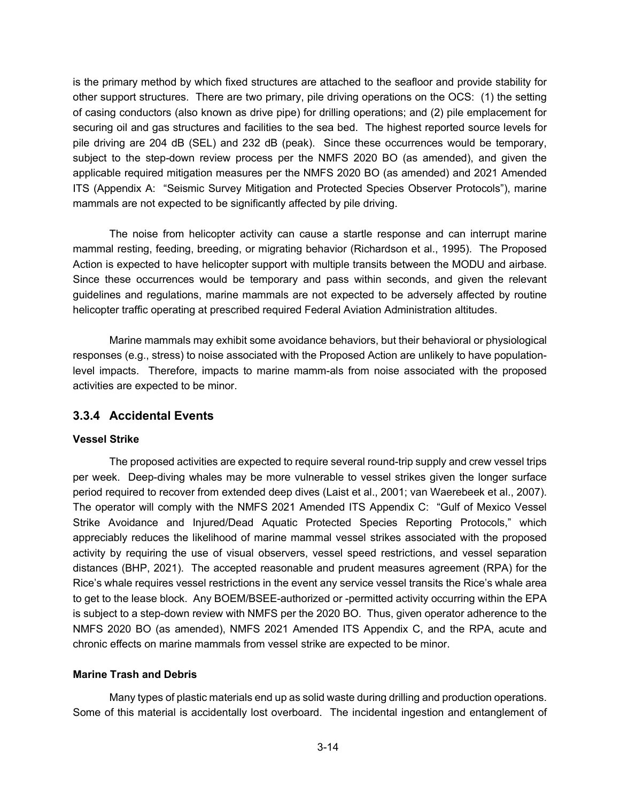is the primary method by which fixed structures are attached to the seafloor and provide stability for other support structures. There are two primary, pile driving operations on the OCS: (1) the setting of casing conductors (also known as drive pipe) for drilling operations; and (2) pile emplacement for securing oil and gas structures and facilities to the sea bed. The highest reported source levels for pile driving are 204 dB (SEL) and 232 dB (peak). Since these occurrences would be temporary, subject to the step-down review process per the NMFS 2020 BO (as amended), and given the applicable required mitigation measures per the NMFS 2020 BO (as amended) and 2021 Amended ITS (Appendix A: "Seismic Survey Mitigation and Protected Species Observer Protocols"), marine mammals are not expected to be significantly affected by pile driving.

The noise from helicopter activity can cause a startle response and can interrupt marine mammal resting, feeding, breeding, or migrating behavior (Richardson et al., 1995). The Proposed Action is expected to have helicopter support with multiple transits between the MODU and airbase. Since these occurrences would be temporary and pass within seconds, and given the relevant guidelines and regulations, marine mammals are not expected to be adversely affected by routine helicopter traffic operating at prescribed required Federal Aviation Administration altitudes.

Marine mammals may exhibit some avoidance behaviors, but their behavioral or physiological responses (e.g., stress) to noise associated with the Proposed Action are unlikely to have populationlevel impacts. Therefore, impacts to marine mamm-als from noise associated with the proposed activities are expected to be minor.

### <span id="page-43-0"></span>**3.3.4 Accidental Events**

#### **Vessel Strike**

The proposed activities are expected to require several round-trip supply and crew vessel trips per week. Deep-diving whales may be more vulnerable to vessel strikes given the longer surface period required to recover from extended deep dives (Laist et al., 2001; van Waerebeek et al., 2007). The operator will comply with the NMFS 2021 Amended ITS Appendix C: "Gulf of Mexico Vessel Strike Avoidance and Injured/Dead Aquatic Protected Species Reporting Protocols," which appreciably reduces the likelihood of marine mammal vessel strikes associated with the proposed activity by requiring the use of visual observers, vessel speed restrictions, and vessel separation distances (BHP, 2021). The accepted reasonable and prudent measures agreement (RPA) for the Rice's whale requires vessel restrictions in the event any service vessel transits the Rice's whale area to get to the lease block. Any BOEM/BSEE-authorized or -permitted activity occurring within the EPA is subject to a step-down review with NMFS per the 2020 BO. Thus, given operator adherence to the NMFS 2020 BO (as amended), NMFS 2021 Amended ITS Appendix C, and the RPA, acute and chronic effects on marine mammals from vessel strike are expected to be minor.

#### **Marine Trash and Debris**

Many types of plastic materials end up as solid waste during drilling and production operations. Some of this material is accidentally lost overboard. The incidental ingestion and entanglement of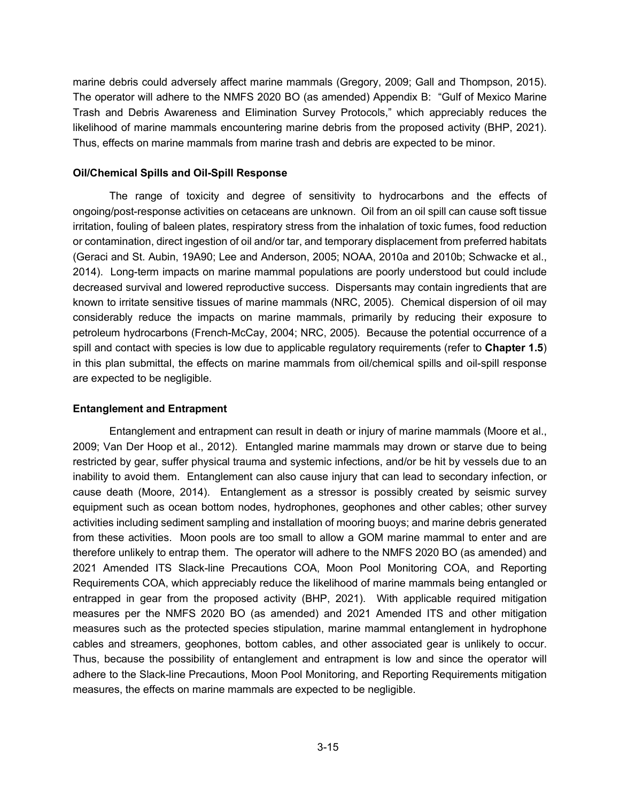marine debris could adversely affect marine mammals (Gregory, 2009; Gall and Thompson, 2015). The operator will adhere to the NMFS 2020 BO (as amended) Appendix B: "Gulf of Mexico Marine Trash and Debris Awareness and Elimination Survey Protocols," which appreciably reduces the likelihood of marine mammals encountering marine debris from the proposed activity (BHP, 2021). Thus, effects on marine mammals from marine trash and debris are expected to be minor.

#### **Oil/Chemical Spills and Oil-Spill Response**

The range of toxicity and degree of sensitivity to hydrocarbons and the effects of ongoing/post-response activities on cetaceans are unknown. Oil from an oil spill can cause soft tissue irritation, fouling of baleen plates, respiratory stress from the inhalation of toxic fumes, food reduction or contamination, direct ingestion of oil and/or tar, and temporary displacement from preferred habitats (Geraci and St. Aubin, 19A90; Lee and Anderson, 2005; NOAA, 2010a and 2010b; Schwacke et al., 2014). Long-term impacts on marine mammal populations are poorly understood but could include decreased survival and lowered reproductive success. Dispersants may contain ingredients that are known to irritate sensitive tissues of marine mammals (NRC, 2005). Chemical dispersion of oil may considerably reduce the impacts on marine mammals, primarily by reducing their exposure to petroleum hydrocarbons (French-McCay, 2004; NRC, 2005). Because the potential occurrence of a spill and contact with species is low due to applicable regulatory requirements (refer to **Chapter 1.5**) in this plan submittal, the effects on marine mammals from oil/chemical spills and oil-spill response are expected to be negligible.

### **Entanglement and Entrapment**

Entanglement and entrapment can result in death or injury of marine mammals (Moore et al., 2009; Van Der Hoop et al., 2012). Entangled marine mammals may drown or starve due to being restricted by gear, suffer physical trauma and systemic infections, and/or be hit by vessels due to an inability to avoid them. Entanglement can also cause injury that can lead to secondary infection, or cause death (Moore, 2014). Entanglement as a stressor is possibly created by seismic survey equipment such as ocean bottom nodes, hydrophones, geophones and other cables; other survey activities including sediment sampling and installation of mooring buoys; and marine debris generated from these activities. Moon pools are too small to allow a GOM marine mammal to enter and are therefore unlikely to entrap them. The operator will adhere to the NMFS 2020 BO (as amended) and 2021 Amended ITS Slack-line Precautions COA, Moon Pool Monitoring COA, and Reporting Requirements COA, which appreciably reduce the likelihood of marine mammals being entangled or entrapped in gear from the proposed activity (BHP, 2021). With applicable required mitigation measures per the NMFS 2020 BO (as amended) and 2021 Amended ITS and other mitigation measures such as the protected species stipulation, marine mammal entanglement in hydrophone cables and streamers, geophones, bottom cables, and other associated gear is unlikely to occur. Thus, because the possibility of entanglement and entrapment is low and since the operator will adhere to the Slack-line Precautions, Moon Pool Monitoring, and Reporting Requirements mitigation measures, the effects on marine mammals are expected to be negligible.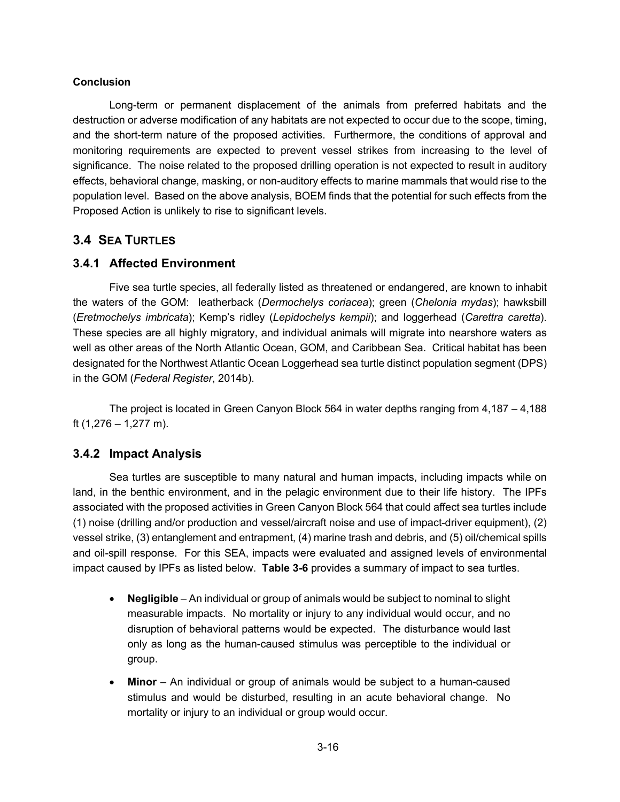## **Conclusion**

Long-term or permanent displacement of the animals from preferred habitats and the destruction or adverse modification of any habitats are not expected to occur due to the scope, timing, and the short-term nature of the proposed activities. Furthermore, the conditions of approval and monitoring requirements are expected to prevent vessel strikes from increasing to the level of significance. The noise related to the proposed drilling operation is not expected to result in auditory effects, behavioral change, masking, or non-auditory effects to marine mammals that would rise to the population level. Based on the above analysis, BOEM finds that the potential for such effects from the Proposed Action is unlikely to rise to significant levels.

# <span id="page-45-0"></span>**3.4 SEA TURTLES**

# <span id="page-45-1"></span>**3.4.1 Affected Environment**

Five sea turtle species, all federally listed as threatened or endangered, are known to inhabit the waters of the GOM: leatherback (*Dermochelys coriacea*); green (*Chelonia mydas*); hawksbill (*Eretmochelys imbricata*); Kemp's ridley (*Lepidochelys kempii*); and loggerhead (*Carettra caretta*). These species are all highly migratory, and individual animals will migrate into nearshore waters as well as other areas of the North Atlantic Ocean, GOM, and Caribbean Sea. Critical habitat has been designated for the Northwest Atlantic Ocean Loggerhead sea turtle distinct population segment (DPS) in the GOM (*Federal Register*, 2014b).

The project is located in Green Canyon Block 564 in water depths ranging from 4,187 – 4,188 ft (1,276 – 1,277 m).

# <span id="page-45-2"></span>**3.4.2 Impact Analysis**

Sea turtles are susceptible to many natural and human impacts, including impacts while on land, in the benthic environment, and in the pelagic environment due to their life history. The IPFs associated with the proposed activities in Green Canyon Block 564 that could affect sea turtles include (1) noise (drilling and/or production and vessel/aircraft noise and use of impact-driver equipment), (2) vessel strike, (3) entanglement and entrapment, (4) marine trash and debris, and (5) oil/chemical spills and oil-spill response. For this SEA, impacts were evaluated and assigned levels of environmental impact caused by IPFs as listed below. **Table 3-6** provides a summary of impact to sea turtles.

- **Negligible** An individual or group of animals would be subject to nominal to slight measurable impacts. No mortality or injury to any individual would occur, and no disruption of behavioral patterns would be expected. The disturbance would last only as long as the human-caused stimulus was perceptible to the individual or group.
- **Minor** An individual or group of animals would be subject to a human-caused stimulus and would be disturbed, resulting in an acute behavioral change. No mortality or injury to an individual or group would occur.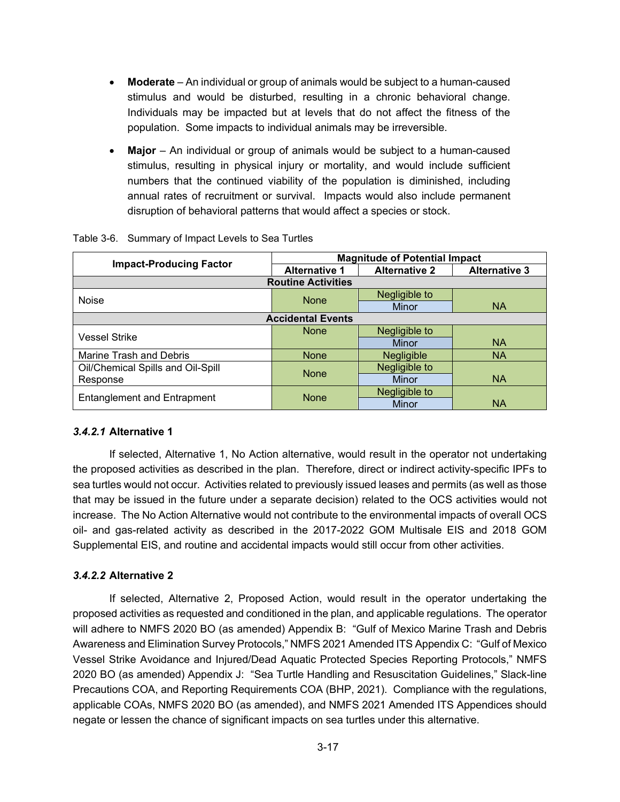- **Moderate** An individual or group of animals would be subject to a human-caused stimulus and would be disturbed, resulting in a chronic behavioral change. Individuals may be impacted but at levels that do not affect the fitness of the population. Some impacts to individual animals may be irreversible.
- **Major** An individual or group of animals would be subject to a human-caused stimulus, resulting in physical injury or mortality, and would include sufficient numbers that the continued viability of the population is diminished, including annual rates of recruitment or survival. Impacts would also include permanent disruption of behavioral patterns that would affect a species or stock.

|                                    | <b>Magnitude of Potential Impact</b> |                      |                      |  |
|------------------------------------|--------------------------------------|----------------------|----------------------|--|
| <b>Impact-Producing Factor</b>     | <b>Alternative 1</b>                 | <b>Alternative 2</b> | <b>Alternative 3</b> |  |
|                                    | <b>Routine Activities</b>            |                      |                      |  |
| <b>Noise</b>                       |                                      | Negligible to        |                      |  |
|                                    | <b>None</b>                          | Minor                | <b>NA</b>            |  |
| <b>Accidental Events</b>           |                                      |                      |                      |  |
| <b>Vessel Strike</b>               | <b>None</b>                          | Negligible to        |                      |  |
|                                    |                                      | <b>Minor</b>         | <b>NA</b>            |  |
| Marine Trash and Debris            | <b>None</b>                          | Negligible           | <b>NA</b>            |  |
| Oil/Chemical Spills and Oil-Spill  | <b>None</b>                          | Negligible to        |                      |  |
| Response                           |                                      | Minor                | <b>NA</b>            |  |
|                                    | <b>None</b>                          | Negligible to        |                      |  |
| <b>Entanglement and Entrapment</b> |                                      | Minor                | <b>NA</b>            |  |

#### <span id="page-46-0"></span>Table 3-6. Summary of Impact Levels to Sea Turtles

#### *3.4.2.1* **Alternative 1**

If selected, Alternative 1, No Action alternative, would result in the operator not undertaking the proposed activities as described in the plan. Therefore, direct or indirect activity-specific IPFs to sea turtles would not occur. Activities related to previously issued leases and permits (as well as those that may be issued in the future under a separate decision) related to the OCS activities would not increase. The No Action Alternative would not contribute to the environmental impacts of overall OCS oil- and gas-related activity as described in the 2017-2022 GOM Multisale EIS and 2018 GOM Supplemental EIS, and routine and accidental impacts would still occur from other activities.

### *3.4.2.2* **Alternative 2**

If selected, Alternative 2, Proposed Action, would result in the operator undertaking the proposed activities as requested and conditioned in the plan, and applicable regulations. The operator will adhere to NMFS 2020 BO (as amended) Appendix B: "Gulf of Mexico Marine Trash and Debris Awareness and Elimination Survey Protocols," NMFS 2021 Amended ITS Appendix C: "Gulf of Mexico Vessel Strike Avoidance and Injured/Dead Aquatic Protected Species Reporting Protocols," NMFS 2020 BO (as amended) Appendix J: "Sea Turtle Handling and Resuscitation Guidelines," Slack-line Precautions COA, and Reporting Requirements COA (BHP, 2021). Compliance with the regulations, applicable COAs, NMFS 2020 BO (as amended), and NMFS 2021 Amended ITS Appendices should negate or lessen the chance of significant impacts on sea turtles under this alternative.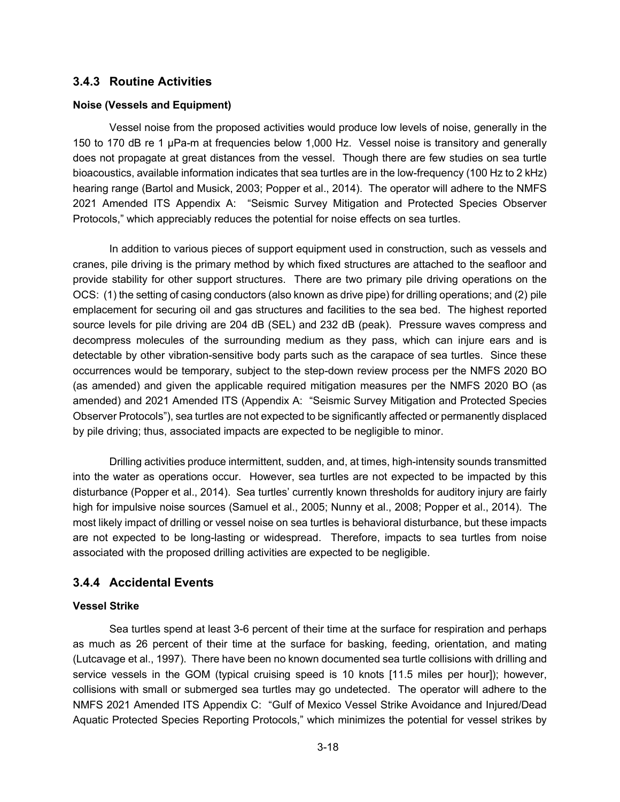# <span id="page-47-0"></span>**3.4.3 Routine Activities**

### **Noise (Vessels and Equipment)**

Vessel noise from the proposed activities would produce low levels of noise, generally in the 150 to 170 dB re 1 µPa-m at frequencies below 1,000 Hz. Vessel noise is transitory and generally does not propagate at great distances from the vessel. Though there are few studies on sea turtle bioacoustics, available information indicates that sea turtles are in the low-frequency (100 Hz to 2 kHz) hearing range (Bartol and Musick, 2003; Popper et al., 2014). The operator will adhere to the NMFS 2021 Amended ITS Appendix A: "Seismic Survey Mitigation and Protected Species Observer Protocols," which appreciably reduces the potential for noise effects on sea turtles.

In addition to various pieces of support equipment used in construction, such as vessels and cranes, pile driving is the primary method by which fixed structures are attached to the seafloor and provide stability for other support structures. There are two primary pile driving operations on the OCS: (1) the setting of casing conductors (also known as drive pipe) for drilling operations; and (2) pile emplacement for securing oil and gas structures and facilities to the sea bed. The highest reported source levels for pile driving are 204 dB (SEL) and 232 dB (peak). Pressure waves compress and decompress molecules of the surrounding medium as they pass, which can injure ears and is detectable by other vibration-sensitive body parts such as the carapace of sea turtles. Since these occurrences would be temporary, subject to the step-down review process per the NMFS 2020 BO (as amended) and given the applicable required mitigation measures per the NMFS 2020 BO (as amended) and 2021 Amended ITS (Appendix A: "Seismic Survey Mitigation and Protected Species Observer Protocols"), sea turtles are not expected to be significantly affected or permanently displaced by pile driving; thus, associated impacts are expected to be negligible to minor.

Drilling activities produce intermittent, sudden, and, at times, high-intensity sounds transmitted into the water as operations occur. However, sea turtles are not expected to be impacted by this disturbance (Popper et al., 2014). Sea turtles' currently known thresholds for auditory injury are fairly high for impulsive noise sources (Samuel et al., 2005; Nunny et al., 2008; Popper et al., 2014). The most likely impact of drilling or vessel noise on sea turtles is behavioral disturbance, but these impacts are not expected to be long-lasting or widespread. Therefore, impacts to sea turtles from noise associated with the proposed drilling activities are expected to be negligible.

# <span id="page-47-1"></span>**3.4.4 Accidental Events**

#### **Vessel Strike**

Sea turtles spend at least 3-6 percent of their time at the surface for respiration and perhaps as much as 26 percent of their time at the surface for basking, feeding, orientation, and mating (Lutcavage et al., 1997). There have been no known documented sea turtle collisions with drilling and service vessels in the GOM (typical cruising speed is 10 knots [11.5 miles per hour]); however, collisions with small or submerged sea turtles may go undetected. The operator will adhere to the NMFS 2021 Amended ITS Appendix C: "Gulf of Mexico Vessel Strike Avoidance and Injured/Dead Aquatic Protected Species Reporting Protocols," which minimizes the potential for vessel strikes by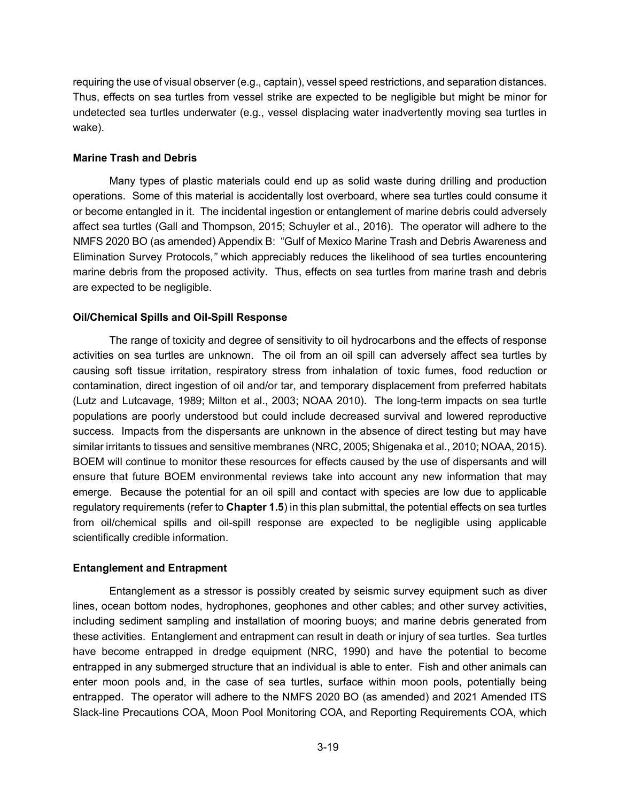requiring the use of visual observer (e.g., captain), vessel speed restrictions, and separation distances. Thus, effects on sea turtles from vessel strike are expected to be negligible but might be minor for undetected sea turtles underwater (e.g., vessel displacing water inadvertently moving sea turtles in wake).

### **Marine Trash and Debris**

Many types of plastic materials could end up as solid waste during drilling and production operations. Some of this material is accidentally lost overboard, where sea turtles could consume it or become entangled in it. The incidental ingestion or entanglement of marine debris could adversely affect sea turtles (Gall and Thompson, 2015; Schuyler et al., 2016). The operator will adhere to the NMFS 2020 BO (as amended) Appendix B: "Gulf of Mexico Marine Trash and Debris Awareness and Elimination Survey Protocols,*"* which appreciably reduces the likelihood of sea turtles encountering marine debris from the proposed activity. Thus, effects on sea turtles from marine trash and debris are expected to be negligible.

# **Oil/Chemical Spills and Oil-Spill Response**

The range of toxicity and degree of sensitivity to oil hydrocarbons and the effects of response activities on sea turtles are unknown. The oil from an oil spill can adversely affect sea turtles by causing soft tissue irritation, respiratory stress from inhalation of toxic fumes, food reduction or contamination, direct ingestion of oil and/or tar, and temporary displacement from preferred habitats (Lutz and Lutcavage, 1989; Milton et al., 2003; NOAA 2010). The long-term impacts on sea turtle populations are poorly understood but could include decreased survival and lowered reproductive success. Impacts from the dispersants are unknown in the absence of direct testing but may have similar irritants to tissues and sensitive membranes (NRC, 2005; Shigenaka et al., 2010; NOAA, 2015). BOEM will continue to monitor these resources for effects caused by the use of dispersants and will ensure that future BOEM environmental reviews take into account any new information that may emerge. Because the potential for an oil spill and contact with species are low due to applicable regulatory requirements (refer to **Chapter 1.5**) in this plan submittal, the potential effects on sea turtles from oil/chemical spills and oil-spill response are expected to be negligible using applicable scientifically credible information.

### **Entanglement and Entrapment**

Entanglement as a stressor is possibly created by seismic survey equipment such as diver lines, ocean bottom nodes, hydrophones, geophones and other cables; and other survey activities, including sediment sampling and installation of mooring buoys; and marine debris generated from these activities. Entanglement and entrapment can result in death or injury of sea turtles. Sea turtles have become entrapped in dredge equipment (NRC, 1990) and have the potential to become entrapped in any submerged structure that an individual is able to enter. Fish and other animals can enter moon pools and, in the case of sea turtles, surface within moon pools, potentially being entrapped. The operator will adhere to the NMFS 2020 BO (as amended) and 2021 Amended ITS Slack-line Precautions COA, Moon Pool Monitoring COA, and Reporting Requirements COA, which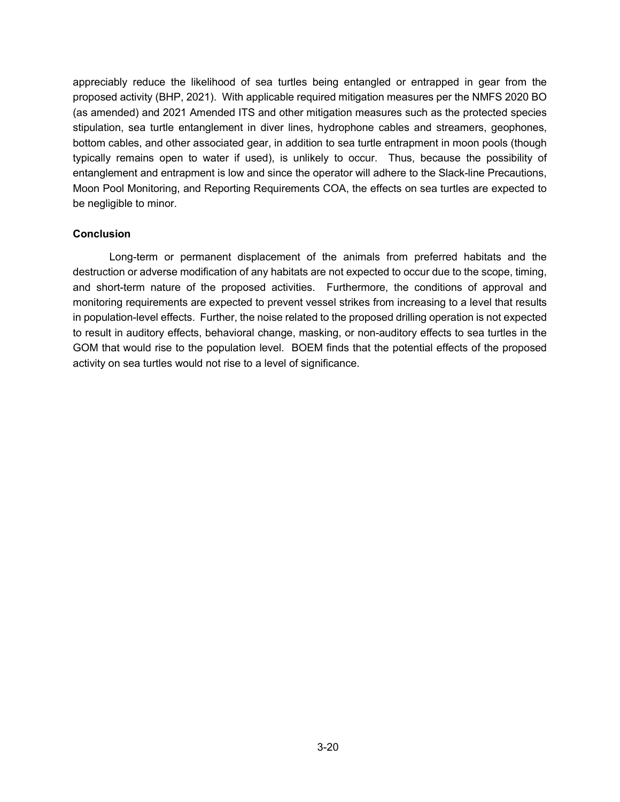appreciably reduce the likelihood of sea turtles being entangled or entrapped in gear from the proposed activity (BHP, 2021). With applicable required mitigation measures per the NMFS 2020 BO (as amended) and 2021 Amended ITS and other mitigation measures such as the protected species stipulation, sea turtle entanglement in diver lines, hydrophone cables and streamers, geophones, bottom cables, and other associated gear, in addition to sea turtle entrapment in moon pools (though typically remains open to water if used), is unlikely to occur. Thus, because the possibility of entanglement and entrapment is low and since the operator will adhere to the Slack-line Precautions, Moon Pool Monitoring, and Reporting Requirements COA, the effects on sea turtles are expected to be negligible to minor.

#### **Conclusion**

Long-term or permanent displacement of the animals from preferred habitats and the destruction or adverse modification of any habitats are not expected to occur due to the scope, timing, and short-term nature of the proposed activities. Furthermore, the conditions of approval and monitoring requirements are expected to prevent vessel strikes from increasing to a level that results in population-level effects. Further, the noise related to the proposed drilling operation is not expected to result in auditory effects, behavioral change, masking, or non-auditory effects to sea turtles in the GOM that would rise to the population level. BOEM finds that the potential effects of the proposed activity on sea turtles would not rise to a level of significance.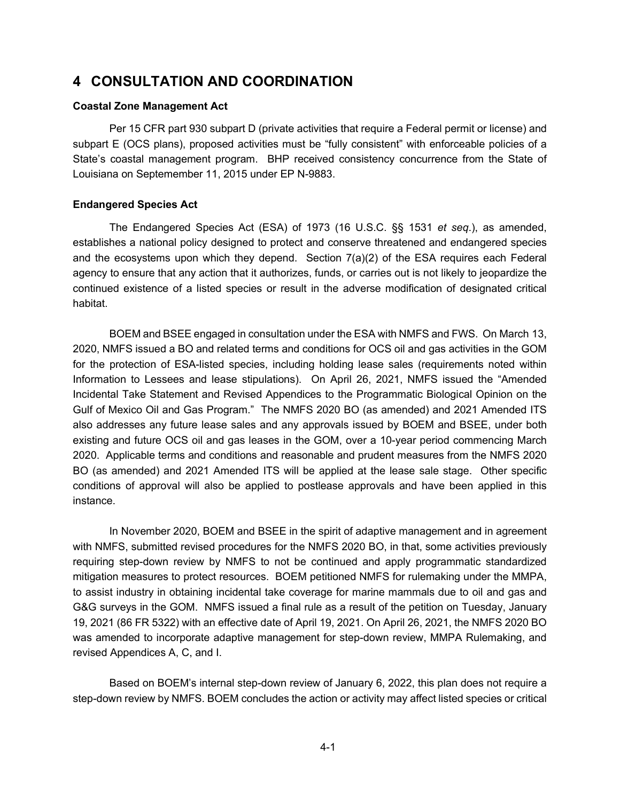# <span id="page-50-0"></span>**4 CONSULTATION AND COORDINATION**

#### **Coastal Zone Management Act**

Per 15 CFR part 930 subpart D (private activities that require a Federal permit or license) and subpart E (OCS plans), proposed activities must be "fully consistent" with enforceable policies of a State's coastal management program. BHP received consistency concurrence from the State of Louisiana on Septemember 11, 2015 under EP N-9883.

#### **Endangered Species Act**

The Endangered Species Act (ESA) of 1973 (16 U.S.C. §§ 1531 *et seq*.), as amended, establishes a national policy designed to protect and conserve threatened and endangered species and the ecosystems upon which they depend. Section  $7(a)(2)$  of the ESA requires each Federal agency to ensure that any action that it authorizes, funds, or carries out is not likely to jeopardize the continued existence of a listed species or result in the adverse modification of designated critical habitat.

BOEM and BSEE engaged in consultation under the ESA with NMFS and FWS. On March 13, 2020, NMFS issued a BO and related terms and conditions for OCS oil and gas activities in the GOM for the protection of ESA-listed species, including holding lease sales (requirements noted within Information to Lessees and lease stipulations). On April 26, 2021, NMFS issued the "Amended Incidental Take Statement and Revised Appendices to the Programmatic Biological Opinion on the Gulf of Mexico Oil and Gas Program." The NMFS 2020 BO (as amended) and 2021 Amended ITS also addresses any future lease sales and any approvals issued by BOEM and BSEE, under both existing and future OCS oil and gas leases in the GOM, over a 10-year period commencing March 2020. Applicable terms and conditions and reasonable and prudent measures from the NMFS 2020 BO (as amended) and 2021 Amended ITS will be applied at the lease sale stage. Other specific conditions of approval will also be applied to postlease approvals and have been applied in this instance.

In November 2020, BOEM and BSEE in the spirit of adaptive management and in agreement with NMFS, submitted revised procedures for the NMFS 2020 BO, in that, some activities previously requiring step-down review by NMFS to not be continued and apply programmatic standardized mitigation measures to protect resources. BOEM petitioned NMFS for rulemaking under the MMPA, to assist industry in obtaining incidental take coverage for marine mammals due to oil and gas and G&G surveys in the GOM. NMFS issued a final rule as a result of the petition on Tuesday, January 19, 2021 (86 FR 5322) with an effective date of April 19, 2021. On April 26, 2021, the NMFS 2020 BO was amended to incorporate adaptive management for step-down review, MMPA Rulemaking, and revised Appendices A, C, and I.

Based on BOEM's internal step-down review of January 6, 2022, this plan does not require a step-down review by NMFS. BOEM concludes the action or activity may affect listed species or critical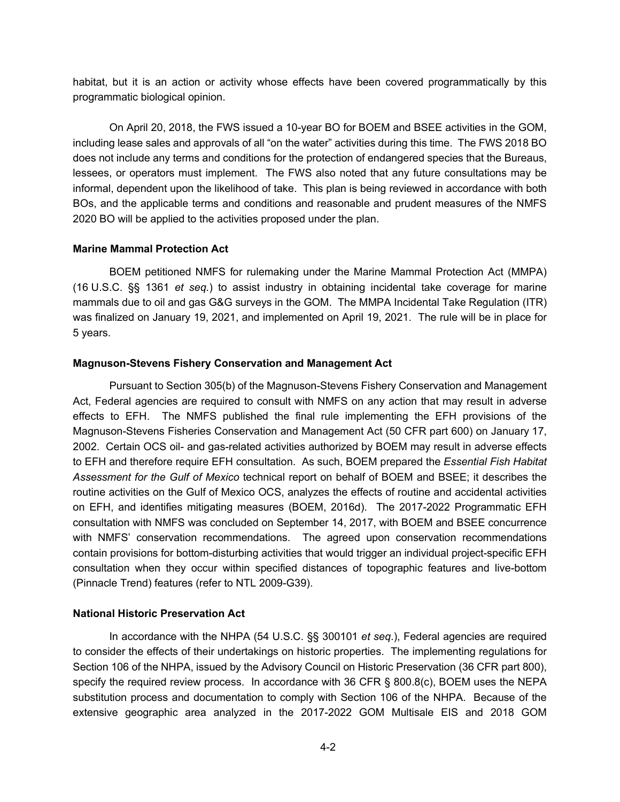habitat, but it is an action or activity whose effects have been covered programmatically by this programmatic biological opinion.

On April 20, 2018, the FWS issued a 10-year BO for BOEM and BSEE activities in the GOM, including lease sales and approvals of all "on the water" activities during this time. The FWS 2018 BO does not include any terms and conditions for the protection of endangered species that the Bureaus, lessees, or operators must implement. The FWS also noted that any future consultations may be informal, dependent upon the likelihood of take. This plan is being reviewed in accordance with both BOs, and the applicable terms and conditions and reasonable and prudent measures of the NMFS 2020 BO will be applied to the activities proposed under the plan.

#### **Marine Mammal Protection Act**

BOEM petitioned NMFS for rulemaking under the Marine Mammal Protection Act (MMPA) (16 U.S.C. §§ 1361 *et seq.*) to assist industry in obtaining incidental take coverage for marine mammals due to oil and gas G&G surveys in the GOM. The MMPA Incidental Take Regulation (ITR) was finalized on January 19, 2021, and implemented on April 19, 2021. The rule will be in place for 5 years.

#### **Magnuson-Stevens Fishery Conservation and Management Act**

Pursuant to Section 305(b) of the Magnuson-Stevens Fishery Conservation and Management Act, Federal agencies are required to consult with NMFS on any action that may result in adverse effects to EFH. The NMFS published the final rule implementing the EFH provisions of the Magnuson-Stevens Fisheries Conservation and Management Act (50 CFR part 600) on January 17, 2002. Certain OCS oil- and gas-related activities authorized by BOEM may result in adverse effects to EFH and therefore require EFH consultation. As such, BOEM prepared the *[Essential Fish Habitat](https://www.boem.gov/sites/default/files/environmental-stewardship/Environmental-Assessment/NEPA/Report-Essential-Fish-Habitat-Assessment-2016.pdf)  [Assessment for the Gulf of Mexico](https://www.boem.gov/sites/default/files/environmental-stewardship/Environmental-Assessment/NEPA/Report-Essential-Fish-Habitat-Assessment-2016.pdf)* technical report on behalf of BOEM and BSEE; it describes the routine activities on the Gulf of Mexico OCS, analyzes the effects of routine and accidental activities on EFH, and identifies mitigating measures (BOEM, 2016d). The 2017-2022 Programmatic EFH consultation with NMFS was concluded on September 14, 2017, with BOEM and BSEE concurrence with NMFS' conservation recommendations. The agreed upon conservation recommendations contain provisions for bottom-disturbing activities that would trigger an individual project-specific EFH consultation when they occur within specified distances of topographic features and live-bottom (Pinnacle Trend) features (refer to NTL 2009-G39).

#### **National Historic Preservation Act**

In accordance with the NHPA (54 U.S.C. §§ 300101 *et seq*.), Federal agencies are required to consider the effects of their undertakings on historic properties. The implementing regulations for Section 106 of the NHPA, issued by the Advisory Council on Historic Preservation (36 CFR part 800), specify the required review process. In accordance with 36 CFR § 800.8(c), BOEM uses the NEPA substitution process and documentation to comply with Section 106 of the NHPA. Because of the extensive geographic area analyzed in the 2017-2022 GOM Multisale EIS and 2018 GOM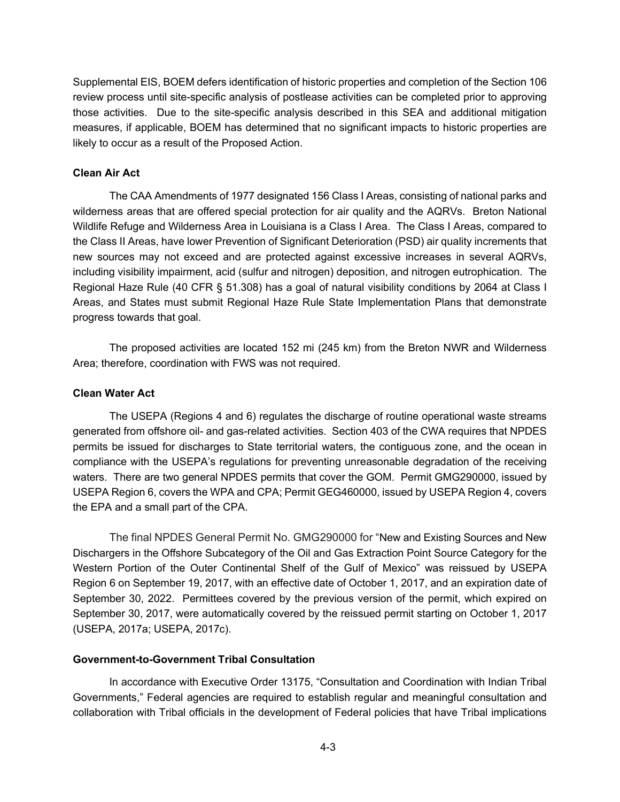Supplemental EIS, BOEM defers identification of historic properties and completion of the Section 106 review process until site-specific analysis of postlease activities can be completed prior to approving those activities. Due to the site-specific analysis described in this SEA and additional mitigation measures, if applicable, BOEM has determined that no significant impacts to historic properties are likely to occur as a result of the Proposed Action.

#### **Clean Air Act**

The CAA Amendments of 1977 designated 156 Class I Areas, consisting of national parks and wilderness areas that are offered special protection for air quality and the AQRVs. Breton National Wildlife Refuge and Wilderness Area in Louisiana is a Class I Area. The Class I Areas, compared to the Class II Areas, have lower Prevention of Significant Deterioration (PSD) air quality increments that new sources may not exceed and are protected against excessive increases in several AQRVs, including visibility impairment, acid (sulfur and nitrogen) deposition, and nitrogen eutrophication. The Regional Haze Rule (40 CFR § 51.308) has a goal of natural visibility conditions by 2064 at Class I Areas, and States must submit Regional Haze Rule State Implementation Plans that demonstrate progress towards that goal.

The proposed activities are located 152 mi (245 km) from the Breton NWR and Wilderness Area; therefore, coordination with FWS was not required.

#### **Clean Water Act**

The USEPA (Regions 4 and 6) regulates the discharge of routine operational waste streams generated from offshore oil- and gas-related activities. Section 403 of the CWA requires that NPDES permits be issued for discharges to State territorial waters, the contiguous zone, and the ocean in compliance with the USEPA's regulations for preventing unreasonable degradation of the receiving waters. There are two general NPDES permits that cover the GOM. Permit GMG290000, issued by USEPA Region 6, covers the WPA and CPA; Permit GEG460000, issued by USEPA Region 4, covers the EPA and a small part of the CPA.

The final NPDES General Permit No. GMG290000 for "New and Existing Sources and New Dischargers in the Offshore Subcategory of the Oil and Gas Extraction Point Source Category for the Western Portion of the Outer Continental Shelf of the Gulf of Mexico" was reissued by USEPA Region 6 on September 19, 2017, with an effective date of October 1, 2017, and an expiration date of September 30, 2022. Permittees covered by the previous version of the permit, which expired on September 30, 2017, were automatically covered by the reissued permit starting on October 1, 2017 (USEPA, 2017a; USEPA, 2017c).

#### **Government-to-Government Tribal Consultation**

In accordance with Executive Order 13175, "Consultation and Coordination with Indian Tribal Governments," Federal agencies are required to establish regular and meaningful consultation and collaboration with Tribal officials in the development of Federal policies that have Tribal implications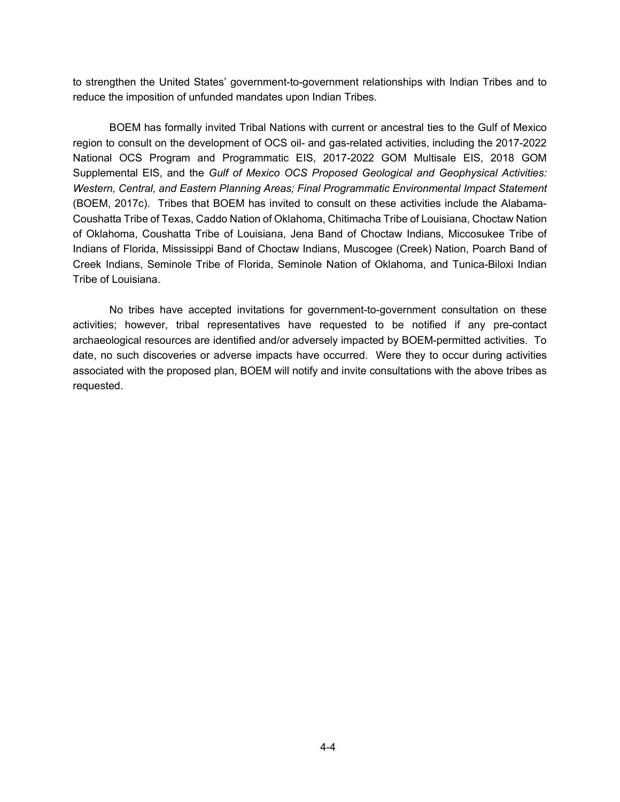to strengthen the United States' government-to-government relationships with Indian Tribes and to reduce the imposition of unfunded mandates upon Indian Tribes.

BOEM has formally invited Tribal Nations with current or ancestral ties to the Gulf of Mexico region to consult on the development of OCS oil- and gas-related activities, including the 2017-2022 National OCS Program and Programmatic EIS, 2017-2022 GOM Multisale EIS, 2018 GOM Supplemental EIS, and the *Gulf of Mexico OCS Proposed Geological and Geophysical Activities: Western, Central, and Eastern Planning Areas; Final Programmatic Environmental Impact Statement* (BOEM, 2017c). Tribes that BOEM has invited to consult on these activities include the Alabama-Coushatta Tribe of Texas, Caddo Nation of Oklahoma, Chitimacha Tribe of Louisiana, Choctaw Nation of Oklahoma, Coushatta Tribe of Louisiana, Jena Band of Choctaw Indians, Miccosukee Tribe of Indians of Florida, Mississippi Band of Choctaw Indians, Muscogee (Creek) Nation, Poarch Band of Creek Indians, Seminole Tribe of Florida, Seminole Nation of Oklahoma, and Tunica-Biloxi Indian Tribe of Louisiana.

No tribes have accepted invitations for government-to-government consultation on these activities; however, tribal representatives have requested to be notified if any pre-contact archaeological resources are identified and/or adversely impacted by BOEM-permitted activities. To date, no such discoveries or adverse impacts have occurred. Were they to occur during activities associated with the proposed plan, BOEM will notify and invite consultations with the above tribes as requested.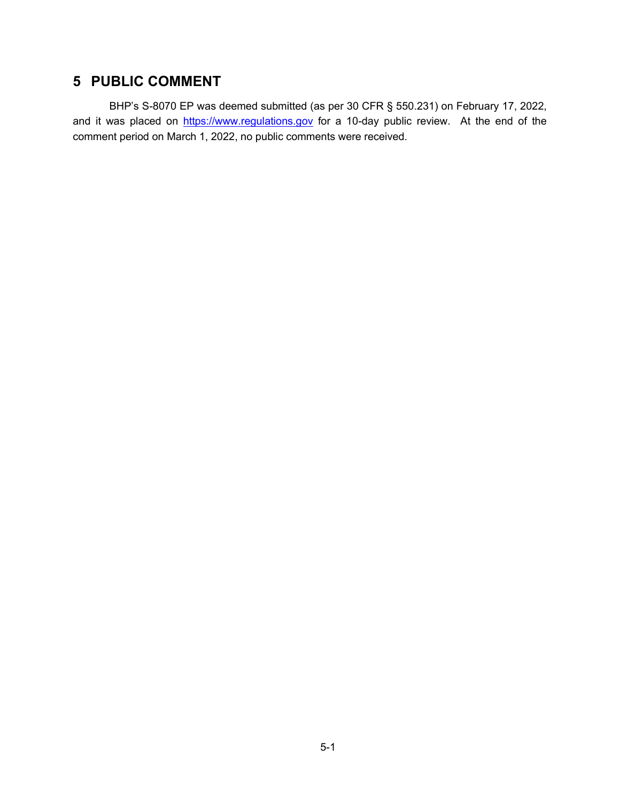# <span id="page-54-0"></span>**5 PUBLIC COMMENT**

BHP's S-8070 EP was deemed submitted (as per 30 CFR § 550.231) on February 17, 2022, and it was placed on [https://www.regulations.gov](https://www.regulations.gov/) for a 10-day public review. At the end of the comment period on March 1, 2022, no public comments were received.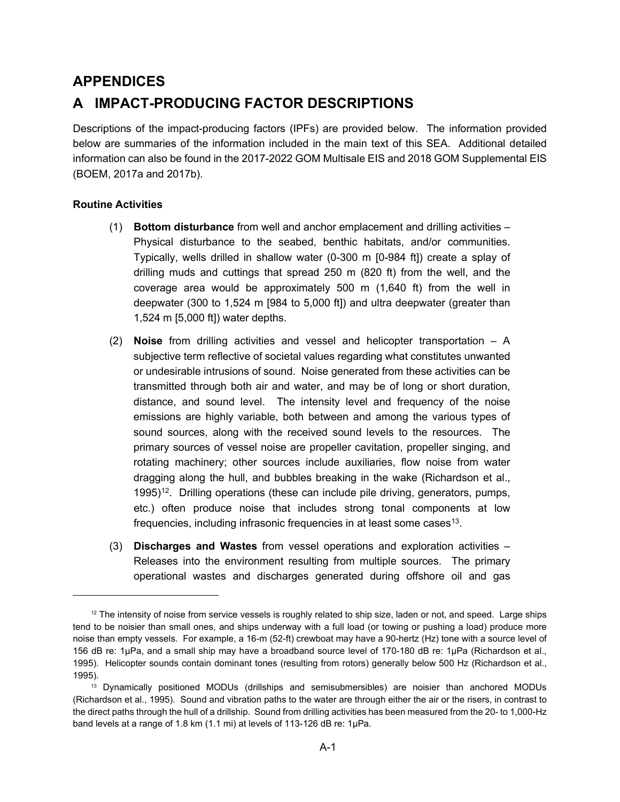# <span id="page-55-0"></span>**APPENDICES**

# <span id="page-55-1"></span>**A IMPACT-PRODUCING FACTOR DESCRIPTIONS**

Descriptions of the impact-producing factors (IPFs) are provided below. The information provided below are summaries of the information included in the main text of this SEA. Additional detailed information can also be found in the 2017-2022 GOM Multisale EIS and 2018 GOM Supplemental EIS (BOEM, 2017a and 2017b).

### **Routine Activities**

- (1) **Bottom disturbance** from well and anchor emplacement and drilling activities Physical disturbance to the seabed, benthic habitats, and/or communities. Typically, wells drilled in shallow water (0-300 m [0-984 ft]) create a splay of drilling muds and cuttings that spread 250 m (820 ft) from the well, and the coverage area would be approximately 500 m (1,640 ft) from the well in deepwater (300 to 1,524 m [984 to 5,000 ft]) and ultra deepwater (greater than 1,524 m [5,000 ft]) water depths.
- (2) **Noise** from drilling activities and vessel and helicopter transportation A subjective term reflective of societal values regarding what constitutes unwanted or undesirable intrusions of sound. Noise generated from these activities can be transmitted through both air and water, and may be of long or short duration, distance, and sound level. The intensity level and frequency of the noise emissions are highly variable, both between and among the various types of sound sources, along with the received sound levels to the resources. The primary sources of vessel noise are propeller cavitation, propeller singing, and rotating machinery; other sources include auxiliaries, flow noise from water dragging along the hull, and bubbles breaking in the wake (Richardson et al.,  $1995$ <sup>12</sup>. Drilling operations (these can include pile driving, generators, pumps, etc.) often produce noise that includes strong tonal components at low frequencies, including infrasonic frequencies in at least some cases<sup>13</sup>.
- (3) **Discharges and Wastes** from vessel operations and exploration activities Releases into the environment resulting from multiple sources. The primary operational wastes and discharges generated during offshore oil and gas

<span id="page-55-2"></span> $12$  The intensity of noise from service vessels is roughly related to ship size, laden or not, and speed. Large ships tend to be noisier than small ones, and ships underway with a full load (or towing or pushing a load) produce more noise than empty vessels. For example, a 16-m (52-ft) crewboat may have a 90-hertz (Hz) tone with a source level of 156 dB re: 1μPa, and a small ship may have a broadband source level of 170-180 dB re: 1μPa (Richardson et al., 1995). Helicopter sounds contain dominant tones (resulting from rotors) generally below 500 Hz (Richardson et al., 1995).

<span id="page-55-3"></span><sup>13</sup> Dynamically positioned MODUs (drillships and semisubmersibles) are noisier than anchored MODUs (Richardson et al., 1995). Sound and vibration paths to the water are through either the air or the risers, in contrast to the direct paths through the hull of a drillship. Sound from drilling activities has been measured from the 20- to 1,000-Hz band levels at a range of 1.8 km (1.1 mi) at levels of 113-126 dB re: 1μPa.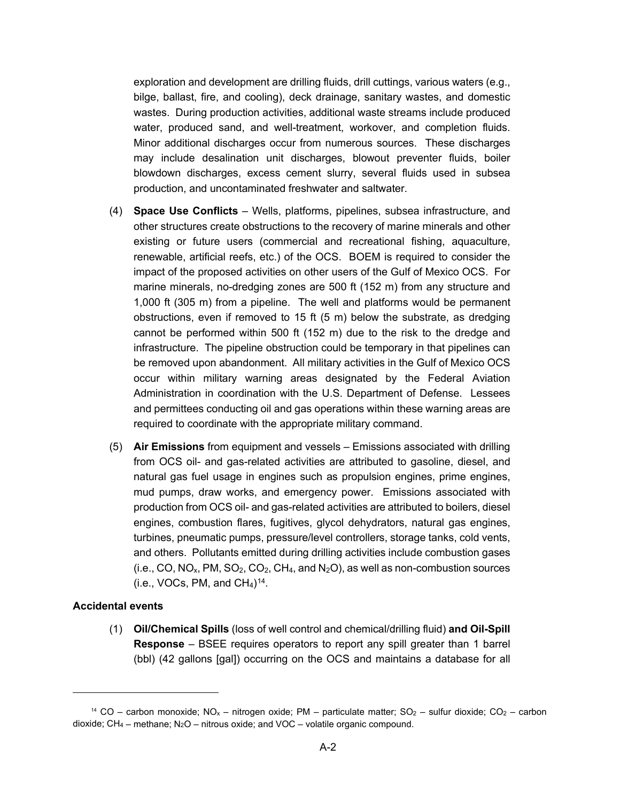exploration and development are drilling fluids, drill cuttings, various waters (e.g., bilge, ballast, fire, and cooling), deck drainage, sanitary wastes, and domestic wastes. During production activities, additional waste streams include produced water, produced sand, and well-treatment, workover, and completion fluids. Minor additional discharges occur from numerous sources. These discharges may include desalination unit discharges, blowout preventer fluids, boiler blowdown discharges, excess cement slurry, several fluids used in subsea production, and uncontaminated freshwater and saltwater.

- (4) **Space Use Conflicts** Wells, platforms, pipelines, subsea infrastructure, and other structures create obstructions to the recovery of marine minerals and other existing or future users (commercial and recreational fishing, aquaculture, renewable, artificial reefs, etc.) of the OCS. BOEM is required to consider the impact of the proposed activities on other users of the Gulf of Mexico OCS. For marine minerals, no-dredging zones are 500 ft (152 m) from any structure and 1,000 ft (305 m) from a pipeline. The well and platforms would be permanent obstructions, even if removed to 15 ft (5 m) below the substrate, as dredging cannot be performed within 500 ft (152 m) due to the risk to the dredge and infrastructure. The pipeline obstruction could be temporary in that pipelines can be removed upon abandonment. All military activities in the Gulf of Mexico OCS occur within military warning areas designated by the Federal Aviation Administration in coordination with the U.S. Department of Defense. Lessees and permittees conducting oil and gas operations within these warning areas are required to coordinate with the appropriate military command.
- (5) **Air Emissions** from equipment and vessels Emissions associated with drilling from OCS oil- and gas-related activities are attributed to gasoline, diesel, and natural gas fuel usage in engines such as propulsion engines, prime engines, mud pumps, draw works, and emergency power. Emissions associated with production from OCS oil- and gas-related activities are attributed to boilers, diesel engines, combustion flares, fugitives, glycol dehydrators, natural gas engines, turbines, pneumatic pumps, pressure/level controllers, storage tanks, cold vents, and others. Pollutants emitted during drilling activities include combustion gases (i.e., CO, NO<sub>x</sub>, PM, SO<sub>2</sub>, CO<sub>2</sub>, CH<sub>4</sub>, and N<sub>2</sub>O), as well as non-combustion sources  $(i.e., VOCs, PM, and CH<sub>4</sub>)<sup>14</sup>.$

#### **Accidental events**

(1) **Oil/Chemical Spills** (loss of well control and chemical/drilling fluid) **and Oil-Spill Response** – BSEE requires operators to report any spill greater than 1 barrel (bbl) (42 gallons [gal]) occurring on the OCS and maintains a database for all

<span id="page-56-0"></span><sup>&</sup>lt;sup>14</sup> CO – carbon monoxide; NO<sub>x</sub> – nitrogen oxide; PM – particulate matter; SO<sub>2</sub> – sulfur dioxide; CO<sub>2</sub> – carbon dioxide;  $CH_4$  – methane;  $N_2O$  – nitrous oxide; and  $VOC$  – volatile organic compound.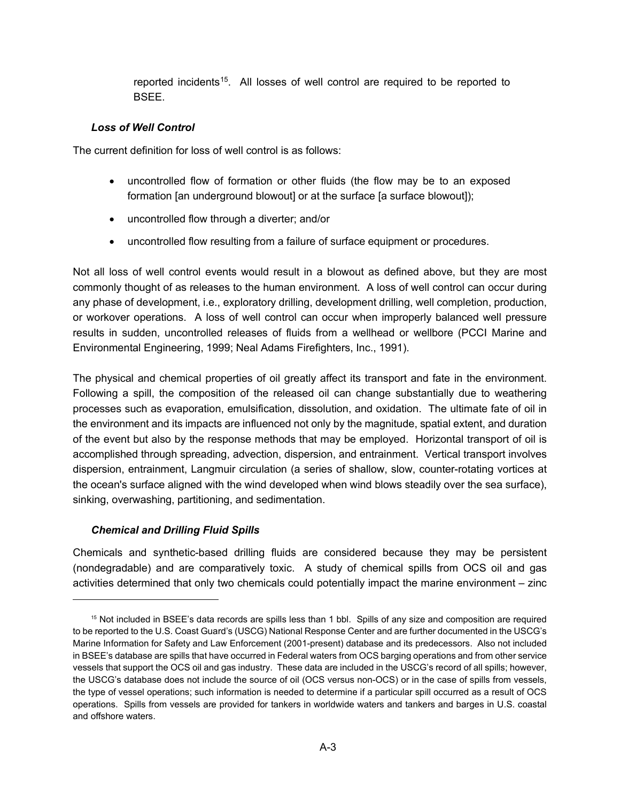reported incidents<sup>[15](#page-57-0)</sup>. All losses of well control are required to be reported to BSEE.

### *Loss of Well Control*

The current definition for loss of well control is as follows:

- uncontrolled flow of formation or other fluids (the flow may be to an exposed formation [an underground blowout] or at the surface [a surface blowout]);
- uncontrolled flow through a diverter; and/or
- uncontrolled flow resulting from a failure of surface equipment or procedures.

Not all loss of well control events would result in a blowout as defined above, but they are most commonly thought of as releases to the human environment. A loss of well control can occur during any phase of development, i.e., exploratory drilling, development drilling, well completion, production, or workover operations. A loss of well control can occur when improperly balanced well pressure results in sudden, uncontrolled releases of fluids from a wellhead or wellbore (PCCI Marine and Environmental Engineering, 1999; Neal Adams Firefighters, Inc., 1991).

The physical and chemical properties of oil greatly affect its transport and fate in the environment. Following a spill, the composition of the released oil can change substantially due to weathering processes such as evaporation, emulsification, dissolution, and oxidation. The ultimate fate of oil in the environment and its impacts are influenced not only by the magnitude, spatial extent, and duration of the event but also by the response methods that may be employed. Horizontal transport of oil is accomplished through spreading, advection, dispersion, and entrainment. Vertical transport involves dispersion, entrainment, Langmuir circulation (a series of shallow, slow, counter-rotating vortices at the ocean's surface aligned with the wind developed when wind blows steadily over the sea surface), sinking, overwashing, partitioning, and sedimentation.

### *Chemical and Drilling Fluid Spills*

Chemicals and synthetic-based drilling fluids are considered because they may be persistent (nondegradable) and are comparatively toxic. A study of chemical spills from OCS oil and gas activities determined that only two chemicals could potentially impact the marine environment – zinc

<span id="page-57-0"></span><sup>15</sup> Not included in BSEE's data records are spills less than 1 bbl. Spills of any size and composition are required to be reported to the U.S. Coast Guard's (USCG) National Response Center and are further documented in the USCG's Marine Information for Safety and Law Enforcement (2001-present) database and its predecessors. Also not included in BSEE's database are spills that have occurred in Federal waters from OCS barging operations and from other service vessels that support the OCS oil and gas industry. These data are included in the USCG's record of all spills; however, the USCG's database does not include the source of oil (OCS versus non-OCS) or in the case of spills from vessels, the type of vessel operations; such information is needed to determine if a particular spill occurred as a result of OCS operations. Spills from vessels are provided for tankers in worldwide waters and tankers and barges in U.S. coastal and offshore waters.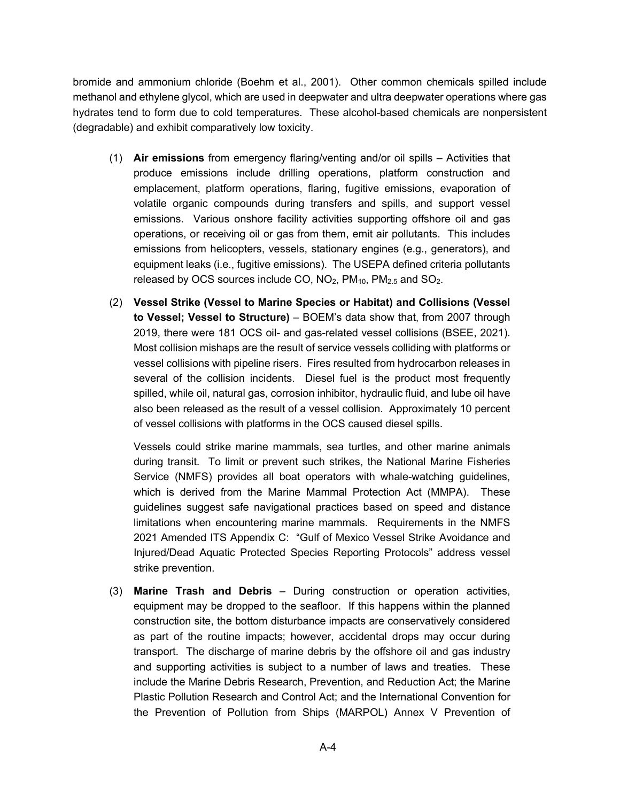bromide and ammonium chloride (Boehm et al., 2001). Other common chemicals spilled include methanol and ethylene glycol, which are used in deepwater and ultra deepwater operations where gas hydrates tend to form due to cold temperatures. These alcohol-based chemicals are nonpersistent (degradable) and exhibit comparatively low toxicity.

- (1) **Air emissions** from emergency flaring/venting and/or oil spills Activities that produce emissions include drilling operations, platform construction and emplacement, platform operations, flaring, fugitive emissions, evaporation of volatile organic compounds during transfers and spills, and support vessel emissions. Various onshore facility activities supporting offshore oil and gas operations, or receiving oil or gas from them, emit air pollutants. This includes emissions from helicopters, vessels, stationary engines (e.g., generators), and equipment leaks (i.e., fugitive emissions). The USEPA defined criteria pollutants released by OCS sources include CO,  $NO<sub>2</sub>$ ,  $PM<sub>10</sub>$ ,  $PM<sub>2.5</sub>$  and  $SO<sub>2</sub>$ .
- (2) **Vessel Strike (Vessel to Marine Species or Habitat) and Collisions (Vessel to Vessel; Vessel to Structure)** – BOEM's data show that, from 2007 through 2019, there were 181 OCS oil- and gas-related vessel collisions (BSEE, 2021). Most collision mishaps are the result of service vessels colliding with platforms or vessel collisions with pipeline risers. Fires resulted from hydrocarbon releases in several of the collision incidents. Diesel fuel is the product most frequently spilled, while oil, natural gas, corrosion inhibitor, hydraulic fluid, and lube oil have also been released as the result of a vessel collision. Approximately 10 percent of vessel collisions with platforms in the OCS caused diesel spills.

Vessels could strike marine mammals, sea turtles, and other marine animals during transit. To limit or prevent such strikes, the National Marine Fisheries Service (NMFS) provides all boat operators with whale-watching guidelines, which is derived from the Marine Mammal Protection Act (MMPA). These guidelines suggest safe navigational practices based on speed and distance limitations when encountering marine mammals. Requirements in the NMFS 2021 Amended ITS Appendix C: "Gulf of Mexico Vessel Strike Avoidance and Injured/Dead Aquatic Protected Species Reporting Protocols" address vessel strike prevention.

(3) **Marine Trash and Debris** – During construction or operation activities, equipment may be dropped to the seafloor. If this happens within the planned construction site, the bottom disturbance impacts are conservatively considered as part of the routine impacts; however, accidental drops may occur during transport. The discharge of marine debris by the offshore oil and gas industry and supporting activities is subject to a number of laws and treaties. These include the Marine Debris Research, Prevention, and Reduction Act; the Marine Plastic Pollution Research and Control Act; and the International Convention for the Prevention of Pollution from Ships (MARPOL) Annex V Prevention of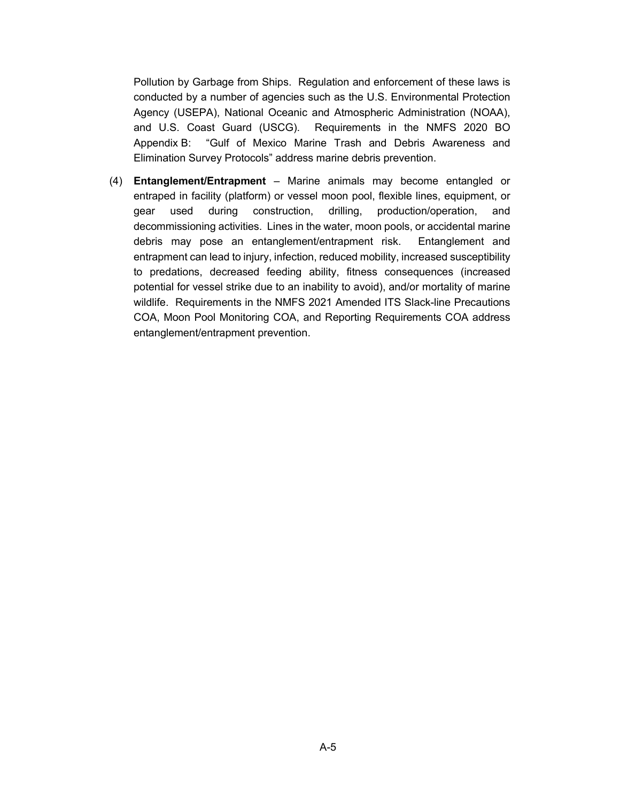Pollution by Garbage from Ships. Regulation and enforcement of these laws is conducted by a number of agencies such as the U.S. Environmental Protection Agency (USEPA), National Oceanic and Atmospheric Administration (NOAA), and U.S. Coast Guard (USCG). Requirements in the NMFS 2020 BO Appendix B: "Gulf of Mexico Marine Trash and Debris Awareness and Elimination Survey Protocols" address marine debris prevention.

(4) **Entanglement/Entrapment** – Marine animals may become entangled or entraped in facility (platform) or vessel moon pool, flexible lines, equipment, or gear used during construction, drilling, production/operation, and decommissioning activities. Lines in the water, moon pools, or accidental marine debris may pose an entanglement/entrapment risk. Entanglement and entrapment can lead to injury, infection, reduced mobility, increased susceptibility to predations, decreased feeding ability, fitness consequences (increased potential for vessel strike due to an inability to avoid), and/or mortality of marine wildlife. Requirements in the NMFS 2021 Amended ITS Slack-line Precautions COA, Moon Pool Monitoring COA, and Reporting Requirements COA address entanglement/entrapment prevention.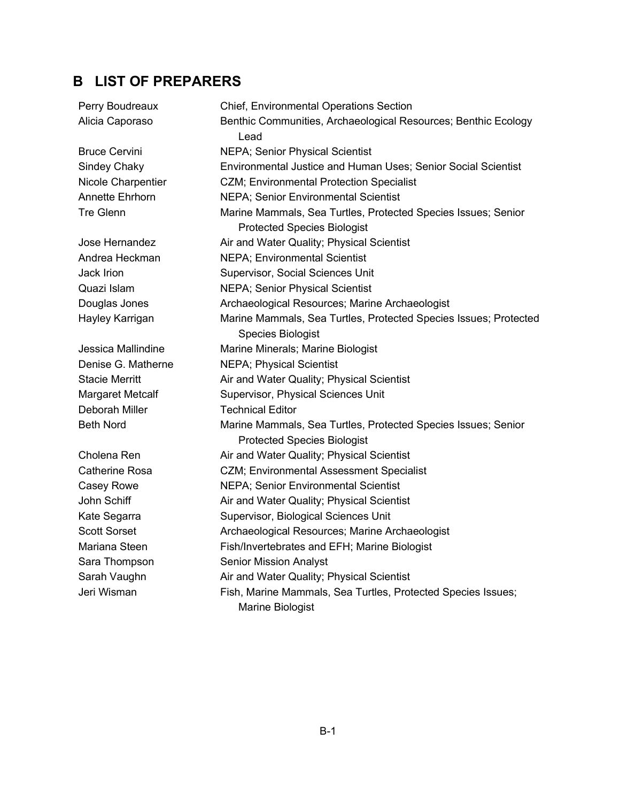# <span id="page-60-0"></span>**B LIST OF PREPARERS**

| Perry Boudreaux         | <b>Chief, Environmental Operations Section</b>                   |
|-------------------------|------------------------------------------------------------------|
| Alicia Caporaso         | Benthic Communities, Archaeological Resources; Benthic Ecology   |
|                         | Lead                                                             |
| <b>Bruce Cervini</b>    | NEPA; Senior Physical Scientist                                  |
| <b>Sindey Chaky</b>     | Environmental Justice and Human Uses; Senior Social Scientist    |
| Nicole Charpentier      | CZM; Environmental Protection Specialist                         |
| Annette Ehrhorn         | <b>NEPA; Senior Environmental Scientist</b>                      |
| <b>Tre Glenn</b>        | Marine Mammals, Sea Turtles, Protected Species Issues; Senior    |
|                         | <b>Protected Species Biologist</b>                               |
| Jose Hernandez          | Air and Water Quality; Physical Scientist                        |
| Andrea Heckman          | <b>NEPA</b> ; Environmental Scientist                            |
| Jack Irion              | Supervisor, Social Sciences Unit                                 |
| Quazi Islam             | NEPA; Senior Physical Scientist                                  |
| Douglas Jones           | Archaeological Resources; Marine Archaeologist                   |
| Hayley Karrigan         | Marine Mammals, Sea Turtles, Protected Species Issues; Protected |
|                         | <b>Species Biologist</b>                                         |
| Jessica Mallindine      | Marine Minerals; Marine Biologist                                |
| Denise G. Matherne      | <b>NEPA; Physical Scientist</b>                                  |
| <b>Stacie Merritt</b>   | Air and Water Quality; Physical Scientist                        |
| <b>Margaret Metcalf</b> | Supervisor, Physical Sciences Unit                               |
| Deborah Miller          | <b>Technical Editor</b>                                          |
| <b>Beth Nord</b>        | Marine Mammals, Sea Turtles, Protected Species Issues; Senior    |
|                         | <b>Protected Species Biologist</b>                               |
| Cholena Ren             | Air and Water Quality; Physical Scientist                        |
| <b>Catherine Rosa</b>   | CZM; Environmental Assessment Specialist                         |
| Casey Rowe              | NEPA; Senior Environmental Scientist                             |
| John Schiff             | Air and Water Quality; Physical Scientist                        |
| Kate Segarra            | Supervisor, Biological Sciences Unit                             |
| <b>Scott Sorset</b>     | Archaeological Resources; Marine Archaeologist                   |
| Mariana Steen           | Fish/Invertebrates and EFH; Marine Biologist                     |
| Sara Thompson           | <b>Senior Mission Analyst</b>                                    |
| Sarah Vaughn            | Air and Water Quality; Physical Scientist                        |
| Jeri Wisman             | Fish, Marine Mammals, Sea Turtles, Protected Species Issues;     |
|                         | Marine Biologist                                                 |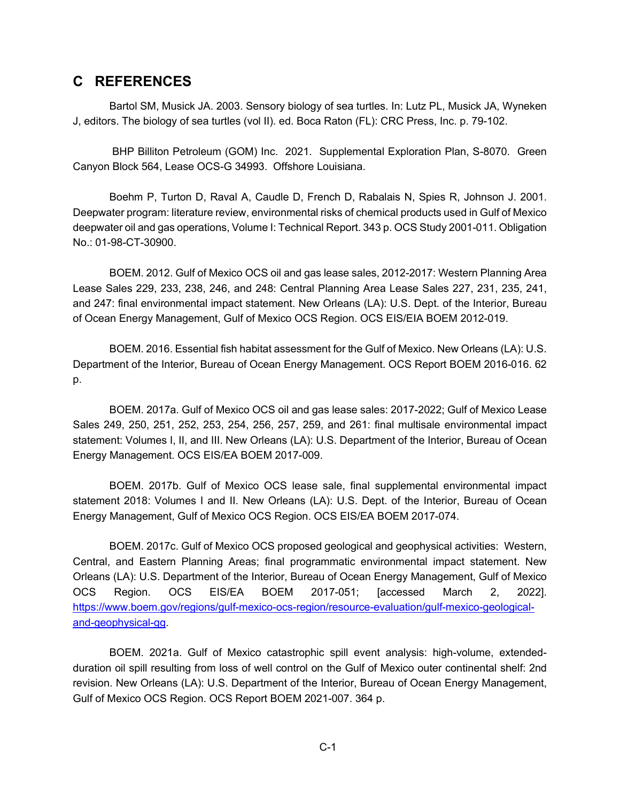# <span id="page-61-0"></span>**C REFERENCES**

Bartol SM, Musick JA. 2003. Sensory biology of sea turtles. In: Lutz PL, Musick JA, Wyneken J, editors. The biology of sea turtles (vol II). ed. Boca Raton (FL): CRC Press, Inc. p. 79-102.

BHP Billiton Petroleum (GOM) Inc. 2021. Supplemental Exploration Plan, S-8070. Green Canyon Block 564, Lease OCS-G 34993. Offshore Louisiana.

Boehm P, Turton D, Raval A, Caudle D, French D, Rabalais N, Spies R, Johnson J. 2001. Deepwater program: literature review, environmental risks of chemical products used in Gulf of Mexico deepwater oil and gas operations, Volume I: Technical Report. 343 p. OCS Study 2001-011. Obligation No.: 01-98-CT-30900.

BOEM. 2012. Gulf of Mexico OCS oil and gas lease sales, 2012-2017: Western Planning Area Lease Sales 229, 233, 238, 246, and 248: Central Planning Area Lease Sales 227, 231, 235, 241, and 247: final environmental impact statement. New Orleans (LA): U.S. Dept. of the Interior, Bureau of Ocean Energy Management, Gulf of Mexico OCS Region. OCS EIS/EIA BOEM 2012-019.

BOEM. 2016. Essential fish habitat assessment for the Gulf of Mexico. New Orleans (LA): U.S. Department of the Interior, Bureau of Ocean Energy Management. OCS Report BOEM 2016-016. 62 p.

BOEM. 2017a. Gulf of Mexico OCS oil and gas lease sales: 2017-2022; Gulf of Mexico Lease Sales 249, 250, 251, 252, 253, 254, 256, 257, 259, and 261: final multisale environmental impact statement: Volumes I, II, and III. New Orleans (LA): U.S. Department of the Interior, Bureau of Ocean Energy Management. OCS EIS/EA BOEM 2017-009.

BOEM. 2017b. Gulf of Mexico OCS lease sale, final supplemental environmental impact statement 2018: Volumes I and II. New Orleans (LA): U.S. Dept. of the Interior, Bureau of Ocean Energy Management, Gulf of Mexico OCS Region. OCS EIS/EA BOEM 2017-074.

BOEM. 2017c. Gulf of Mexico OCS proposed geological and geophysical activities: Western, Central, and Eastern Planning Areas; final programmatic environmental impact statement. New Orleans (LA): U.S. Department of the Interior, Bureau of Ocean Energy Management, Gulf of Mexico OCS Region. OCS EIS/EA BOEM 2017-051; [accessed March 2, 2022]. [https://www.boem.gov/regions/gulf-mexico-ocs-region/resource-evaluation/gulf-mexico-geological](https://www.boem.gov/regions/gulf-mexico-ocs-region/resource-evaluation/gulf-mexico-geological-and-geophysical-gg)[and-geophysical-gg.](https://www.boem.gov/regions/gulf-mexico-ocs-region/resource-evaluation/gulf-mexico-geological-and-geophysical-gg)

BOEM. 2021a. Gulf of Mexico catastrophic spill event analysis: high-volume, extendedduration oil spill resulting from loss of well control on the Gulf of Mexico outer continental shelf: 2nd revision. New Orleans (LA): U.S. Department of the Interior, Bureau of Ocean Energy Management, Gulf of Mexico OCS Region. OCS Report BOEM 2021-007. 364 p.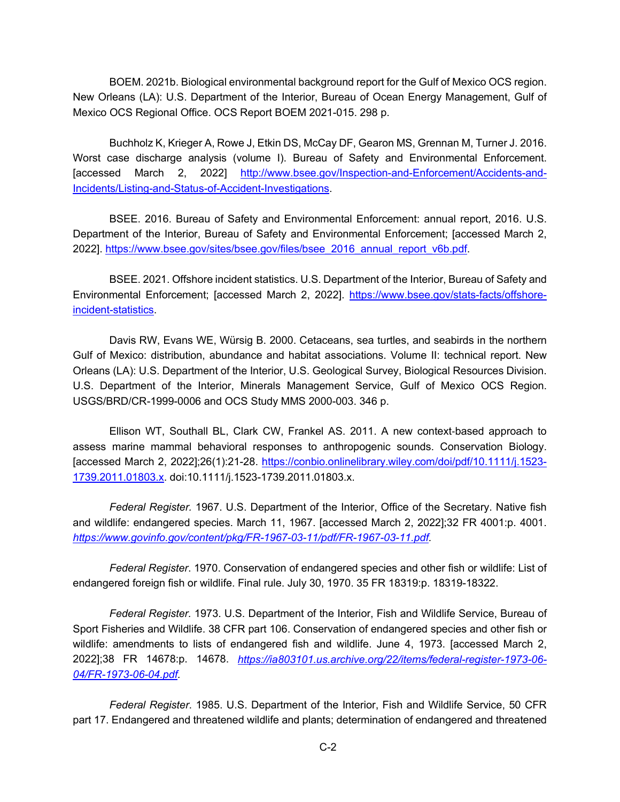BOEM. 2021b. Biological environmental background report for the Gulf of Mexico OCS region. New Orleans (LA): U.S. Department of the Interior, Bureau of Ocean Energy Management, Gulf of Mexico OCS Regional Office. OCS Report BOEM 2021-015. 298 p.

Buchholz K, Krieger A, Rowe J, Etkin DS, McCay DF, Gearon MS, Grennan M, Turner J. 2016. Worst case discharge analysis (volume I). Bureau of Safety and Environmental Enforcement. [accessed March 2, 2022] [http://www.bsee.gov/Inspection-and-Enforcement/Accidents-and-](http://www.bsee.gov/Inspection-and-Enforcement/Accidents-and-Incidents/Listing-and-Status-of-Accident-Investigations)[Incidents/Listing-and-Status-of-Accident-Investigations.](http://www.bsee.gov/Inspection-and-Enforcement/Accidents-and-Incidents/Listing-and-Status-of-Accident-Investigations)

BSEE. 2016. Bureau of Safety and Environmental Enforcement: annual report, 2016. U.S. Department of the Interior, Bureau of Safety and Environmental Enforcement; [accessed March 2, 2022]. [https://www.bsee.gov/sites/bsee.gov/files/bsee\\_2016\\_annual\\_report\\_v6b.pdf.](https://www.bsee.gov/sites/bsee.gov/files/bsee_2016_annual_report_v6b.pdf)

BSEE. 2021. Offshore incident statistics. U.S. Department of the Interior, Bureau of Safety and Environmental Enforcement; [accessed March 2, 2022]. [https://www.bsee.gov/stats-facts/offshore](https://www.bsee.gov/stats-facts/offshore-incident-statistics)[incident-statistics.](https://www.bsee.gov/stats-facts/offshore-incident-statistics)

Davis RW, Evans WE, Würsig B. 2000. Cetaceans, sea turtles, and seabirds in the northern Gulf of Mexico: distribution, abundance and habitat associations. Volume II: technical report. New Orleans (LA): U.S. Department of the Interior, U.S. Geological Survey, Biological Resources Division. U.S. Department of the Interior, Minerals Management Service, Gulf of Mexico OCS Region. USGS/BRD/CR-1999-0006 and OCS Study MMS 2000-003. 346 p.

Ellison WT, Southall BL, Clark CW, Frankel AS. 2011. A new context-based approach to assess marine mammal behavioral responses to anthropogenic sounds. Conservation Biology. [accessed March 2, 2022];26(1):21-28. [https://conbio.onlinelibrary.wiley.com/doi/pdf/10.1111/j.1523-](https://conbio.onlinelibrary.wiley.com/doi/pdf/10.1111/j.1523-1739.2011.01803.x) [1739.2011.01803.x.](https://conbio.onlinelibrary.wiley.com/doi/pdf/10.1111/j.1523-1739.2011.01803.x) doi:10.1111/j.1523-1739.2011.01803.x.

*Federal Register.* 1967. U.S. Department of the Interior, Office of the Secretary. Native fish and wildlife: endangered species. March 11, 1967. [accessed March 2, 2022];32 FR 4001:p. 4001. *[https://www.govinfo.gov/content/pkg/FR-1967-03-11/pdf/FR-1967-03-11.pdf.](https://www.govinfo.gov/content/pkg/FR-1967-03-11/pdf/FR-1967-03-11.pdf)* 

*Federal Register*. 1970. Conservation of endangered species and other fish or wildlife: List of endangered foreign fish or wildlife. Final rule. July 30, 1970. 35 FR 18319:p. 18319-18322.

*Federal Register.* 1973. U.S. Department of the Interior, Fish and Wildlife Service, Bureau of Sport Fisheries and Wildlife. 38 CFR part 106. Conservation of endangered species and other fish or wildlife: amendments to lists of endangered fish and wildlife. June 4, 1973. [accessed March 2, 2022];38 FR 14678:p. 14678. *[https://ia803101.us.archive.org/22/items/federal-register-1973-06-](https://ia803101.us.archive.org/22/items/federal-register-1973-06-04/FR-1973-06-04.pdf) [04/FR-1973-06-04.pdf.](https://ia803101.us.archive.org/22/items/federal-register-1973-06-04/FR-1973-06-04.pdf)*

*Federal Register*. 1985. U.S. Department of the Interior, Fish and Wildlife Service, 50 CFR part 17. Endangered and threatened wildlife and plants; determination of endangered and threatened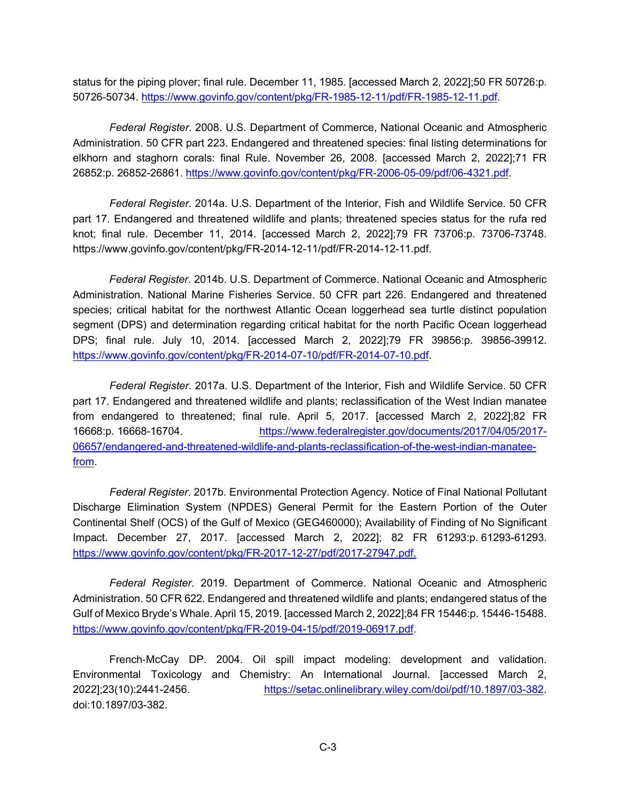status for the piping plover; final rule. December 11, 1985. [accessed March 2, 2022];50 FR 50726:p. 50726-50734. [https://www.govinfo.gov/content/pkg/FR-1985-12-11/pdf/FR-1985-12-11.pdf.](https://www.govinfo.gov/content/pkg/FR-1985-12-11/pdf/FR-1985-12-11.pdf)

*Federal Register*. 2008. U.S. Department of Commerce, National Oceanic and Atmospheric Administration. 50 CFR part 223. Endangered and threatened species: final listing determinations for elkhorn and staghorn corals: final Rule. November 26, 2008. [accessed March 2, 2022];71 FR 26852:p. 26852-26861. [https://www.govinfo.gov/content/pkg/FR-2006-05-09/pdf/06-4321.pdf.](https://www.govinfo.gov/content/pkg/FR-2006-05-09/pdf/06-4321.pdf)

*Federal Register*. 2014a. U.S. Department of the Interior, Fish and Wildlife Service. 50 CFR part 17. Endangered and threatened wildlife and plants; threatened species status for the rufa red knot; final rule. December 11, 2014. [accessed March 2, 2022];79 FR 73706:p. 73706-73748. https://www.govinfo.gov/content/pkg/FR-2014-12-11/pdf/FR-2014-12-11.pdf.

*Federal Register*. 2014b. U.S. Department of Commerce. National Oceanic and Atmospheric Administration. National Marine Fisheries Service. 50 CFR part 226. Endangered and threatened species; critical habitat for the northwest Atlantic Ocean loggerhead sea turtle distinct population segment (DPS) and determination regarding critical habitat for the north Pacific Ocean loggerhead DPS; final rule. July 10, 2014. [accessed March 2, 2022];79 FR 39856:p. 39856-39912. [https://www.govinfo.gov/content/pkg/FR-2014-07-10/pdf/FR-2014-07-10.pdf.](https://www.govinfo.gov/content/pkg/FR-2014-07-10/pdf/FR-2014-07-10.pdf)

*Federal Register*. 2017a. U.S. Department of the Interior, Fish and Wildlife Service. 50 CFR part 17. Endangered and threatened wildlife and plants; reclassification of the West Indian manatee from endangered to threatened; final rule. April 5, 2017. [accessed March 2, 2022];82 FR 16668:p. 16668-16704. [https://www.federalregister.gov/documents/2017/04/05/2017-](https://www.federalregister.gov/documents/2017/04/05/2017-06657/endangered-and-threatened-wildlife-and-plants-reclassification-of-the-west-indian-manatee-from) [06657/endangered-and-threatened-wildlife-and-plants-reclassification-of-the-west-indian-manatee](https://www.federalregister.gov/documents/2017/04/05/2017-06657/endangered-and-threatened-wildlife-and-plants-reclassification-of-the-west-indian-manatee-from)[from.](https://www.federalregister.gov/documents/2017/04/05/2017-06657/endangered-and-threatened-wildlife-and-plants-reclassification-of-the-west-indian-manatee-from)

*Federal Register*. 2017b. Environmental Protection Agency. Notice of Final National Pollutant Discharge Elimination System (NPDES) General Permit for the Eastern Portion of the Outer Continental Shelf (OCS) of the Gulf of Mexico (GEG460000); Availability of Finding of No Significant Impact. December 27, 2017. [accessed March 2, 2022]; 82 FR 61293:p. 61293-61293. <https://www.govinfo.gov/content/pkg/FR-2017-12-27/pdf/2017-27947.pdf.>

*Federal Register*. 2019. Department of Commerce. National Oceanic and Atmospheric Administration. 50 CFR 622. Endangered and threatened wildlife and plants; endangered status of the Gulf of Mexico Bryde's Whale. April 15, 2019. [accessed March 2, 2022];84 FR 15446:p. 15446-15488. [https://www.govinfo.gov/content/pkg/FR-2019-04-15/pdf/2019-06917.pdf.](https://www.govinfo.gov/content/pkg/FR-2019-04-15/pdf/2019-06917.pdf)

French-McCay DP. 2004. Oil spill impact modeling: development and validation. Environmental Toxicology and Chemistry: An International Journal. [accessed March 2, 2022];23(10):2441-2456. [https://setac.onlinelibrary.wiley.com/doi/pdf/10.1897/03-382.](https://setac.onlinelibrary.wiley.com/doi/pdf/10.1897/03-382) doi:10.1897/03-382.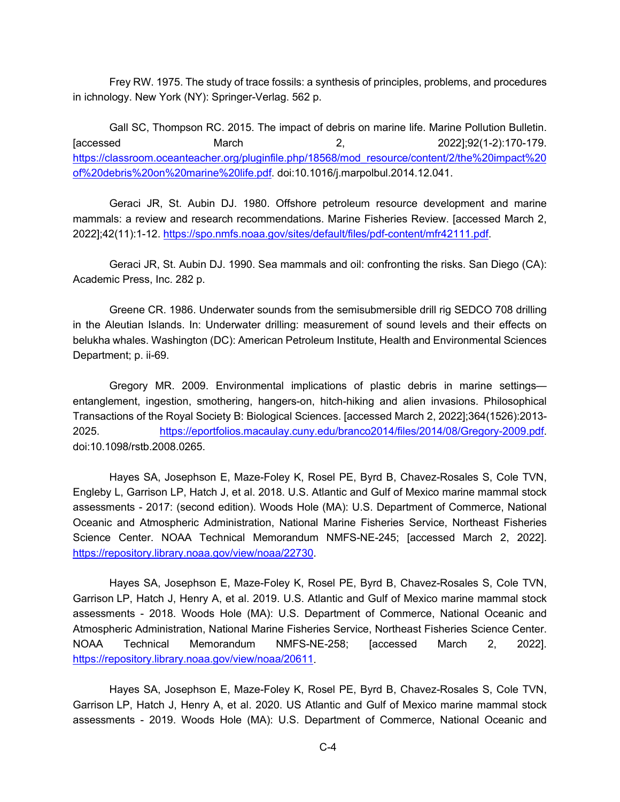Frey RW. 1975. The study of trace fossils: a synthesis of principles, problems, and procedures in ichnology. New York (NY): Springer-Verlag. 562 p.

Gall SC, Thompson RC. 2015. The impact of debris on marine life. Marine Pollution Bulletin. [accessed March 2, 2022];92(1-2):170-179. [https://classroom.oceanteacher.org/pluginfile.php/18568/mod\\_resource/content/2/the%20impact%20](https://classroom.oceanteacher.org/pluginfile.php/18568/mod_resource/content/2/the%20impact%20of%20debris%20on%20marine%20life.pdf) [of%20debris%20on%20marine%20life.pdf.](https://classroom.oceanteacher.org/pluginfile.php/18568/mod_resource/content/2/the%20impact%20of%20debris%20on%20marine%20life.pdf) doi:10.1016/j.marpolbul.2014.12.041.

Geraci JR, St. Aubin DJ. 1980. Offshore petroleum resource development and marine mammals: a review and research recommendations. Marine Fisheries Review. [accessed March 2, 2022];42(11):1-12. [https://spo.nmfs.noaa.gov/sites/default/files/pdf-content/mfr42111.pdf.](https://spo.nmfs.noaa.gov/sites/default/files/pdf-content/mfr42111.pdf)

Geraci JR, St. Aubin DJ. 1990. Sea mammals and oil: confronting the risks. San Diego (CA): Academic Press, Inc. 282 p.

Greene CR. 1986. Underwater sounds from the semisubmersible drill rig SEDCO 708 drilling in the Aleutian Islands. In: Underwater drilling: measurement of sound levels and their effects on belukha whales. Washington (DC): American Petroleum Institute, Health and Environmental Sciences Department; p. ii-69.

Gregory MR. 2009. Environmental implications of plastic debris in marine settings entanglement, ingestion, smothering, hangers-on, hitch-hiking and alien invasions. Philosophical Transactions of the Royal Society B: Biological Sciences. [accessed March 2, 2022];364(1526):2013- 2025. [https://eportfolios.macaulay.cuny.edu/branco2014/files/2014/08/Gregory-2009.pdf.](https://eportfolios.macaulay.cuny.edu/branco2014/files/2014/08/Gregory-2009.pdf) doi:10.1098/rstb.2008.0265.

Hayes SA, Josephson E, Maze-Foley K, Rosel PE, Byrd B, Chavez-Rosales S, Cole TVN, Engleby L, Garrison LP, Hatch J, et al. 2018. U.S. Atlantic and Gulf of Mexico marine mammal stock assessments - 2017: (second edition). Woods Hole (MA): U.S. Department of Commerce, National Oceanic and Atmospheric Administration, National Marine Fisheries Service, Northeast Fisheries Science Center. NOAA Technical Memorandum NMFS-NE-245; [accessed March 2, 2022]. [https://repository.library.noaa.gov/view/noaa/22730.](https://repository.library.noaa.gov/view/noaa/22730)

Hayes SA, Josephson E, Maze-Foley K, Rosel PE, Byrd B, Chavez-Rosales S, Cole TVN, Garrison LP, Hatch J, Henry A, et al. 2019. U.S. Atlantic and Gulf of Mexico marine mammal stock assessments - 2018. Woods Hole (MA): U.S. Department of Commerce, National Oceanic and Atmospheric Administration, National Marine Fisheries Service, Northeast Fisheries Science Center. NOAA Technical Memorandum NMFS-NE-258; [accessed March 2, 2022]. [https://repository.library.noaa.gov/view/noaa/20611.](https://repository.library.noaa.gov/view/noaa/20611)

Hayes SA, Josephson E, Maze-Foley K, Rosel PE, Byrd B, Chavez-Rosales S, Cole TVN, Garrison LP, Hatch J, Henry A, et al. 2020. US Atlantic and Gulf of Mexico marine mammal stock assessments - 2019. Woods Hole (MA): U.S. Department of Commerce, National Oceanic and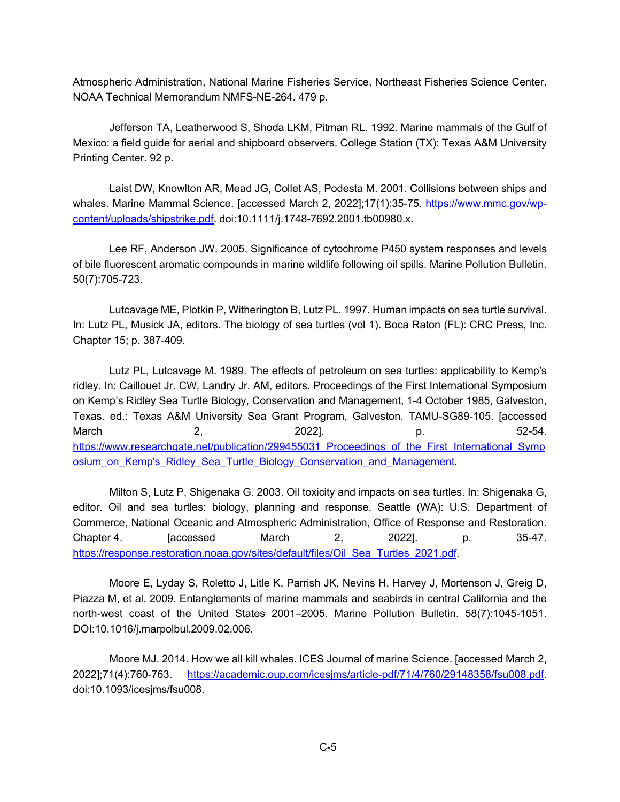Atmospheric Administration, National Marine Fisheries Service, Northeast Fisheries Science Center. NOAA Technical Memorandum NMFS-NE-264. 479 p.

Jefferson TA, Leatherwood S, Shoda LKM, Pitman RL. 1992. Marine mammals of the Gulf of Mexico: a field guide for aerial and shipboard observers. College Station (TX): Texas A&M University Printing Center. 92 p.

Laist DW, Knowlton AR, Mead JG, Collet AS, Podesta M. 2001. Collisions between ships and whales. Marine Mammal Science. [accessed March 2, 2022];17(1):35-75. [https://www.mmc.gov/wp](https://www.mmc.gov/wp-content/uploads/shipstrike.pdf)[content/uploads/shipstrike.pdf.](https://www.mmc.gov/wp-content/uploads/shipstrike.pdf) doi:10.1111/j.1748-7692.2001.tb00980.x.

Lee RF, Anderson JW. 2005. Significance of cytochrome P450 system responses and levels of bile fluorescent aromatic compounds in marine wildlife following oil spills. Marine Pollution Bulletin. 50(7):705-723.

Lutcavage ME, Plotkin P, Witherington B, Lutz PL. 1997. Human impacts on sea turtle survival. In: Lutz PL, Musick JA, editors. The biology of sea turtles (vol 1). Boca Raton (FL): CRC Press, Inc. Chapter 15; p. 387-409.

Lutz PL, Lutcavage M. 1989. The effects of petroleum on sea turtles: applicability to Kemp's ridley. In: Caillouet Jr. CW, Landry Jr. AM, editors. Proceedings of the First International Symposium on Kemp's Ridley Sea Turtle Biology, Conservation and Management, 1-4 October 1985, Galveston, Texas. ed.: Texas A&M University Sea Grant Program, Galveston. TAMU-SG89-105. [accessed March 2, 2022]. p. 52-54. https://www.researchgate.net/publication/299455031 Proceedings of the First International Symp osium on Kemp's Ridley Sea Turtle Biology Conservation and Management.

Milton S, Lutz P, Shigenaka G. 2003. Oil toxicity and impacts on sea turtles. In: Shigenaka G, editor. Oil and sea turtles: biology, planning and response. Seattle (WA): U.S. Department of Commerce, National Oceanic and Atmospheric Administration, Office of Response and Restoration. Chapter 4. [accessed March 2, 2022]. p. 35-47. [https://response.restoration.noaa.gov/sites/default/files/Oil\\_Sea\\_Turtles\\_2021.pdf.](https://response.restoration.noaa.gov/sites/default/files/Oil_Sea_Turtles_2021.pdf)

Moore E, Lyday S, Roletto J, Litle K, Parrish JK, Nevins H, Harvey J, Mortenson J, Greig D, Piazza M, et al. 2009. Entanglements of marine mammals and seabirds in central California and the north-west coast of the United States 2001–2005. Marine Pollution Bulletin. 58(7):1045-1051. DOI:10.1016/j.marpolbul.2009.02.006.

Moore MJ. 2014. How we all kill whales. ICES Journal of marine Science. [accessed March 2, 2022];71(4):760-763. [https://academic.oup.com/icesjms/article-pdf/71/4/760/29148358/fsu008.pdf.](https://academic.oup.com/icesjms/article-pdf/71/4/760/29148358/fsu008.pdf) doi:10.1093/icesjms/fsu008.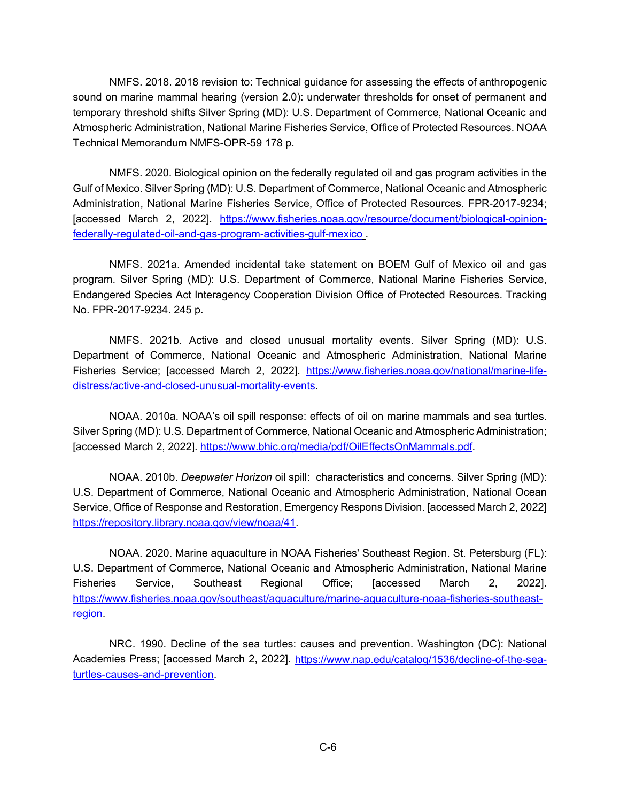NMFS. 2018. 2018 revision to: Technical guidance for assessing the effects of anthropogenic sound on marine mammal hearing (version 2.0): underwater thresholds for onset of permanent and temporary threshold shifts Silver Spring (MD): U.S. Department of Commerce, National Oceanic and Atmospheric Administration, National Marine Fisheries Service, Office of Protected Resources. NOAA Technical Memorandum NMFS-OPR-59 178 p.

NMFS. 2020. Biological opinion on the federally regulated oil and gas program activities in the Gulf of Mexico. Silver Spring (MD): U.S. Department of Commerce, National Oceanic and Atmospheric Administration, National Marine Fisheries Service, Office of Protected Resources. FPR-2017-9234; [accessed March 2, 2022]. [https://www.fisheries.noaa.gov/resource/document/biological-opinion](https://www.fisheries.noaa.gov/resource/document/biological-opinion-federally-regulated-oil-and-gas-program-activities-gulf-mexico)[federally-regulated-oil-and-gas-program-activities-gulf-mexico](https://www.fisheries.noaa.gov/resource/document/biological-opinion-federally-regulated-oil-and-gas-program-activities-gulf-mexico) .

NMFS. 2021a. Amended incidental take statement on BOEM Gulf of Mexico oil and gas program. Silver Spring (MD): U.S. Department of Commerce, National Marine Fisheries Service, Endangered Species Act Interagency Cooperation Division Office of Protected Resources. Tracking No. FPR-2017-9234. 245 p.

NMFS. 2021b. Active and closed unusual mortality events. Silver Spring (MD): U.S. Department of Commerce, National Oceanic and Atmospheric Administration, National Marine Fisheries Service; [accessed March 2, 2022]. [https://www.fisheries.noaa.gov/national/marine-life](https://www.fisheries.noaa.gov/national/marine-life-distress/active-and-closed-unusual-mortality-events)[distress/active-and-closed-unusual-mortality-events.](https://www.fisheries.noaa.gov/national/marine-life-distress/active-and-closed-unusual-mortality-events)

NOAA. 2010a. NOAA's oil spill response: effects of oil on marine mammals and sea turtles. Silver Spring (MD): U.S. Department of Commerce, National Oceanic and Atmospheric Administration; [accessed March 2, 2022]. [https://www.bhic.org/media/pdf/OilEffectsOnMammals.pdf.](https://www.bhic.org/media/pdf/OilEffectsOnMammals.pdf)

NOAA. 2010b. *Deepwater Horizon* oil spill: characteristics and concerns. Silver Spring (MD): U.S. Department of Commerce, National Oceanic and Atmospheric Administration, National Ocean Service, Office of Response and Restoration, Emergency Respons Division. [accessed March 2, 2022] [https://repository.library.noaa.gov/view/noaa/41.](https://repository.library.noaa.gov/view/noaa/41)

NOAA. 2020. Marine aquaculture in NOAA Fisheries' Southeast Region. St. Petersburg (FL): U.S. Department of Commerce, National Oceanic and Atmospheric Administration, National Marine Fisheries Service, Southeast Regional Office; [accessed March 2, 2022]. [https://www.fisheries.noaa.gov/southeast/aquaculture/marine-aquaculture-noaa-fisheries-southeast](https://www.fisheries.noaa.gov/southeast/aquaculture/marine-aquaculture-noaa-fisheries-southeast-region)[region.](https://www.fisheries.noaa.gov/southeast/aquaculture/marine-aquaculture-noaa-fisheries-southeast-region)

NRC. 1990. Decline of the sea turtles: causes and prevention. Washington (DC): National Academies Press; [accessed March 2, 2022]. [https://www.nap.edu/catalog/1536/decline-of-the-sea](https://www.nap.edu/catalog/1536/decline-of-the-sea-turtles-causes-and-prevention)[turtles-causes-and-prevention.](https://www.nap.edu/catalog/1536/decline-of-the-sea-turtles-causes-and-prevention)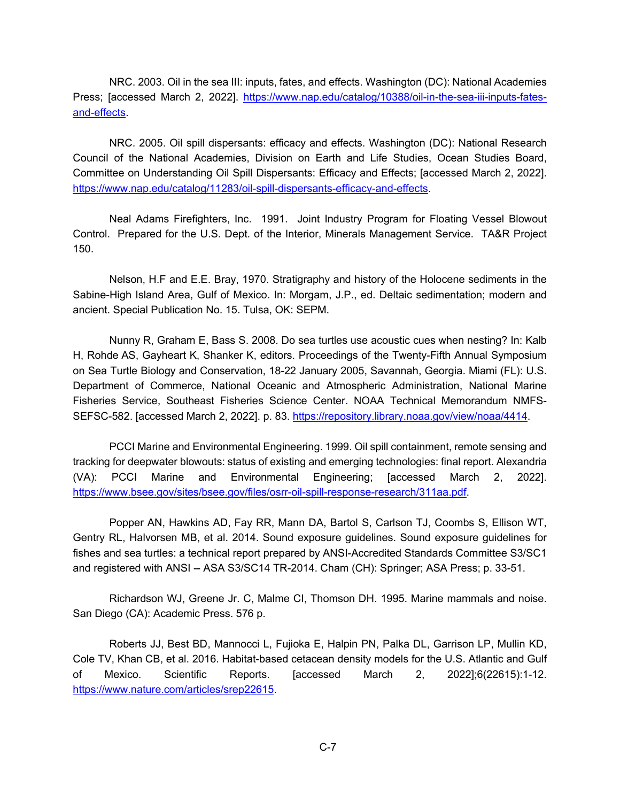NRC. 2003. Oil in the sea III: inputs, fates, and effects. Washington (DC): National Academies Press; [accessed March 2, 2022]. [https://www.nap.edu/catalog/10388/oil-in-the-sea-iii-inputs-fates](https://www.nap.edu/catalog/10388/oil-in-the-sea-iii-inputs-fates-and-effects)[and-effects.](https://www.nap.edu/catalog/10388/oil-in-the-sea-iii-inputs-fates-and-effects)

NRC. 2005. Oil spill dispersants: efficacy and effects. Washington (DC): National Research Council of the National Academies, Division on Earth and Life Studies, Ocean Studies Board, Committee on Understanding Oil Spill Dispersants: Efficacy and Effects; [accessed March 2, 2022]. [https://www.nap.edu/catalog/11283/oil-spill-dispersants-efficacy-and-effects.](https://www.nap.edu/catalog/11283/oil-spill-dispersants-efficacy-and-effects)

Neal Adams Firefighters, Inc. 1991. Joint Industry Program for Floating Vessel Blowout Control. Prepared for the U.S. Dept. of the Interior, Minerals Management Service. TA&R Project 150.

Nelson, H.F and E.E. Bray, 1970. Stratigraphy and history of the Holocene sediments in the Sabine-High Island Area, Gulf of Mexico. In: Morgam, J.P., ed. Deltaic sedimentation; modern and ancient. Special Publication No. 15. Tulsa, OK: SEPM.

Nunny R, Graham E, Bass S. 2008. Do sea turtles use acoustic cues when nesting? In: Kalb H, Rohde AS, Gayheart K, Shanker K, editors. Proceedings of the Twenty-Fifth Annual Symposium on Sea Turtle Biology and Conservation, 18-22 January 2005, Savannah, Georgia. Miami (FL): U.S. Department of Commerce, National Oceanic and Atmospheric Administration, National Marine Fisheries Service, Southeast Fisheries Science Center. NOAA Technical Memorandum NMFS-SEFSC-582. [accessed March 2, 2022]. p. 83. [https://repository.library.noaa.gov/view/noaa/4414.](https://repository.library.noaa.gov/view/noaa/4414)

PCCI Marine and Environmental Engineering. 1999. Oil spill containment, remote sensing and tracking for deepwater blowouts: status of existing and emerging technologies: final report. Alexandria (VA): PCCI Marine and Environmental Engineering; [accessed March 2, 2022]. [https://www.bsee.gov/sites/bsee.gov/files/osrr-oil-spill-response-research/311aa.pdf.](https://www.bsee.gov/sites/bsee.gov/files/osrr-oil-spill-response-research/311aa.pdf)

Popper AN, Hawkins AD, Fay RR, Mann DA, Bartol S, Carlson TJ, Coombs S, Ellison WT, Gentry RL, Halvorsen MB, et al. 2014. Sound exposure guidelines. Sound exposure guidelines for fishes and sea turtles: a technical report prepared by ANSI-Accredited Standards Committee S3/SC1 and registered with ANSI -- ASA S3/SC14 TR-2014. Cham (CH): Springer; ASA Press; p. 33-51.

Richardson WJ, Greene Jr. C, Malme CI, Thomson DH. 1995. Marine mammals and noise. San Diego (CA): Academic Press. 576 p.

Roberts JJ, Best BD, Mannocci L, Fujioka E, Halpin PN, Palka DL, Garrison LP, Mullin KD, Cole TV, Khan CB, et al. 2016. Habitat-based cetacean density models for the U.S. Atlantic and Gulf of Mexico. Scientific Reports. [accessed March 2, 2022];6(22615):1-12. [https://www.nature.com/articles/srep22615.](https://www.nature.com/articles/srep22615)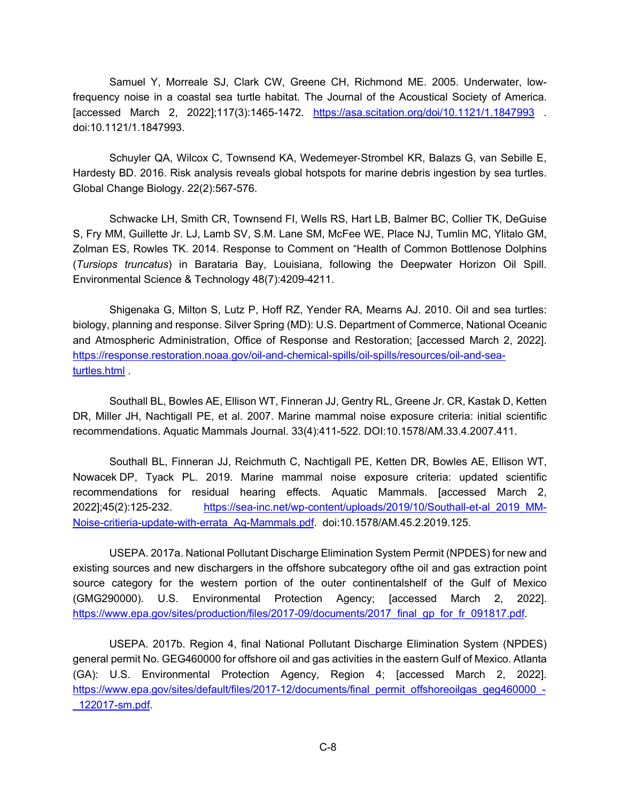Samuel Y, Morreale SJ, Clark CW, Greene CH, Richmond ME. 2005. Underwater, lowfrequency noise in a coastal sea turtle habitat. The Journal of the Acoustical Society of America. [accessed March 2, 2022];117(3):1465-1472. <https://asa.scitation.org/doi/10.1121/1.1847993> . doi:10.1121/1.1847993.

Schuyler QA, Wilcox C, Townsend KA, Wedemeyer‐Strombel KR, Balazs G, van Sebille E, Hardesty BD. 2016. Risk analysis reveals global hotspots for marine debris ingestion by sea turtles. Global Change Biology. 22(2):567-576.

Schwacke LH, Smith CR, Townsend FI, Wells RS, Hart LB, Balmer BC, Collier TK, DeGuise S, Fry MM, Guillette Jr. LJ, Lamb SV, S.M. Lane SM, McFee WE, Place NJ, Tumlin MC, Ylitalo GM, Zolman ES, Rowles TK. 2014. Response to Comment on "Health of Common Bottlenose Dolphins (*Tursiops truncatus*) in Barataria Bay, Louisiana, following the Deepwater Horizon Oil Spill. Environmental Science & Technology 48(7):4209-4211.

Shigenaka G, Milton S, Lutz P, Hoff RZ, Yender RA, Mearns AJ. 2010. Oil and sea turtles: biology, planning and response. Silver Spring (MD): U.S. Department of Commerce, National Oceanic and Atmospheric Administration, Office of Response and Restoration; [accessed March 2, 2022]. [https://response.restoration.noaa.gov/oil-and-chemical-spills/oil-spills/resources/oil-and-sea](https://response.restoration.noaa.gov/oil-and-chemical-spills/oil-spills/resources/oil-and-sea-turtles.html)[turtles.html](https://response.restoration.noaa.gov/oil-and-chemical-spills/oil-spills/resources/oil-and-sea-turtles.html) .

Southall BL, Bowles AE, Ellison WT, Finneran JJ, Gentry RL, Greene Jr. CR, Kastak D, Ketten DR, Miller JH, Nachtigall PE, et al. 2007. Marine mammal noise exposure criteria: initial scientific recommendations. Aquatic Mammals Journal. 33(4):411-522. DOI:10.1578/AM.33.4.2007.411.

Southall BL, Finneran JJ, Reichmuth C, Nachtigall PE, Ketten DR, Bowles AE, Ellison WT, Nowacek DP, Tyack PL. 2019. Marine mammal noise exposure criteria: updated scientific recommendations for residual hearing effects. Aquatic Mammals. [accessed March 2, 2022];45(2):125-232. [https://sea-inc.net/wp-content/uploads/2019/10/Southall-et-al\\_2019\\_MM-](https://sea-inc.net/wp-content/uploads/2019/10/Southall-et-al_2019_MM-Noise-critieria-update-with-errata_Aq-Mammals.pdf)[Noise-critieria-update-with-errata\\_Aq-Mammals.pdf.](https://sea-inc.net/wp-content/uploads/2019/10/Southall-et-al_2019_MM-Noise-critieria-update-with-errata_Aq-Mammals.pdf) doi:10.1578/AM.45.2.2019.125.

USEPA. 2017a. National Pollutant Discharge Elimination System Permit (NPDES) for new and existing sources and new dischargers in the offshore subcategory ofthe oil and gas extraction point source category for the western portion of the outer continentalshelf of the Gulf of Mexico (GMG290000). U.S. Environmental Protection Agency; [accessed March 2, 2022]. https://www.epa.gov/sites/production/files/2017-09/documents/2017 final qp for fr\_091817.pdf.

USEPA. 2017b. Region 4, final National Pollutant Discharge Elimination System (NPDES) general permit No. GEG460000 for offshore oil and gas activities in the eastern Gulf of Mexico. Atlanta (GA): U.S. Environmental Protection Agency, Region 4; [accessed March 2, 2022]. [https://www.epa.gov/sites/default/files/2017-12/documents/final\\_permit\\_offshoreoilgas\\_geg460000\\_-](https://www.epa.gov/sites/default/files/2017-12/documents/final_permit_offshoreoilgas_geg460000_-_122017-sm.pdf) [\\_122017-sm.pdf.](https://www.epa.gov/sites/default/files/2017-12/documents/final_permit_offshoreoilgas_geg460000_-_122017-sm.pdf)